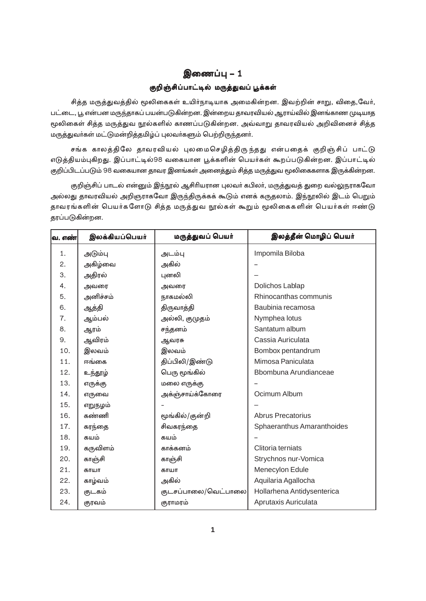## இணைப்பு $-1$

### குறிஞ்சிப்பாட்டில் மருத்துவப் பூக்கள்

சித்த மருத்துவத்தில் மூலிகைகள் உயிர்நாடியாக அமைகின்றன. இவற்றின் சாறு, விதை,வேர், பட்டை, பூ என்பன மருந்தாகப் பயன்படுகின்றன. இன்றைய தாவரவியல் ஆராய்வில் இனங்காண முடியாத மூலிகைள் சித்த மருத்துவ நூல்களில் காணப்படுகின்றன. அவ்வாறு தாவரவியல் அறிவினைச் சித்த மருத்துவா்கள் மட்டுமன்றித்தமிழ்ப் புலவா்களும் பெற்றிருந்தனா்.

சங்க காலத்திலே தாவரவியல் புலமைசெழித்திருந்தது என்பதைக் குறிஞ்சிப் பாட்டு எடுத்தியம்புகிறது. இப்பாட்டில்98 வகையான பூக்களின் பெயர்கள் கூறப்படுகின்றன. இப்பாட்டில் குறிப்பிடப்படும் 98 வகையான தாவர இனங்கள் அனைத்தும் சித்த மருத்துவ மூலிகைகளாக இருக்கின்றன.

குறிஞ்சிப் பாடல் என்னும் இந்நூல் ஆசிரியரான புலவா் கபிலா், மருத்துவத் துறை வல்லுநராகவோ அல்லது தாவரவியல் அறிஞராகவோ இருந்திருக்கக் கூடும் எனக் கருதலாம். இந்நூலில் இடம் பெறும் தாவரங்களின் பெயர்களோடு சித்த மருத்துவ நூல்கள் கூறும் மூலிகைகளின் பெயர்கள் ஈண்டு தரப்படுகின்றன.

| வ. எண் <sup> </sup> | இலக்கியப்பெயர் | மருத்துவப் பெயர்    | இலத்தீன் மொழிப் பெயர்      |
|---------------------|----------------|---------------------|----------------------------|
| $\mathbf{1}$ .      | அடும்பு        | அடம்பு              | Impomila Biloba            |
| 2.                  | அகிழ்வை        | அகில்               |                            |
| 3.                  | அதிரல்         | புனலி               |                            |
| 4.                  | அவரை           | அவரை                | Dolichos Lablap            |
| 5.                  | அனிச்சம்       | நாகமல்லி            | Rhinocanthas communis      |
| 6.                  | ஆத்தி          | திருவாத்தி          | Baubinia recamosa          |
| 7.                  | ஆம்பல்         | அல்லி, குமுதம்      | Nymphea lotus              |
| 8.                  | ஆரம்           | சந்தனம்             | Santatum album             |
| 9.                  | ஆவிரம்         | ஆவரசு               | Cassia Auriculata          |
| 10.                 | இலவம்          | இலவம்               | Bombox pentandrum          |
| 11.                 | ஈங்கை          | திப்பிலி/இண்டு      | Mimosa Paniculata          |
| 12.                 | உந்தூழ்        | பெரு மூங்கில்       | Bbombuna Arundianceae      |
| 13.                 | எருக்கு        | மலை எருக்கு         |                            |
| 14.                 | எருவை          | அக்ஞ்சாய்க்கோரை     | Ocimum Album               |
| 15.                 | எறுநழம்        |                     |                            |
| 16.                 | கண்ணி          | மூங்கில்/குன்றி     | <b>Abrus Precatorius</b>   |
| 17.                 | கரந்தை         | சிவகரந்தை           | Sphaeranthus Amaranthoides |
| 18.                 | கயம்           | கயம்                |                            |
| 19.                 | கருவிளம்       | காக்கனம்            | Clitoria terniats          |
| 20.                 | காஞ்சி         | காஞ்சி              | Strychnos nur-Vomica       |
| 21.                 | காயா           | காயா                | Menecylon Edule            |
| 22.                 | காழ்வம்        | அகில்               | Aquilaria Agallocha        |
| 23.                 | குடகம்         | குடசப்பாலை/வெட்பாலை | Hollarhena Antidysenterica |
| 24.                 | குரவம்         | குராமரம்            | Aprutaxis Auriculata       |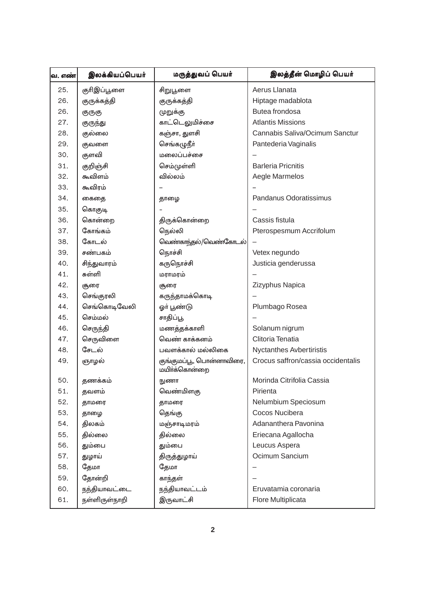| வ. எண் | இலக்கியப்பெயர் | மருத்துவப் பெயர்                          | இலத்தீன் மொழிப் பெயர்              |
|--------|----------------|-------------------------------------------|------------------------------------|
| 25.    | குாிஇப்பூளை    | சிறுபூளை                                  | Aerus Llanata                      |
| 26.    | குருக்கத்தி    | குருக்கத்தி                               | Hiptage madablota                  |
| 26.    | குருகு         | முறுக்கு                                  | Butea frondosa                     |
| 27.    | குருந்து       | காட்டெலுமிச்சை                            | <b>Atlantis Missions</b>           |
| 28.    | குல்லை         | கஞ்சா, துளசி                              | Cannabis Saliva/Ocimum Sanctur     |
| 29.    | குவளை          | செங்கழுநீா்                               | Pantederia Vaginalis               |
| 30.    | குளவி          | மலைப்பச்சை                                |                                    |
| 31.    | குறிஞ்சி       | செம்முள்ளி                                | <b>Barleria Pricnitis</b>          |
| 32.    | கூவிளம்        | வில்லம்                                   | Aegle Marmelos                     |
| 33.    | கூவிரம்        |                                           |                                    |
| 34.    | கைதை           | தாழை                                      | Pandanus Odoratissimus             |
| 35.    | கொகுடி         |                                           |                                    |
| 36.    | கொன்றை         | திருக்கொன்றை                              | Cassis fistula                     |
| 37.    | கோங்கம்        | நெல்லி                                    | Pterospesmum Accrifolum            |
| 38.    | கோடல்          | வெண்காந்தல்/வெண்கோடல்                     |                                    |
| 39.    | சண்பகம்        | நொச்சி                                    | Vetex negundo                      |
| 40.    | சிந்துவாரம்    | கருநொச்சி                                 | Justicia genderussa                |
| 41.    | சுள்ளி         | மராமரம்                                   |                                    |
| 42.    | சூரை           | சூரை                                      | Zizyphus Napica                    |
| 43.    | செங்குரலி      | கருந்தாமக்கொடி                            |                                    |
| 44.    | செங்கொடிவேலி   | ஓா் பூண்டு                                | Plumbago Rosea                     |
| 45.    | செம்மல்        | சாதிப்பூ                                  |                                    |
| 46.    | செருந்தி       | மணத்தக்காளி                               | Solanum nigrum                     |
| 47.    | செருவிளை       | வெண் காக்கனம்                             | Clitoria Tenatia                   |
| 48.    | சேடல்          | பவளக்கால் மல்லிகை                         | <b>Nyctanthes Avbertiristis</b>    |
| 49.    | ஞாழல்          | குங்குமப்பூ, பொன்னாவிரை,<br>மயிா்க்கொன்றை | Crocus saffron/cassia occidentalis |
| 50.    | தணக்கம்        | நுணா                                      | Morinda Citrifolia Cassia          |
| 51.    | தவளம்          | வெண்மிளகு                                 | Pirienta                           |
| 52.    | தாமரை          | தாமரை                                     | Nelumbium Speciosum                |
| 53.    | தாழை           | தெங்கு                                    | Cocos Nucibera                     |
| 54.    | திலகம்         | மஞ்சாடிமரம்                               | Adananthera Pavonina               |
| 55.    | தில்லை         | தில்லை                                    | Eriecana Agallocha                 |
| 56.    | தும்பை         | தும்பை                                    | Leucus Aspera                      |
| 57.    | துழாய்         | திருத்துழாய்                              | Ocimum Sancium                     |
| 58.    | தேமா           | தேமா                                      |                                    |
| 59.    | தோன்றி         | காந்தள்                                   |                                    |
| 60.    | நந்தியாவட்டை   | நந்தியாவட்டம்                             | Eruvatamia coronaria               |
| 61.    | நள்ளிருள்நாறி  | இருவாட்சி                                 | Flore Multiplicata                 |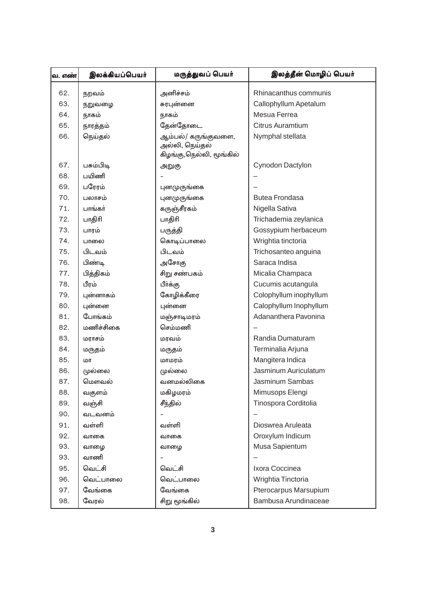| <mark>வ. எண்</mark> | இலக்கியப்பெயர் | மருத்துவப் பெயர்                                                  | இலத்தீன் மொழிப் பெயர்   |
|---------------------|----------------|-------------------------------------------------------------------|-------------------------|
| 62.                 | நறவம்          | அனிச்சம்                                                          | Rhinacanthus communis   |
| 63.                 | நறுவழை         | சுரபுன்னை                                                         | Callophyllum Apetalum   |
| 64.                 | நாகம்          | நாகம்                                                             | Mesua Ferrea            |
| 65.                 | நாரத்தம்       | தேன்தோடை                                                          | <b>Citrus Auramtium</b> |
| 66.                 | நெய்தல்        | ஆம்பல்/ கருங்குவளை,<br>அல்லி, நெய்தல்<br>கிழங்கு,நெல்லி, மூங்கில் | Nymphal stellata        |
| 67.                 | பசும்பிடி      | அறுகு                                                             | Cynodon Dactylon        |
| 68.                 | பயிணி          |                                                                   |                         |
| 69.                 | பரேரம்         | புனமுருங்கை                                                       |                         |
| 70.                 | பலாசம்         | புனமுருங்கை                                                       | <b>Butea Frondasa</b>   |
| 71.                 | பாங்கர்        | கருஞ்சீரகம்                                                       | Nigella Sativa          |
| 72.                 | பாதிரி         | பாதிரி                                                            | Trichademia zeylanica   |
| 73.                 | பாரம்          | பருத்தி                                                           | Gossypium herbaceum     |
| 74.                 | பாலை           | கொடிப்பாலை                                                        | Wrightia tinctoria      |
| 75.                 | பிடவம்         | பிடவம்                                                            | Trichosanteo anguina    |
| 76.                 | பிண்டி         | அசோகு                                                             | Saraca Indisa           |
| 77.                 | பித்திகம்      | சிறு சண்பகம்                                                      | Micalia Champaca        |
| 78.                 | பீரம்          | பீா்க்கு                                                          | Cucumis acutangula      |
| 79.                 | புன்னாகம்      | கோழிக்கீரை                                                        | Colophyllum inophyllum  |
| 80.                 | புன்னை         | புன்னை                                                            | Calophyllum Inophyllum  |
| 81.                 | போங்கம்        | மஞ்சாடிமரம்                                                       | Adananthera Pavonina    |
| 82.                 | மணிச்சிகை      | செம்மணி                                                           |                         |
| 83.                 | மராசம்         | மரவம்                                                             | Randia Dumaturam        |
| 84.                 | மருதம்         | மருதம்                                                            | Terminalia Arjuna       |
| 85.                 | LOП            | மாமரம்                                                            | Mangitera Indica        |
| 86.                 | முல்லை         | முல்லை                                                            | Jasminum Auriculatum    |
| 87.                 | மௌவல்          | வனமல்லிகை                                                         | Jasminum Sambas         |
| 88.                 | வகுளம்         | மகிழமரம்                                                          | Mimusops Elengi         |
| 89.                 | வஞ்சி          | சீந்தில்                                                          | Tinospora Corditolia    |
| 90.                 | வடவனம்         |                                                                   |                         |
| 91.                 | வள்ளி          | வள்ளி                                                             | Dioswrea Aruleata       |
| 92.                 | வாகை           | வாகை                                                              | Oroxylum Indicum        |
| 93.                 | வாழை           | வாழை                                                              | Musa Sapientum          |
| 93.                 | வாணி           |                                                                   |                         |
| 95.                 | வெட்சி         | வெட்சி                                                            | Ixora Coccinea          |
| 96.                 | வெட்பாலை       | வெட்பாலை                                                          | Wrightia Tinctoria      |
| 97.                 | வேங்கை         | வேங்கை                                                            | Pterocarpus Marsupium   |
| 98.                 | வேரல்          | சிறு மூங்கில்                                                     | Bambusa Arundinaceae    |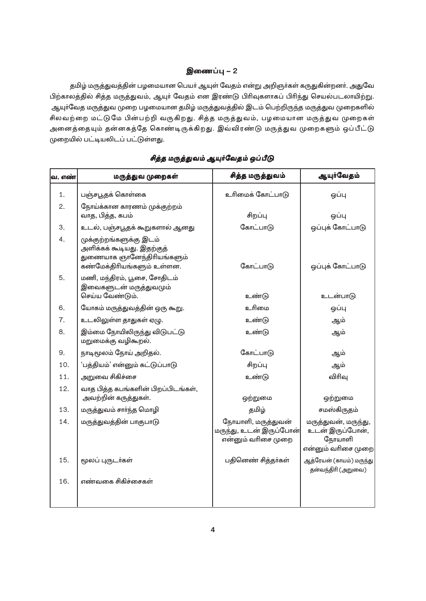தமிழ் மருத்துவத்தின் பழமையான பெயா் ஆயுள் வேதம் என்று அறிஞா்கள் கருதுகின்றனா். அதுவே பிற்காலத்தில் சித்த மருத்துவம், ஆயுர் வேதம் என இரண்டு பிரிவுகளாகப் பிரிந்து செயல்படலாயிற்று. ஆயுா்வேத மருத்துவ முறை பழமையான தமிழ் மருத்துவத்தில் இடம் பெற்றிருந்த மருத்துவ முறைகளில் சிலவற்றை மட்டுமே பின்பற்றி வருகிறது. சித்த மருத்துவம், பழமையான மருத்துவ முறைகள் அனைத்தையும் தன்னகத்தே கொண்டிருக்கிறது. இவ்விரண்டு மருத்துவ முறைகளும் ஒப்பீட்டு முறையில் பட்டியலிடப் பட்டுள்ளது.

| வ. எண் | மருத்துவ முறைகள்                                                                                                       | சித்த மருத்துவம்                                                    | ஆயுா்வேதம்                                                              |
|--------|------------------------------------------------------------------------------------------------------------------------|---------------------------------------------------------------------|-------------------------------------------------------------------------|
| 1.     | பஞ்சபூதக் கொள்கை                                                                                                       | உரிமைக் கோட்பாடு                                                    | ஒப்பு                                                                   |
| 2.     | நோய்க்கான காரணம் முக்குற்றம்<br>வாத, பித்த, கபம்                                                                       | சிறப்பு                                                             | ஒப்பு                                                                   |
| 3.     | உடல், பஞ்சபூதக் கூறுகளால் ஆனது                                                                                         | கோட்பாடு                                                            | ஒப்புக் கோட்பாடு                                                        |
| 4.     | முக்குற்றங்களுக்கு இடம்<br>அளிக்கக் கூடியது. இதற்குத்<br>துணையாக ஞானேந்திாியங்களும்<br>.<br>கண்மேக்திரியங்களும் உள்ளன. | கோட்பாடு                                                            | ஒப்புக் கோட்பாடு                                                        |
| 5.     | மணி, மந்திரம், பூசை, சோதிடம்<br>இவைகளுடன் மருத்துவமும்<br>செய்ய வேண்டும்.                                              | உண்டு                                                               | உடன்பாடு                                                                |
| 6.     | உரிமை<br>யோகம் மருத்துவத்தின் ஒரு கூறு.                                                                                |                                                                     | ஒப்பு                                                                   |
| 7.     | உடலிலுள்ள தாதுகள் ஏழு.                                                                                                 | உண்டு                                                               | ஆம்                                                                     |
| 8.     | இம்மை நோயிலிருந்து விடுபட்டு<br>மறுமைக்கு வழிகூறல்.                                                                    | உண்டு                                                               | ஆம்                                                                     |
| 9.     | நாடிமூலம் நோய் அறிதல்.                                                                                                 | கோட்பாடு                                                            | ஆம்                                                                     |
| 10.    | 'பத்தியம்' என்னும் கட்டுப்பாடு                                                                                         | சிறப்பு                                                             | ஆம்                                                                     |
| 11.    | அறுவை சிகிச்சை                                                                                                         | உண்டு                                                               | விரிவு                                                                  |
| 12.    | வாத பித்த கபங்களின் பிறப்பிடங்கள்,<br>அவற்றின் கருத்துகள்.                                                             | ஒற்றுமை                                                             | ஒற்றுமை                                                                 |
| 13.    | மருத்துவம் சாா்ந்த மொழி                                                                                                | தமிழ்                                                               | சமஸ்கிருதம்                                                             |
| 14.    | மருத்துவத்தின் பாகுபாடு                                                                                                | நோயாளி, மருத்துவன்<br>மருந்து, உடன் இருப்போன்<br>என்னும் வரிசை முறை | மருத்துவன், மருந்து,<br>உடன் இருப்போன்,<br>நோயாளி<br>என்னும் வரிசை முறை |
| 15.    | மூலப் புருடா்கள்                                                                                                       | பதினெண் சித்தா்கள்                                                  | ஆத்ரேயன் (காயம்) மருந்து<br>தன்வந்திரி (அறுவை)                          |
| 16.    | எண்வகை சிகிச்சைகள்                                                                                                     |                                                                     |                                                                         |

### சித்த மருத்துவம் ஆயுர்வேதம் ஒப்பீடு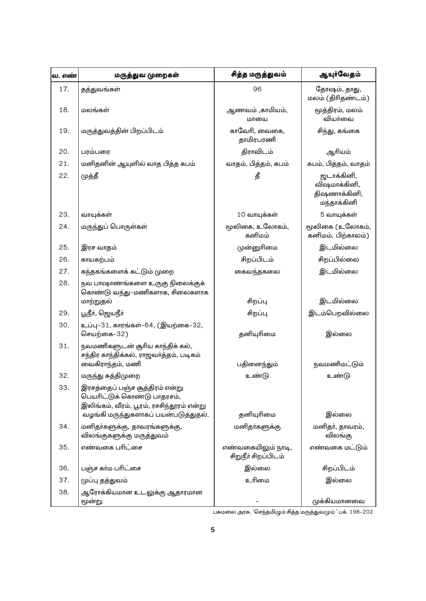| <mark>வ. எண்</mark> | மருத்துவ முறைகள்                                                                                                                                   | சித்த மருத்துவம்                          | ஆயுர்வேதம்                                                |
|---------------------|----------------------------------------------------------------------------------------------------------------------------------------------------|-------------------------------------------|-----------------------------------------------------------|
| 17.                 | தத்துவங்கள்                                                                                                                                        | 96                                        | தோஷம், தாது,<br>மலம் (திரிதண்டம்)                         |
| 18.                 | மலங்கள்                                                                                                                                            | ஆணவம் ,காமியம்,<br>மாயை                   | மூத்திரம், மலம்<br>வியா்வை                                |
| 19.                 | மருத்துவத்தின் பிறப்பிடம்                                                                                                                          | காவேரி, வைகை,<br>தாமிரபரணி                | சிந்து, கங்கை                                             |
| 20.                 | பரம்பரை                                                                                                                                            | திராவிடம்                                 | ஆரியம்                                                    |
| 21.                 | மனிதனின் ஆயுளில் வாத பித்த கபம்                                                                                                                    | வாதம், பித்தம், கபம்                      | கபம், பித்தம், வாதம்                                      |
| 22.                 | முத்தீ                                                                                                                                             | தீ                                        | ஜடாக்கினி,<br>விஷமாக்கினி,<br>திஷணாக்கினி,<br>மந்தாக்கினி |
| 23.                 | வாயுக்கள்                                                                                                                                          | 10 வாயுக்கள்                              | 5 வாயுக்கள்                                               |
| 24.                 | மருந்துப் பொருள்கள்                                                                                                                                | மூலிகை, உலோகம்,<br>கனிமம்                 | மூலிகை (உலோகம்,<br>கனிமம், பிற்காலம்)                     |
| 25.                 | இரச வாதம்                                                                                                                                          | முன்னுரிமை                                | இடமில்லை                                                  |
| 26.                 | காயகற்பம்                                                                                                                                          | சிறப்பிடம்                                | சிறப்பில்லை                                               |
| 27.                 | கந்தகங்களைக் கட்டும் முறை                                                                                                                          | கைவந்தகலை                                 | இடமில்லை                                                  |
| 28.                 | நவ பாஷாணங்களை உருகு நிலைக்குக்<br>கொண்டு வந்து–மணிகளாக, சிலைகளாக<br>மாற்றுதல்                                                                      | சிறப்பு                                   | இடமில்லை                                                  |
| 29.                 | பூநீா், ஜெயநீா்                                                                                                                                    | சிறப்பு                                   | இடம்பெறவில்லை                                             |
| 30.                 | உப்பு-31, காரங்கள்-64, (இயற்கை-32,<br>செயற்கை-32)                                                                                                  | தனியுரிமை                                 | இல்லை                                                     |
| 31.                 | நவமணிகளுடன் சூரிய காந்திக் கல்,<br>சந்திர காந்திக்கல், ராஜவா்த்தம், படிகம்<br>வைகிராந்தம், மணி                                                     | பதினைந்தும்                               | நவமணிமட்டும்                                              |
| 32.                 | மருந்து சுத்திமுறை                                                                                                                                 | உண்டு                                     | உண்டு                                                     |
| 33.                 | இரசத்தைப் பஞ்ச சூத்திரம் என்று<br>பெயரிட்டுக் கொண்டு பாதரசம்,<br>இலிங்கம், வீரம், பூரம், ரசசிந்தூரம் என்று<br>வழங்கி மருந்துகளாகப் பயன்படுத்துதல். | தனியுரிமை                                 | இல்லை                                                     |
| 34.                 | மனிதா்களுக்கு, தாவரங்களுக்கு,<br>விலங்குகளுக்கு மருத்துவம்                                                                                         | மனிதா்களுக்கு                             | மனிதா், தாவரம்,<br>விலங்கு                                |
| 35.                 | எண்வகை பரிட்சை                                                                                                                                     | எண்வகையிலும் நாடி,<br>சிறுநீா் சிறப்பிடம் | எண்வகை மட்டும்                                            |
| 36.                 | பஞ்ச கா்ம பரிட்சை                                                                                                                                  | இல்லை                                     | சிறப்பிடம்                                                |
| 37.                 | முப்பு தத்துவம்                                                                                                                                    | உரிமை                                     | இல்லை                                                     |
| 38.                 | ஆரோக்கியமான உடலுக்கு ஆதாரமான<br>மூன்று                                                                                                             |                                           | முக்கியமானவை                                              |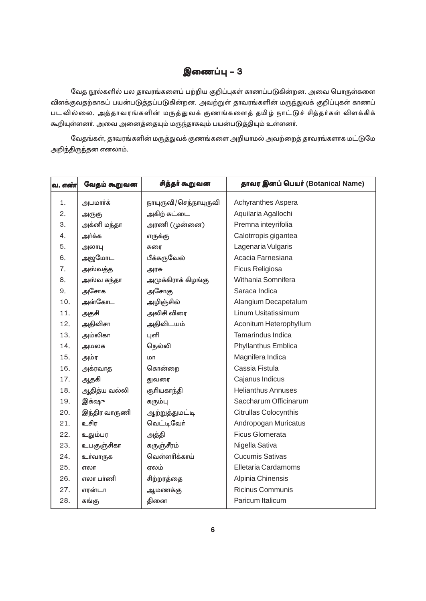# இணைப்பு $-3$

வேத நூல்களில் பல தாவரங்களைப் பற்றிய குறிப்புகள் காணப்படுகின்றன. அவை பொருள்களை விளக்குவதற்காகப் பயன்படுத்தப்படுகின்றன. அவற்றுள் தாவரங்களின் மருந்துவக் குறிப்புகள் காணப் படவில்லை. அத்தாவரங்களின் மருத்துவக் குணங்களைத் தமிழ் நாட்டுச் சித்தர்கள் விளக்கிக் கூறியுள்ளனா். அவை அனைத்தையும் மருந்தாகவும் பயன்படுத்தியும் உள்ளனா்.

வேதங்கள், தாவரங்களின் மருத்துவக் குணங்களை அறியாமல் அவற்றைத் தாவரங்களாக மட்டுமே அறிந்திருந்தன எனலாம்.

| <mark>வ. எண்</mark> | வேதம் கூறுவன  | சித்தர் கூறுவன                      | தாவர இனப் பெயர் (Botanical Name) |
|---------------------|---------------|-------------------------------------|----------------------------------|
| 1.                  | அபமார்க்      | நாயுருவி/செந்நாயுருவி               | Achyranthes Aspera               |
| 2.                  | அருகு         | அகிற் கட்டை                         | Aquilaria Agallochi              |
| 3.                  | அக்னி மந்தா   | அரணி (முன்னை)                       | Premna inteyrifolia              |
| 4.                  | அர்க்க        | எருக்கு                             | Calotrropis gigantea             |
| 5.                  | அலாபு         | சுரை                                | Lagenaria Vulgaris               |
| 6.                  | அஜமோட         | பீக்கருவேல்                         | Acacia Farnesiana                |
| 7.                  | அஸ்வத்த       | அரசு                                | Ficus Religiosa                  |
| 8.                  | அஸ்வ கந்தா    | அமுக்கிராக் கிழங்கு                 | Withania Somnifera               |
| 9.                  | அசோக          | அசோகு                               | Saraca Indica                    |
| 10.                 | அன்கோட        | அழிஞ்சில்                           | Alangium Decapetalum             |
| 11.                 | அதசி          | அலிசி விரை                          | Linum Usitatissimum              |
| 12.                 | அதிவிசா       | அதிவிடயம்<br>Aconitum Heterophyllum |                                  |
| 13.                 | அம்லிகா       | புளி                                | <b>Tamarindus Indica</b>         |
| 14.                 | அமலக          | நெல்லி                              | <b>Phyllanthus Emblica</b>       |
| 15.                 | அம்ர          | மா                                  | Magnifera Indica                 |
| 16.                 | அக்ரவாத       | கொன்றை<br>Cassia Fistula            |                                  |
| 17.                 | ஆதகி          | துவரை                               | Cajanus Indicus                  |
| 18.                 | ஆதித்ய வல்லி  | சூரியகாந்தி                         | <b>Helianthus Annuses</b>        |
| 19.                 | இக்ஷு         | கரும்பு                             | Saccharum Officinarum            |
| 20.                 | இந்திர வாருணி | ஆற்றுத்துமட்டி                      | <b>Citrullas Colocynthis</b>     |
| 21.                 | உசிர          | வெட்டிவேர்                          | Andropogan Muricatus             |
| 22.                 | உதும்பர       | அத்தி                               | <b>Ficus Glomerata</b>           |
| 23.                 | உபகுஞ்சிகா    | கருஞ்சீரம்                          | Nigella Sativa                   |
| 24.                 | உர்வாருக      | வெள்ளரிக்காய்                       | <b>Cucumis Sativas</b>           |
| 25.                 | எலா           | ஏலம்                                | <b>Elletaria Cardamoms</b>       |
| 26.                 | எலா பாணி      | சிற்றரத்தை                          | Alpinia Chinensis                |
| 27.                 | எரன்டா        | ஆமணக்கு                             | <b>Ricinus Communis</b>          |
| 28.                 | கங்கு         | தினை                                | Paricum Italicum                 |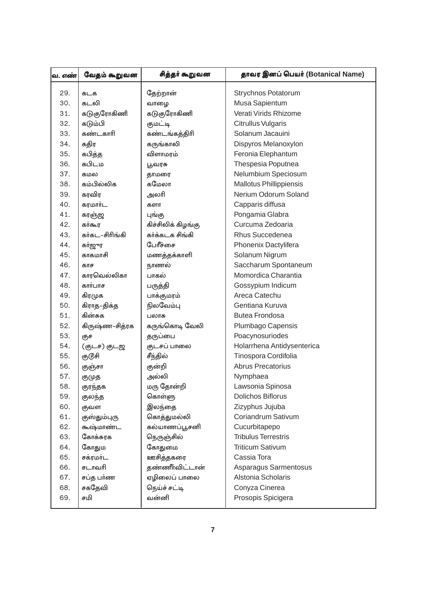| <mark>வ. எண்</mark> | வேதம் கூறுவன   | சித்தர் கூறுவன     | தாவர இனப் பெயர் (Botanical Name) |
|---------------------|----------------|--------------------|----------------------------------|
| 29.                 | கடக            | தேற்றான்           | Strychnos Potatorum              |
| 30.                 | கடலி           | வாழை               | Musa Sapientum                   |
| 31.                 | கடுகுரோகிணி    | கடுகுரோகிணி        | Verati Virids Rhizome            |
| 32.                 | கடும்பி        | குமட்டி            | Citrullus Vulgaris               |
| 33.                 | கண்டகாரி       | கண்டங்கத்திரி      | Solanum Jacauini                 |
| 34.                 | கதிர           | கருங்காலி          | Dispyros Melanoxylon             |
| 35.                 | கபித்த         | விளாமரம்           | Feronia Elephantum               |
| 36.                 | கபிடம          | பூவரசு             | Thespesia Poputnea               |
| 37.                 | கமல            | தாமரை              | Nelumbium Speciosum              |
| 38.                 | கம்பில்லிக     | கமேலா              | <b>Mallotus Phillippiensis</b>   |
| 39.                 | கரவிர          | அலரி               | Nerium Odorum Soland             |
| 40.                 | கரமார்ட        | களா                | Capparis diffusa                 |
| 41.                 | கரஞ்ஜ          | புங்கு             | Pongamia Glabra                  |
| 42.                 | கர்கூர         | கிச்சிலிக் கிழங்கு | Curcuma Zedoaria                 |
| 43.                 | கர்கட–சிரிங்கி | கர்க்கடக சிங்கி    | Rhus Succedenea                  |
| 44.                 | கா்ஜுர         | போீச்சை            | Phonenix Dactylifera             |
| 45.                 | காகமாசி        | மணத்தக்காளி        | Solanum Nigrum                   |
| 46.                 | காச            | நாணல்              | Saccharum Spontaneum             |
| 47.                 | காரவெல்லிகா    | பாகல்              | Momordica Charantia              |
| 48.                 | கார்பாச        | பருத்தி            | Gossypium Indicum                |
| 49.                 | கிரமுக         | பாக்குமரம்         | Areca Catechu                    |
| 50.                 | கிராத–திக்த    | நிலவேம்பு          | Gentiana Kuruva                  |
| 51.                 | கின்சுக        | பலாசு              | <b>Butea Frondosa</b>            |
| 52.                 | கிருஷ்ண–சித்ரக | கருங்கொடி வேலி     | Plumbago Capensis                |
| 53.                 | குச            | தருப்பை            | Poacynosuriodes                  |
| 54.                 | (குடச) குடஜ    | குடசப் பாலை        | Holarrhena Antidysenterica       |
| 55.                 | குடூசி         | சீந்தில்           | Tinospora Cordifolia             |
| 56.                 | குஞ்சா         | குன்றி             | <b>Abrus Precatorius</b>         |
| 57.                 | குமுத          | அல்லி              | Nymphaea                         |
| 58.                 | குரந்தக        | மரு தோன்றி         | Lawsonia Spinosa                 |
| 59.                 | குலந்த         | கொள்ளு             | <b>Dolichos Biflorus</b>         |
| 60.                 | குவள           | இலந்தை             | Zizyphus Jujuba                  |
| 61.                 | குஸ்தும்புரு   | கொத்துமல்லி        | Coriandrum Sativum               |
| 62.                 | கூஷ்மாண்ட      | கல்யாணப்பூசனி      | Cucurbitapepo                    |
| 63.                 | கோக்சுரக       | நெருஞ்சில்         | <b>Tribulus Terrestris</b>       |
| 64.                 | கோதும          | கோதுமை             | <b>Triticum Sativum</b>          |
| 65.                 | சக்ரமா்ட       | ஊசித்தகரை          | Cassia Tora                      |
| 66.                 | சடாவரி         | தண்ணீா்விட்டான்    | Asparagus Sarmentosus            |
| 67.                 | சப்த பா்ண      | ஏழிலைப் பாலை       | Alstonia Scholaris               |
| 68.                 | சகதேவி         | நெய்ச் சட்டி       | Conyza Cinerea                   |
| 69.                 | சமி            | வன்னி              | Prosopis Spicigera               |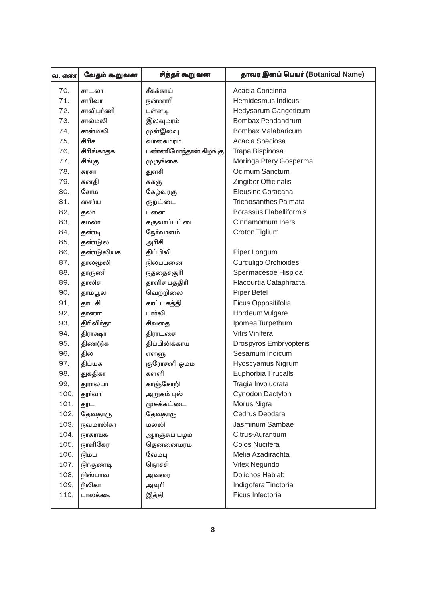| <mark>வ. எண்</mark> | வேதம் கூறுவன | சித்தர் கூறுவன        | தாவர இனப் பெயர் (Botanical Name) |
|---------------------|--------------|-----------------------|----------------------------------|
| 70.                 | சாடலா        | சீகக்காய்             | Acacia Concinna                  |
| 71.                 | சாரிவா       | நன்னாரி               | Hemidesmus Indicus               |
| 72.                 | சாலிபர்ணி    | புள்ளடி               | Hedysarum Gangeticum             |
| 73.                 | சால்மலி      | இலவுமரம்              | <b>Bombax Pendandrum</b>         |
| 74.                 | சான்மலி      | முள்இலவு              | Bombax Malabaricum               |
| 75.                 | सीतीम        | வாகைமரம்              | Acacia Speciosa                  |
| 76.                 | சிரிங்காதக   | பண்ணிமோந்தான் கிழங்கு | Trapa Bispinosa                  |
| 77.                 | சிங்கு       | (முருங்கை             | Moringa Ptery Gosperma           |
| 78.                 | சுரசா        | துளசி                 | Ocimum Sanctum                   |
| 79.                 | சுன்தி       | சுக்கு                | Zingiber Officinalis             |
| 80.                 | சோம          | கேழ்வரகு              | Eleusine Coracana                |
| 81.                 | சைா்ய        | குறட்டை               | <b>Trichosanthes Palmata</b>     |
| 82.                 | தலா          | பனை                   | <b>Borassus Flabelliformis</b>   |
| 83.                 | கமலா         | கருவாப்பட்டை          | Cinnamomum Iners                 |
| 84.                 | தண்டி        | நேர்வாளம்             | Croton Tiglium                   |
| 85.                 | தண்டுல       | அரிசி                 |                                  |
| 86.                 | தண்டுலியக    | திப்பிலி              | Piper Longum                     |
| 87.                 | தாலமூலி      | நிலப்பனை              | <b>Curculigo Orchioides</b>      |
| 88.                 | தாருணி       | நத்தைச்சூரி           | Spermacesoe Hispida              |
| 89.                 | தாலிச        | தாளிச பத்திரி         | Flacourtia Cataphracta           |
| 90.                 | தாம்பூல      | வெற்றிலை              | Piper Betel                      |
| 91.                 | தாடகி        | காட்டகத்தி            | Ficus Oppositifolia              |
| 92.                 | தாணா         | பார்லி                | Hordeum Vulgare                  |
| 93.                 | திரிவிா்தா   | சிவதை                 | Ipomea Turpethum                 |
| 94.                 | திராக்ஷா     | திராட்சை              | <b>Vitrs Vinifera</b>            |
| 95.                 | திண்டுக      | திப்பிலிக்காய்        | Drospyros Embryopteris           |
| 96.                 | தில          | எள்ளு                 | Sesamum Indicum                  |
| 97.                 | திப்யக       | குரோசனி ஓமம்          | Hyoscyamus Nigrum                |
| 98.                 | துக்திகா     | கள்ளி                 | Euphorbia Tirucalls              |
| 99.                 | துராலபா      | காஞ்சோறி              | Tragia Involucrata               |
| 100.                | தூா்வா       | அறுகம் புல்           | Cynodon Dactylon                 |
| 101.                | தூட          | (மசுக்கட்டை           | Morus Nigra                      |
| 102.                | தேவதாரு      | தேவதாரு               | Cedrus Deodara                   |
| 103.                | நவமாலிகா     | மல்லி                 | Jasminum Sambae                  |
| 104.                | நாகரங்க      | ஆரஞ்சுப் பழம்         | Citrus-Aurantium                 |
| 105.                | நாளிகேர      | தென்னைமரம்            | Colos Nucifera                   |
| 106.                | நிம்ப        | வேம்பு                | Melia Azadirachta                |
| 107.                | நிா்குண்டி   | நொச்சி                | Vitex Negundo                    |
| 108.                | நிஸ்பாவ      | அவரை                  | Dolichos Hablab                  |
| 109.                | நீலிகா       | அவுரி                 | Indigofera Tinctoria             |
| 110.                | பாலக்க்ஷ     | இத்தி                 | Ficus Infectoria                 |
|                     |              |                       |                                  |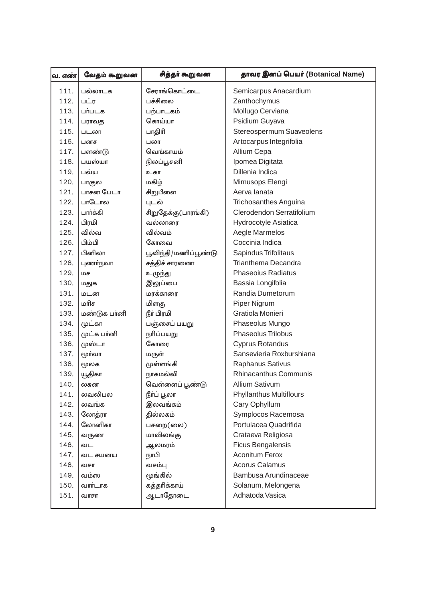| வ. எண் | வேதம் கூறுவன | சித்தர் கூறுவன       | தாவர இனப் பெயர் (Botanical Name) |
|--------|--------------|----------------------|----------------------------------|
| 111.   | பல்லாடக      | சேராங்கொட்டை         | Semicarpus Anacardium            |
| 112.   | பட்ர         | பச்சிலை              | Zanthochymus                     |
| 113.   | பா்படக       | பற்பாடகம்            | Mollugo Cerviana                 |
| 114.   | பராவத        | கொய்யா               | Psidium Guyava                   |
| 115.   | படலா         | பாதிரி               | Stereospermum Suaveolens         |
| 116.   | பனச          | பலா                  | Artocarpus Integrifolia          |
| 117.   | பளண்டு       | வெங்காயம்            | Allium Cepa                      |
| 118.   | பயஸ்யா       | நிலப்பூசனி           | Ipomea Digitata                  |
| 119.   | பவ்ய         | உகா                  | Dillenia Indica                  |
| 120.   | பாகுல        | மகிழ்                | Mimusops Elengi                  |
| 121.   | பாசன பேடா    | சிறுபீளை             | Aerva lanata                     |
| 122.   | பாடோல        | புடல்                | <b>Trichosanthes Anguina</b>     |
| 123.   | பார்க்கி     | சிறுதேக்கு(பாரங்கி)  | Clerodendon Serratifolium        |
| 124.   | பிரமி        | வல்லாரை              | Hydrocotyle Asiatica             |
| 125.   | வில்வ        | வில்வம்              | Aegle Marmelos                   |
| 126.   | பிம்பி       | கோவை                 | Coccinia Indica                  |
| 127.   | பினிலா       | பூவிந்தி/மணிப்பூண்டு | Sapindus Trifolitaus             |
| 128.   | புணா்நவா     | சத்திச் சாரணை        | <b>Trianthema Decandra</b>       |
| 129.   | மச           | உழுந்து              | <b>Phaseoius Radiatus</b>        |
| 130.   | மதுக         | இலுப்பை              | Bassia Longifolia                |
| 131.   | மடன          | மரக்காரை             | Randia Dumetorum                 |
| 132.   | மரிச         | மிளகு                | Piper Nigrum                     |
| 133.   | மண்டுக பானி  | நீா் பிரமி           | Gratiola Monieri                 |
| 134.   | முட்கா       | பஞ்சைப் பயறு         | Phaseolus Mungo                  |
| 135.   | முட்க பா்னி  | நரிப்பயறு            | Phaseolus Trilobus               |
| 136.   | (முஸ்டா      | கோரை                 | <b>Cyprus Rotandus</b>           |
| 137.   | மூர்வா       | மருள்                | Sansevieria Roxburshiana         |
| 138.   | மூலக         | (முள்ளங்கி           | Raphanus Sativus                 |
| 139.   | யூதிகா       | நாகமல்லி             | Rhinacanthus Communis            |
| 140.   | லசுன         | வெள்ளைப் பூண்டு      | <b>Allium Sativum</b>            |
| 141.   | லவலிபல       | நீா்ப் பூலா          | <b>Phyllanthus Multiflours</b>   |
| 142.   | லவங்க        | இலவங்கம்             | Cary Ophyllum                    |
| 143.   | லோத்ரா       | தில்லகம்             | Symplocos Racemosa               |
| 144.   | லோனிகா       | பசறை(லை)             | Portulacea Quadrifida            |
| 145.   | வருண         | மாவிலங்கு            | Crataeva Religiosa               |
| 146.   | வட           | ஆலமரம்               | <b>Ficus Bengalensis</b>         |
| 147.   | வட சயனய      | நாபி                 | <b>Aconitum Ferox</b>            |
| 148.   | வசா          | வசம்பு               | <b>Acorus Calamus</b>            |
| 149.   | வம்ஸ         | மூங்கில்             | Bambusa Arundinaceae             |
| 150.   | வார்டாக      | கத்தரிக்காய்         | Solanum, Melongena               |
| 151.   | வாசா         | ஆடாதோடை              | Adhatoda Vasica                  |
|        |              |                      |                                  |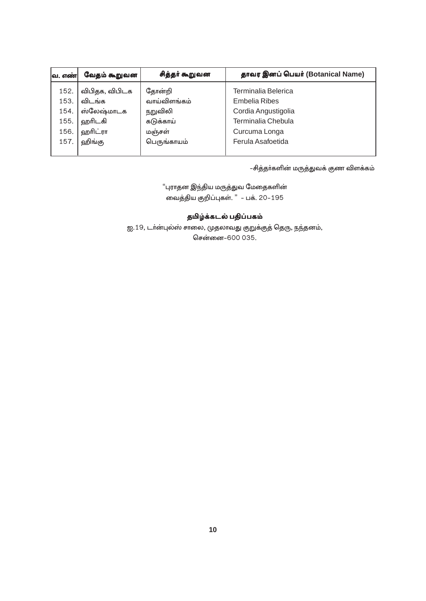| வ. எண் | சித்தர் கூறுவன<br>வேதம் கூறுவன |              | தாவர இனப் பெயர் (Botanical Name) |  |  |
|--------|--------------------------------|--------------|----------------------------------|--|--|
| 152.   | விபிதக, விபிடக                 | தோன்றி       | Terminalia Belerica              |  |  |
| 153.   | விடங்க                         | வாய்விளங்கம் | Embelia Ribes                    |  |  |
| 154.   | ஸ்லேஷ்மாடக                     | நறுவிலி      | Cordia Angustigolia              |  |  |
| 155.   | ஹரிடகி                         | கடுக்காய்    | Terminalia Chebula               |  |  |
| 156.   | ஹரிட்ரா                        | மஞ்சள்       | Curcuma Longa                    |  |  |
| 157.   | ஹிங்கு                         | பெருங்காயம்  | Ferula Asafoetida                |  |  |
|        |                                |              |                                  |  |  |

–சித்தா்களின் மருத்துவக் குண விளக்கம்

"புராதன இந்திய மருத்துவ மேதைகளின் வைத்திய குறிப்புகள். " – பக். 20–195

## தமிழ்க்கடல் பதிப்பகம்

ஐ.19, டா்ன்புல்ஸ் சாலை, முதலாவது குறுக்குத் தெரு, நந்தனம், சென்னை-600 035.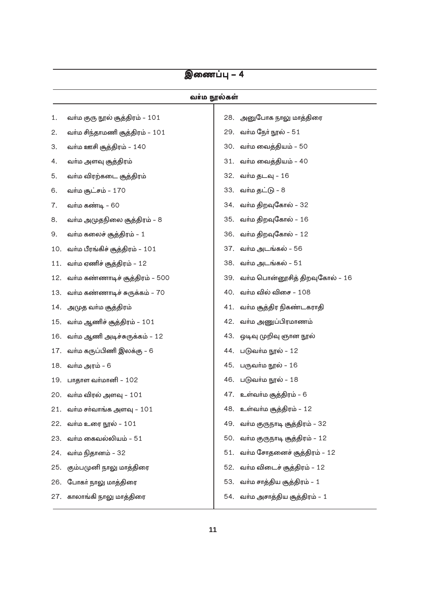|    | வர்ம நூல்கள்                       |  |                                    |  |  |  |  |
|----|------------------------------------|--|------------------------------------|--|--|--|--|
| 1. | வா்ம குரு நூல் சூத்திரம் – 101     |  | 28. அனுபோக நாலு மாத்திரை           |  |  |  |  |
| 2. | வா்ம சிந்தாமணி சூத்திரம் – 101     |  | 29. வா்ம நோ் நூல் – 51             |  |  |  |  |
| З. | வா்ம ஊசி சூத்திரம் – 140           |  | 30. வா்ம வைத்தியம் – 50            |  |  |  |  |
| 4. | வா்ம அளவு சூத்திரம்                |  | 31. வா்ம வைத்தியம் – 40            |  |  |  |  |
| 5. | வா்ம விரற்கடை சூத்திரம்            |  | 32. வர்ம தடவு - 16                 |  |  |  |  |
| 6. | வா்ம சூட்சம் – 170                 |  | 33. வா்ம தட்டு - 8                 |  |  |  |  |
| 7. | வா்ம கண்டி – 60                    |  | 34. வா்ம திறவுகோல் – 32            |  |  |  |  |
| 8. | வா்ம அமுதநிலை சூத்திரம் – 8        |  | 35. வா்ம திறவுகோல் – 16            |  |  |  |  |
| 9. | வா்ம கலைச் சூத்திரம் – 1           |  | 36. வா்ம திறவுகோல் – 12            |  |  |  |  |
|    | 10. வா்ம பீரங்கிச் சூத்திரம் – 101 |  | 37. வர்ம அடங்கல் - 56              |  |  |  |  |
|    | 11. வா்ம ஏணிச் சூத்திரம் – 12      |  | 38. வர்ம அடங்கல் – 51              |  |  |  |  |
|    | 12. வா்ம கண்ணாடிச் சூத்திரம் – 500 |  | 39. வா்ம பொன்னூசித் திறவுகோல் – 16 |  |  |  |  |
|    | 13. வா்ம கண்ணாடிச் சுருக்கம் – 70  |  | 40. வா்ம வில் விசை – 108           |  |  |  |  |
|    | 14. அமுத வா்ம சூத்திரம்            |  | 41. வா்ம சூத்திர நிகண்டகராதி       |  |  |  |  |
|    | 15. வா்ம ஆணிச் சூத்திரம் – 101     |  | 42. வா்ம அணுப்பிரமாணம்             |  |  |  |  |
|    | 16. வா்ம ஆணி அடிச்சுருக்கம் – 12   |  | 43. ஒடிவு முறிவு ஞான நூல்          |  |  |  |  |
|    | 17. வா்ம கருப்பிணி இலக்கு – 6      |  | 44. படுவா்ம நூல் – 12              |  |  |  |  |
|    | 18. வா்ம அரம் - 6                  |  | 45. பருவா்ம நூல் – 16              |  |  |  |  |
|    | 19. பாதாள வர்மானி - 102            |  | 46. படுவா்ம நூல் - 18              |  |  |  |  |
|    | 20. வா்ம விரல் அளவு – 101          |  | 47. உள்வா்ம சூத்திரம் – 6          |  |  |  |  |
|    | 21. வா்ம சா்வாங்க அளவு – 101       |  | 48. உள்வா்ம சூத்திரம் – 12         |  |  |  |  |
|    | 22. வா்ம உரை நூல் – 101            |  | 49. வா்ம குருநாடி சூத்திரம் – 32   |  |  |  |  |
|    | 23. வா்ம கைவல்லியம் – 51           |  | 50. வா்ம குருநாடி சூத்திரம் – 12   |  |  |  |  |
|    | 24. வா்ம நிதானம் – 32              |  | 51. வா்ம சோதனைச் சூத்திரம் – 12    |  |  |  |  |
|    | 25. கும்பமுனி நாலு மாத்திரை        |  | 52. வா்ம விடைச் சூத்திரம் – 12     |  |  |  |  |
|    | 26.   போகா் நாலு மாத்திரை          |  | 53. வா்ம சாத்திய சூத்திரம் – 1     |  |  |  |  |
|    | 27.   காலாங்கி நாலு மாத்திரை       |  | 54. வா்ம அசாத்திய சூத்திரம் – 1    |  |  |  |  |
|    |                                    |  |                                    |  |  |  |  |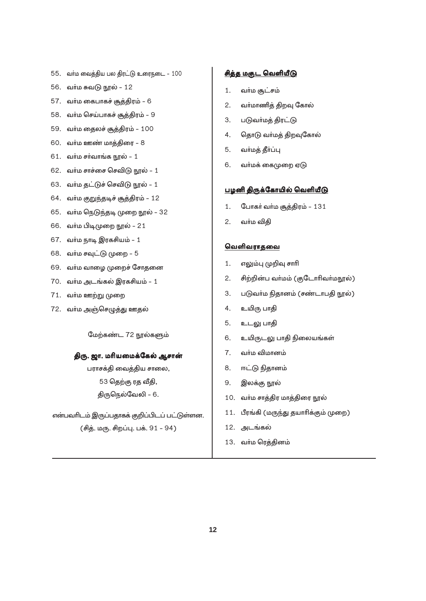- 55. வர்ம வைத்திய பல திரட்டு உரைநடை 100
- 56. வர்ம சுவடு நூல் 12
- 57. வா்ம கைபாகச் சூத்திரம் 6
- 58. வா்ம செய்பாகச் சூத்திரம் 9
- 59. வா்ம தைலச் சூத்திரம் 100
- 60. வா்ம ஊண் மாத்திரை 8
- 61. வர்ம சர்வாங்க நூல்  $1$
- 62. வா்ம சாச்சை செவிடு நூல் 1
- 63. வா்ம தட்டுச் செவிடு நூல் 1
- 64. வா்ம குறுந்தடிச் சூத்திரம் 12
- 65. வா்ம நெடுந்தடி முறை நூல் 32
- 66. வா்ம பிடிமுறை நூல் 21
- 67. வா்ம நாடி இரகசியம் 1
- 68. வா்ம சவுட்டு முறை 5
- 69. வா்ம வாழை முறைச் சோதனை
- 70. வா்ம அடங்கல் இரகசியம் 1
- 71. வா்ம ஊற்று முறை
- 72. வா்ம அஞ்செழுத்து ஊதல்

மேற்கண்ட 72 நூல்களும்

### திரு. ஜா. மரியமைக்கேல் ஆசான்

பராசக்தி வைத்திய சாலை, 53 தெற்கு ரத வீதி, திருநெல்வேலி – 6.

என்பவரிடம் இருப்பதாகக் குறிப்பிடப் பட்டுள்ளன. (சித். மரு. சிறப்பு. பக். 91 - 94)

### சித்த மகுட வெளியீடு

- $\mathbf{1}$ . வர்ம சூட்சம்
- $2.$ வா்மாணித் திறவு கோல்
- 3. படுவா்மத் திரட்டு
- தொடு வா்மத் திறவுகோல் 4.
- 5. வா்மத் தீா்ப்பு
- 6. வா்மக் கைமுறை ஏடு

### பழனி திருக்கோயில் வெளியீடு

- போகா் வா்ம சூத்திரம் 131  $\mathbf{1}$ .
- $\overline{2}$ . வா்ம விதி

### <u>வெளிவராதவை</u>

- எலும்பு முறிவு சாரி 1.
- $2.$ சிற்றின்ப வா்மம் (குடோரிவா்மநூல்)
- படுவா்ம நிதானம் (சண்டாபதி நூல்)  $3.$
- உயிரு பாதி  $4.$
- 5. உடலு பாதி
- 6. உயிருடலு பாதி நிலையங்கள்
- $\overline{7}$ . வா்ம விமானம்
- ஈட்டு நிதானம் 8.
- 9. இலக்கு நூல்
- 10. வா்ம சாத்திர மாத்திரை நூல்
- 11. பீரங்கி (மருந்து தயாரிக்கும் முறை)
- 12. அடங்கல்
- 13. வா்ம ரெத்தினம்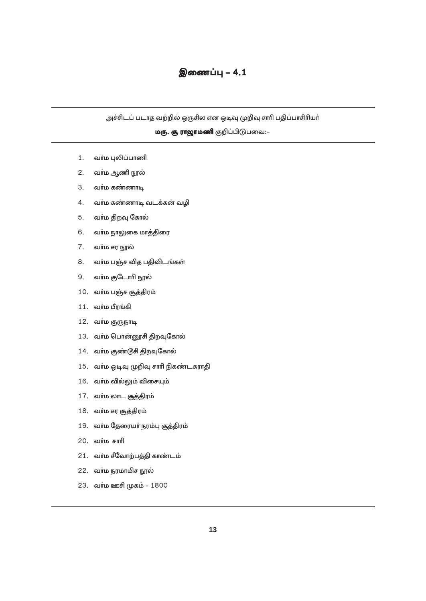## இணைப்பு – 4.1

அச்சிடப் படாத வற்றில் ஒருசில என ஒடிவு முறிவு சாரி பதிப்பாசிரியர்

மரு. கு ராஜாமணி குறிப்பிடுபவை:-

- வா்ம புலிப்பாணி  $1.$
- $2.$ வா்ம ஆணி நூல்
- வா்ம கண்ணாடி 3.
- வா்ம கண்ணாடி வடக்கன் வழி 4.
- 5. வா்ம திறவு கோல்
- 6. வா்ம நாலுகை மாத்திரை
- வா்ம சர நூல் 7.
- வா்ம பஞ்ச வித பதிவிடங்கள் 8.
- வா்ம குடோரி நூல் 9.
- 10. வா்ம பஞ்ச சூத்திரம்
- 11. வா்ம பீரங்கி
- 12. வா்ம குருநாடி
- 13. வா்ம பொன்னூசி திறவுகோல்
- 14. வா்ம குண்டூசி திறவுகோல்
- வா்ம ஒடிவு முறிவு சாாி நிகண்டகராதி 15.
- 16. வா்ம வில்லும் விசையும்
- 17. வா்ம லாட சூத்திரம்
- 18. வா்ம சர சூத்திரம்
- 19. வா்ம தேரையா் நரம்பு சூத்திரம்
- 20. வா்ம சாரி
- 21. வா்ம சீவோற்பத்தி காண்டம்
- 22. வா்ம நரமாமிச நூல்
- 23. வா்ம ஊசி முகம் 1800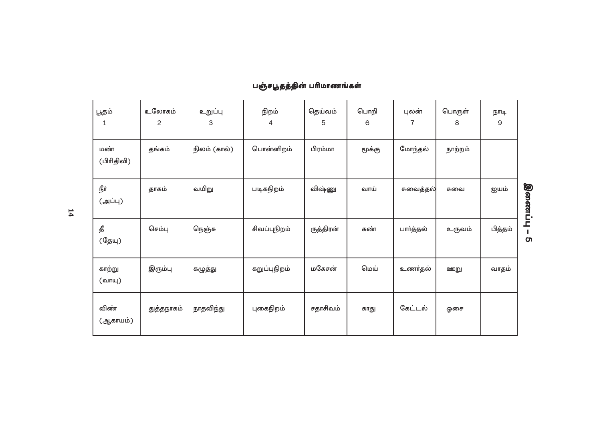| பூதம்<br>1        | உலோகம்<br>2 | உறுப்பு<br>3 | நிறம்<br>4   | தெய்வம்<br>5 | பொறி<br>6 | புலன்<br>7 | பொருள்<br>8 | நாடி<br>9 |          |
|-------------------|-------------|--------------|--------------|--------------|-----------|------------|-------------|-----------|----------|
| மண்<br>(பிரிதிவி) | தங்கம்      | நிலம் (கால்) | பொன்னிறம்    | பிரம்மா      | மூக்கு    | மோந்தல்    | நாற்றம்     |           |          |
| நீர்<br>(அப்பு)   | தாகம்       | வயிறு        | படிகநிறம்    | விஷ்ணு       | வாய்      | சுவைத்தல்  | சுவை        | ஐயம்      | ப்ப்ளணை  |
| தீ<br>(தேயு)      | செம்பு      | நெஞ்சு       | சிவப்புநிறம் | ருத்திரன்    | கண்       | பார்த்தல்  | உருவம்      | பித்தம்   | <b>ហ</b> |
| காற்று<br>(வாயு)  | இரும்பு     | கழுத்து      | கறுப்புநிறம் | மகேசன்       | மெய்      | உணர்தல்    | ஊறு         | வாதம்     |          |
| விண்<br>(ஆகாயம்)  | துத்தநாகம்  | நாதவிந்து    | புகைநிறம்    | சதாசிவம்     | காது      | கேட்டல்    | ஓசை         |           |          |

# பஞ்சபூதத்தின் பரிமாணங்கள்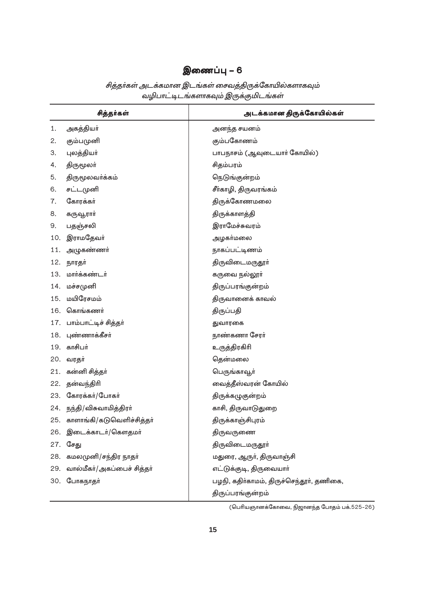|  | சித்தா்கள் அடக்கமான இடங்கள் சைவத்திருக்கோயில்களாகவும் |  |
|--|-------------------------------------------------------|--|
|  | வழிபாட்டிடங்களாகவும் இருக்குமிடங்கள்                  |  |

|     | சித்தர்கள்                    | அடக்கமான திருக்கோயில்கள்                 |
|-----|-------------------------------|------------------------------------------|
| 1.  | அகத்தியா்                     | அனந்த சயனம்                              |
| 2.  | கும்பமுனி                     | கும்பகோணம்                               |
| З.  | புலத்தியா்                    | பாபநாசம் (ஆவுடையார் கோயில்)              |
| 4.  | திருமூலா்                     | சிதம்பரம்                                |
| 5.  | திருமூலவா்க்கம்               | நெடுங்குன்றம்                            |
| 6.  | சட்டமுனி                      | சீா்காழி, திருவரங்கம்                    |
| 7.  | கோரக்கர்                      | திருக்கோணமலை                             |
| 8.  | கருவூராா்                     | திருக்காளத்தி                            |
| 9.  | பதஞ்சலி                       | இராமேச்சுவரம்                            |
| 10. | இராமதேவா்                     | அழகா்மலை                                 |
| 11. | அழுகண்ணா்                     | நாகப்பட்டிணம்                            |
|     | 12. நாரதர்                    | திருவிடைமருதூா்                          |
| 13. | மார்க்கண்டர்                  | கருவை நல்லூா்                            |
| 14. | மச்சமுனி                      | திருப்பரங்குன்றம்                        |
| 15. | மயிரேசமம்                     | திருவானைக் காவல்                         |
| 16. | கொங்கணர்                      | திருப்பதி                                |
| 17. | பாம்பாட்டிச் சித்தா்          | துவாரகை                                  |
| 18. | புண்ணாக்கீசா்                 | நாண்கணா சேரா்                            |
|     | 19. காசிபர்                   | உருத்திரகிரி                             |
| 20. | வரதா்                         | தென்மலை                                  |
| 21. | கன்னி சித்தா்                 | பெருங்காவூா்                             |
|     | 22. தன்வந்திரி                | வைத்தீஸ்வரன் கோயில்                      |
| 23. | கோரக்கர்/போகர்                | திருக்கழுகுன்றம்                         |
|     | 24. நந்தி/விசுவாமித்திரா்     | காசி, திருவாடுதுறை                       |
|     | 25. காளாங்கி/கடுவெளிச்சித்தா் | திருக்காஞ்சிபுரம்                        |
|     | 26. இடைக்காடர்/கௌதமா்         | திருவருணை                                |
| 27. | சேது                          | திருவிடைமருதூா்                          |
| 28. | கமலமுனி/சந்திர நாதா்          | மதுரை, ஆருா், திருவாஞ்சி                 |
| 29. | வால்மீகா்/அகப்பைச் சித்தா்    | எட்டுக்குடி, திருவையாா்                  |
| 30. | போகநாதர்                      | பழநி, கதிா்காமம், திருச்செந்தூா், தணிகை, |
|     |                               | திருப்பரங்குன்றம்                        |

(பெரியஞானக்கோவை, நிஜானந்த போதம் பக்.525–26)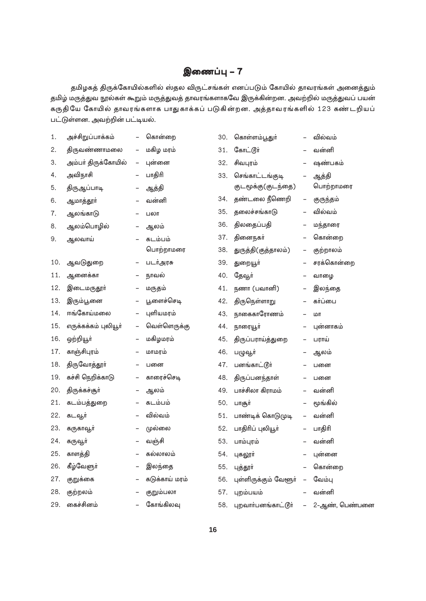தமிழகத் திருக்கோயில்களில் ஸ்தல விருட்சங்கள் எனப்படும் கோயில் தாவரங்கள் அனைத்தும் தமிழ் மருத்துவ நூல்கள் கூறும் மருத்துவத் தாவரங்களாகவே இருக்கின்றன. அவற்றில் மருத்துவப் பயன் கருதியே கோயில் தாவரங்களாக பாதுகாக்கப் படுகின்றன. அத்தாவரங்களில் 123 கண்டறியப் பட்டுள்ளன. அவற்றின் பட்டியல்.

| அச்சிறுப்பாக்கம்     |                          | கொன்றை         | 30. | கொள்ளம்பூதுா்         | -                        | வில்வம்        |
|----------------------|--------------------------|----------------|-----|-----------------------|--------------------------|----------------|
| திருவண்ணாமலை         | $\qquad \qquad -$        | மகிழ மரம்      | 31. | கோட்டூர்              |                          | வன்னி          |
| அம்பா் திருக்கோயில்  | $\qquad \qquad -$        | புன்னை         | 32. | சிவபுரம்              | -                        | ஷண்பகம்        |
| அவிநாசி              | $\overline{\phantom{0}}$ | பாதிரி         | 33. | செங்காட்டங்குடி       |                          | ஆத்தி          |
| திருஆப்பாடி          | $\qquad \qquad -$        | ஆத்தி          |     | குடமூக்கு(குடந்தை)    |                          | பொற்றாமரை      |
| ஆமாத்தூா்            |                          | வன்னி          | 34. | தண்டலை நீணெறி         | -                        | குருந்தம்      |
| ஆலங்காடு             | $\overline{\phantom{0}}$ | பலா            | 35. | தலைச்சங்காடு          | $\qquad \qquad -$        | வில்வம்        |
| ஆலம்பொழில்           |                          | ஆலம்           | 36. | திலதைப்பதி            | -                        | மந்தாரை        |
| ஆலவாய்               |                          | கடம்பம்        | 37. | தினைநகர்              | -                        | கொன்றை         |
|                      |                          | பொற்றாமரை      | 38. | துருத்தி(குத்தாலம்)   | -                        | குற்றாலம்      |
| ஆவடுதுறை             | -                        | படர்அரசு       | 39. | துறையூா்              | -                        | சரக்கொன்றை     |
| ஆனைக்கா              | -                        | நாவல்          | 40. | தேவூர்                | $\qquad \qquad -$        | வாழை           |
| இடைமருதூா்           | $\qquad \qquad -$        | மருதம்         | 41. | நணா (பவானி)           | $\overline{\phantom{a}}$ | இலந்தை         |
| இரும்பூனை            | $\qquad \qquad -$        | பூளைச்செடி     | 42. | திருநெள்ளாறு          | -                        | கர்ப்பை        |
| ஈங்கோய்மலை           | $\qquad \qquad -$        | புளியமரம்      | 43. | நாகைகாரோணம்           | -                        | ШΠ             |
| எருக்கக்கம் புலியூா் | -                        | வெள்ளெருக்கு   | 44. | நாரையூர்              | -                        | புன்னாகம்      |
| ஒற்றியூா்            | -                        | மகிழமரம்       | 45. | திருப்பராய்த்துறை     |                          | பராய்          |
| காஞ்சிபுரம்          | -                        | மாமரம்         | 46. | பழுவூா்               |                          | ஆலம்           |
| திருவோத்தூா்         | -                        | பனை            | 47. | பனங்காட்டூர்          |                          | பனை            |
| கச்சி நெறிக்காடு     | $\qquad \qquad -$        | காரைச்செடி     | 48. | திருப்பனந்தாள்        | -                        | பனை            |
| திருக்கச்சூா்        | -                        | ஆலம்           | 49. | பாச்சிலா கிராமம்      | -                        | வன்னி          |
| கடம்பத்துறை          | $\qquad \qquad -$        | கடம்பம்        | 50. | பாசூர்                | -                        | மூங்கில்       |
| கடவூர்               | $\qquad \qquad -$        | வில்வம்        | 51. | பாண்டிக் கொடுமுடி     | -                        | வன்னி          |
| கருகாவூா்            | -                        | முல்லை         | 52. | பாதிரிப் புலியூர்     | $\qquad \qquad -$        | பாதிரி         |
| கருவூா்              |                          | வஞ்சி          | 53. | பாம்புரம்             |                          | வன்னி          |
| காளத்தி              |                          | கல்லாலம்       |     |                       |                          | புன்னை         |
| கீழ்வேளுா்           |                          | இலந்தை         | 55. | புத்தூா்              |                          | கொன்றை         |
| குறுக்கை             |                          | கடுக்காய் மரம் | 56. | புள்ளிருக்கும் வேளூா் | $\qquad \qquad -$        | வேம்பு         |
| குற்றலம்             |                          | குறும்பலா      | 57. | புறம்பயம்             |                          | வன்னி          |
| கைச்சினம்            |                          | கோங்கிலவு      | 58. | புறவார்பனங்காட்டூர்   |                          | 2-ஆண், பெண்பனை |
|                      |                          |                |     |                       | 54. புகலூர்              |                |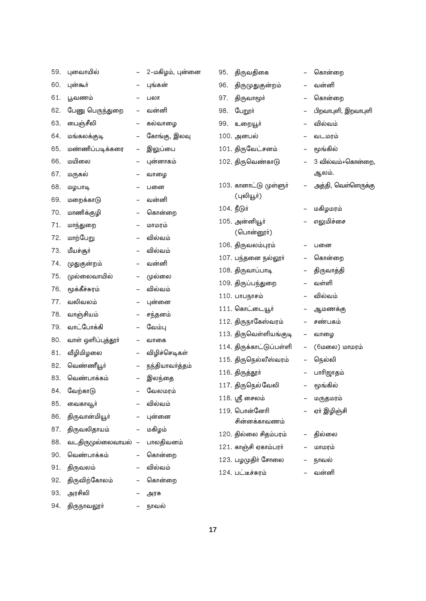| 59. | புனவாயில்           | $\overline{\phantom{a}}$ | 2–மகிழம், புன்னை | 95. | திருவதிகை                | -                        | கொன்றை              |
|-----|---------------------|--------------------------|------------------|-----|--------------------------|--------------------------|---------------------|
| 60. | புன்கூர்            | -                        | புங்கன்          | 96. | திருமுதுகுன்றம்          | -                        | வன்னி               |
| 61. | பூவணம்              | $\overline{\phantom{a}}$ | பலா              | 97. | திருவாமூா்               | -                        | கொன்றை              |
| 62. | பேணு பெருந்துறை     | $\qquad \qquad -$        | வன்னி            | 98. | பேறூர்                   | -                        | பிறவாபுளி, இறவாபுளி |
| 63. | பைஞ்சீலி            | -                        | கல்வாழை          | 99. | உறையூா்                  | -                        | வில்வம்             |
| 64. | மங்கலக்குடி         | -                        | கோங்கு, இலவு     |     | 100. அனபல்               | -                        | வடமரம்              |
| 65. | மண்ணிப்படிக்கரை     | $\qquad \qquad -$        | இலுப்பை          |     | 101. திருவேட்சனம்        | $\qquad \qquad -$        | மூங்கில்            |
| 66. | மயிலை               | -                        | புன்னாகம்        |     | 102. திருவெண்காடு        |                          | 3 வில்வம்+கொன்றை,   |
| 67. | மருகல்              | $\qquad \qquad -$        | வாழை             |     |                          |                          | ஆலம்.               |
| 68. | மழபாடி              | -                        | பனை              |     | 103. கானாட்டு முள்ளுர்   |                          | அத்தி, வெள்ளெருக்கு |
| 69. | மறைக்காடு           | -                        | வன்னி            |     | (புலியூர்)               |                          |                     |
| 70. | மாணிக்குழி          | -                        | கொன்றை           |     | 104. நீடுர்              | -                        | மகிழமரம்            |
| 71. | மாந்துறை            | $\qquad \qquad -$        | மாமரம்           |     | 105. அன்னியூர்           |                          | எலுமிச்சை           |
| 72. | மாற்பேறு            | -                        | வில்வம்          |     | (பொன்னூர்)               |                          |                     |
| 73. | மீயச்சூா்           | $\overline{\phantom{0}}$ | வில்வம்          |     | 106. திருவலம்புரம்       |                          | பனை                 |
| 74. | முதுகுன்றம்         | -                        | வன்னி            |     | 107. பந்தனை நல்லூர்      |                          | கொன்றை              |
| 75. | முல்லைவாயில்        | -                        | முல்லை           |     | 108. திருவாப்பாடி        |                          | திருவாத்தி          |
| 76. | மூக்கீச்சுரம்       | -                        | வில்வம்          |     | 109. திருப்பந்துறை       |                          | வள்ளி               |
| 77. | வலிவலம்             | $\qquad \qquad -$        | புன்னை           |     | 110. பாபநாசம்            |                          | வில்வம்             |
| 78. | வாஞ்சியம்           | -                        | சந்தனம்          |     | 111. கொட்டையூர்          | -                        | ஆமணக்கு             |
| 79. | வாட்போக்கி          | -                        | வேம்பு           |     | 112. திருநாகேஸ்வரம்      | -                        | சண்பகம்             |
| 80. | வாள் ஒளிப்புத்தூா்  | -                        | வாகை             |     | 113. திருவெள்ளியங்குடி   | $\qquad \qquad -$        | வாழை                |
| 81. | வீழிமிழலை           | $\qquad \qquad -$        | விழிச்செடிகள்    |     | 114. திருக்காட்டுப்பள்ளி | -                        | (6மலை) மாமரம்       |
| 82. | வெண்ணீயூா்          | $\qquad \qquad -$        | நந்தியாவா்த்தம்  |     | 115. திருநெல்லீஸ்வரம்    | $\qquad \qquad -$        | நெல்லி              |
| 83. | வெண்பாக்கம்         | $\qquad \qquad -$        | இலந்தை           |     | 116. திருத்தூா்          |                          | பாரிஜாதம்           |
| 84. | வேற்காடு            |                          | வேலமரம்          |     | 117. திருநெல்வேலி        | $\overline{\phantom{0}}$ | மூங்கில்            |
| 85. | வைகாவூா்            |                          | வில்வம்          |     | 118. ஸ்ரீ சைலம்          |                          | மருதமரம்            |
| 86. | திருவான்மியூா்      | -                        | புன்னை           |     | 119. பொன்னேரி            |                          | ஏா் இழிஞ்சி         |
| 87. | திருவலிதாயம்        | -                        | மகிழம்           |     | சின்னக்காவணம்            |                          |                     |
| 88. | வடதிருமுல்லைவாயல் – |                          | பாலதிவனம்        |     | 120. தில்லை சிதம்பரம்    |                          | தில்லை              |
| 90. | வெண்பாக்கம்         |                          | கொன்றை           |     | 121. காஞ்சி ஏகாம்பரா்    |                          | மாமரம்              |
| 91. | திருவலம்            |                          | வில்வம்          |     | 123. பழமுதிர் சோலை       | $\qquad \qquad -$        | நாவல்               |
| 92. | திருவிற்கோலம்       |                          | கொன்றை           |     | 124. பட்டீச்சுரம்        |                          | வன்னி               |
| 93. | அரசிலி              |                          |                  |     |                          |                          |                     |
|     |                     |                          | அரசு             |     |                          |                          |                     |
| 94. | திருநாவலூா்         |                          | நாவல்            |     |                          |                          |                     |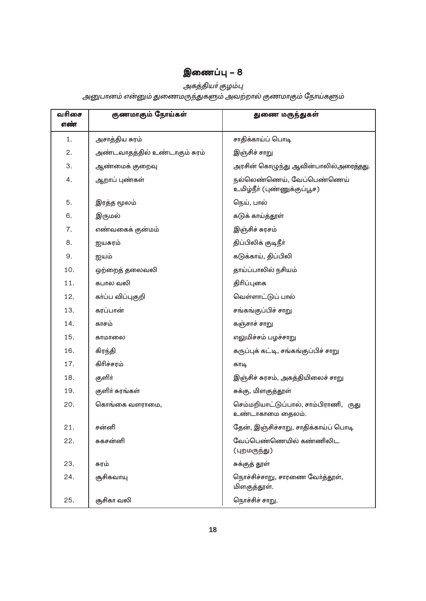# அகத்தியர் குழம்பு

*¸-˘-˚-k-ƒ X-G-˘-ƒ Ù-Œ\-J-{-π-Ù-¿-Î-ƒ ¸b-U-Y-A ‡\-J-‡-ƒ —Õ≠-¿-Î-ƒ*

| வரிசை<br>எண் | குணமாகும் நோய்கள்             | துணை மருந்துகள்                                           |
|--------------|-------------------------------|-----------------------------------------------------------|
| 1.           | அசாத்திய சுரம்                | சாதிக்காய்ப் பொடி                                         |
| 2.           | அண்டவாதத்தில் உண்டாகும் சுரம் | இஞ்சிச் சாறு                                              |
| 3.           | ஆண்மைக் குறைவு                | அரசின் கொழுந்து ஆவின்பாலில்அரைத்தது.                      |
| 4.           | ஆறாப் புண்கள்                 | நல்லெண்ணெய், வேப்பெண்ணெய்<br>உமிழ்நீா் (புண்ணுக்குப்பூச)  |
| 5.           | இரத்த மூலம்                   | நெய், பால்                                                |
| 6.           | இருமல்                        | கடுக் காய்த்தூள்                                          |
| 7.           | எண்வகைக் குன்மம்              | இஞ்சிச் சுரசம்                                            |
| 8.           | ஐயசுரம்                       | திப்பிலிக் குடிநீா்                                       |
| 9.           | ஐயம்                          | கடுக்காய், திப்பிலி                                       |
| 10.          | ஒற்றைத் தலைவலி                | தாய்ப்பாலில் நசியம்                                       |
| 11.          | கபால வலி                      | திரிப்புகை                                                |
| 12.          | கா்ப்ப விப்புகுறி             | வெள்ளாட்டுப் பால்                                         |
| 13.          | கரப்பான்                      | சங்கங்குப்பிச் சாறு                                       |
| 14.          | காசம்                         | கஞ்சாச் சாறு                                              |
| 15.          | காமாலை                        | எலுமிச்சம் பழச்சாறு                                       |
| 16.          | கிரந்தி                       | கருப்புக் கட்டி, சங்கங்குப்பிச் சாறு                      |
| 17.          | கிரிச்சரம்                    | காடி                                                      |
| 18.          | குளிா்                        | இஞ்சிச் சுரசம், அகத்தியிலைச் சாறு                         |
| 19.          | குளிா் சுரங்கள்               | சுக்கு, மிளகுத்தூள்                                       |
| 20.          | கொங்கை வளராமை,                | செம்மறியாட்டுப்பால், சாம்பிராணி, ருது<br>உண்டாகாமை தைலம். |
| 21.          | சன்னி                         | தேன், இஞ்சிச்சாறு, சாதிக்காய்ப் பொடி                      |
| 22.          | சுகசன்னி                      | வேப்பெண்ணெயில் கண்ணிலிட<br>(புறமருந்து)                   |
| 23.          | சுரம்                         | சுக்குத் தூள்                                             |
| 24.          | சூசிகவாயு                     | நொச்சிச்சாறு, சாரணை வேர்த்தூள்,<br>மிளகுத்தூள்.           |
| 25.          | சூசிகா வலி                    | நொச்சிச் சாறு.                                            |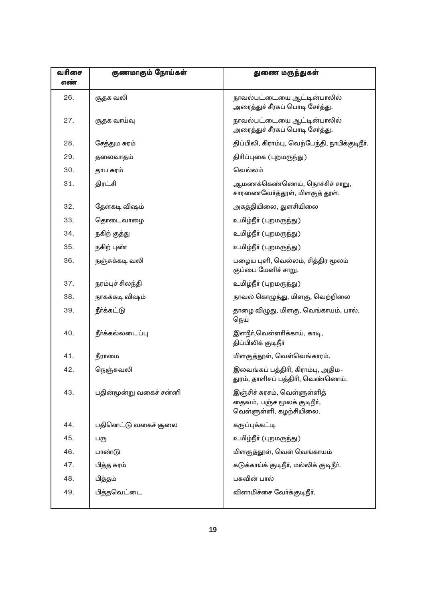| வரிசை<br>எண் | குணமாகும் நோய்கள்       | துணை மருந்துகள்                                                                        |
|--------------|-------------------------|----------------------------------------------------------------------------------------|
| 26.          | சூதக வலி                | நாவல்பட்டையை ஆட்டின்பாலில்<br>அரைத்துச் சீரகப் பொடி சோ்த்து.                           |
| 27.          | சூதக வாய்வு             | நாவல்பட்டையை ஆட்டின்பாலில்<br>அரைத்துச் சீரகப் பொடி சோ்த்து.                           |
| 28.          | சேத்தும சுரம்           | திப்பிலி, கிராம்பு, வெற்பேந்தி, நாபிக்குடிநீா்.                                        |
| 29.          | தலைவாதம்                | திரிப்புகை (புறமருந்து)                                                                |
| 30.          | தாப சுரம்               | வெல்லம்                                                                                |
| 31.          | திரட்சி                 | ஆமணக்கெண்ணெய், நொச்சிச் சாறு,<br>சாரணைவோ்த்தூள், மிளகுத் தூள்.                         |
| 32.          | தேள்கடி விஷம்           | அகத்தியிலை, துளசியிலை                                                                  |
| 33.          | தொடைவாழை                | உமிழ்நீா் (புறமருந்து)                                                                 |
| 34.          | நகிற் குத்து            | உமிழ்நீா் (புறமருந்து)                                                                 |
| 35.          | நகிற் புண்              | உமிழ்நீா் (புறமருந்து)                                                                 |
| 36.          | நஞ்சுக்கடி வலி          | பழைய புளி, வெல்லம், சித்திர மூலம்<br>குப்பை மேனிச் சாறு.                               |
| 37.          | நரம்புச் சிலந்தி        | உமிழ்நீா் (புறமருந்து)                                                                 |
| 38.          | நாகக்கடி விஷம்          | நாவல் கொழுந்து, மிளகு, வெற்றிலை                                                        |
| 39.          | நீர்க்கட்டு             | தாழை விழுது, மிளகு, வெங்காயம், பால்,<br>நெய்                                           |
| 40.          | நீர்க்கல்லடைப்பு        | இளநீா்,வெள்ளரிக்காய், காடி,<br>திப்பிலிக் குடிநீா்                                     |
| 41.          | நீராமை                  | மிளகுத்தூள், வெள்வெங்காரம்.                                                            |
| 42.          | நெஞ்சுவலி               | இலவங்கப் பத்திரி, கிராம்பு, அதிம–<br>துரம், தாளிசப் பத்திரி, வெண்ணெய்.                 |
| 43.          | பதின்மூன்று வகைச் சன்னி | இஞ்சிச் சுரசம், வெள்ளுள்ளித்<br>தைலம், பஞ்ச மூலக் குடிநீா்,<br>வெள்ளுள்ளி, கழற்சியிலை. |
| 44.          | பதினெட்டு வகைச் சூலை    | கருப்புக்கட்டி                                                                         |
| 45.          | பரு                     | உமிழ்நீா் (புறமருந்து)                                                                 |
| 46.          | பாண்டு                  | மிளகுத்தூள், வெள் வெங்காயம்                                                            |
| 47.          | பித்த சுரம்             | கடுக்காய்க் குடிநீா், மல்லிக் குடிநீா்.                                                |
| 48.          | பித்தம்                 | பசுவின் பால்                                                                           |
| 49.          | பித்தவெட்டை             | விளாமிச்சை வேர்க்குடிநீர்.                                                             |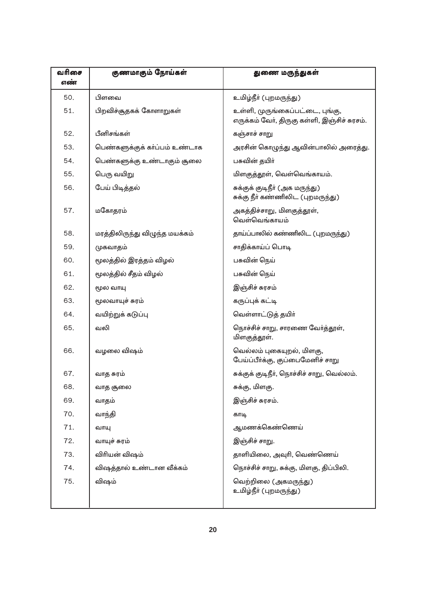| வரிசை<br>எண் | குணமாகும் நோய்கள்              | துணை மருந்துகள்                                                                |
|--------------|--------------------------------|--------------------------------------------------------------------------------|
| 50.          | பிளவை                          | உமிழ்நீா் (புறமருந்து)                                                         |
| 51.          | பிறவிச்சூதகக் கோளாறுகள்        | உள்ளி, முருங்கைப்பட்டை, புங்கு,<br>எருக்கம் வோ், திருகு கள்ளி, இஞ்சிச் சுரசம். |
| 52.          | பீனிசங்கள்                     | கஞ்சாச் சாறு                                                                   |
| 53.          | பெண்களுக்குக் கா்ப்பம் உண்டாக  | அரசின் கொழுந்து ஆவின்பாலில் அரைத்து.                                           |
| 54.          | பெண்களுக்கு உண்டாகும் சூலை     | பசுவின் தயிா்                                                                  |
| 55.          | பெரு வயிறு                     | மிளகுத்தூள், வெள்வெங்காயம்.                                                    |
| 56.          | பேய் பிடித்தல்                 | சுக்குக் குடிநீா் (அக மருந்து)<br>சுக்கு நீா் கண்ணிலிட (புறமருந்து)            |
| 57.          | மகோதரம்                        | அகத்திச்சாறு, மிளகுத்தூள்,<br>வெள்வெங்காயம்                                    |
| 58.          | மரத்திலிருந்து விழுந்த மயக்கம் | தாய்ப்பாலில் கண்ணிலிட (புறமருந்து)                                             |
| 59.          | முகவாதம்                       | சாதிக்காய்ப் பொடி                                                              |
| 60.          | மூலத்தில் இரத்தம் விழல்        | பசுவின் நெய்                                                                   |
| 61.          | மூலத்தில் சீதம் விழல்          | பசுவின் நெய்                                                                   |
| 62.          | மூல வாயு                       | இஞ்சிச் சுரசம்                                                                 |
| 63.          | மூலவாயுச் சுரம்                | கருப்புக் கட்டி                                                                |
| 64.          | வயிற்றுக் கடுப்பு              | வெள்ளாட்டுத் தயிா்                                                             |
| 65.          | வலி                            | நொச்சிச் சாறு, சாரணை வோ்த்தூள்,<br>மிளகுத்தூள்.                                |
| 66.          | வழலை விஷம்                     | வெல்லம் புகையுறல், மிளகு,<br>பேய்ப்பீா்க்கு, குப்பைமேனிச் சாறு                 |
| 67.          | வாத சுரம்                      | சுக்குக் குடிநீா், நொச்சிச் சாறு, வெல்லம்.                                     |
| 68.          | வாத சூலை                       | சுக்கு, மிளகு.                                                                 |
| 69.          | வாதம்                          | இஞ்சிச் சுரசம்.                                                                |
| 70.          | வாந்தி                         | காடி                                                                           |
| 71.          | வாயு                           | ஆமணக்கெண்ணெய்                                                                  |
| 72.          | வாயுச் சுரம்                   | இஞ்சிச் சாறு.                                                                  |
| 73.          | விரியன் விஷம்                  | தாளியிலை, அவுரி, வெண்ணெய்                                                      |
| 74.          | விஷத்தால் உண்டான வீக்கம்       | நொச்சிச் சாறு, சுக்கு, மிளகு, திப்பிலி.                                        |
| 75.          | விஷம்                          | வெற்றிலை (அகமருந்து)<br>உமிழ்நீா் (புறமருந்து)                                 |
|              |                                |                                                                                |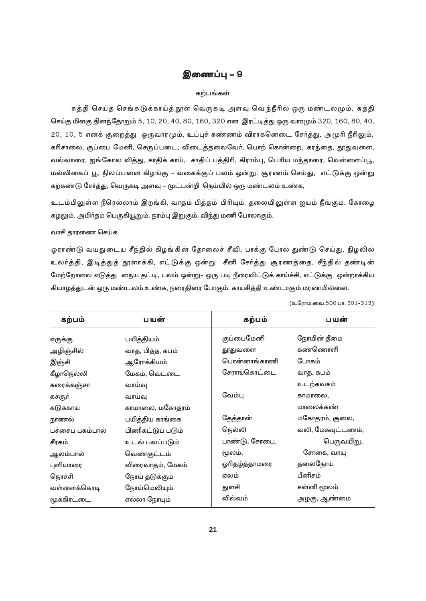#### கற்பங்கள்

சுத்தி செய்த செங்கடுக்காய்த்தூள் வெருகடி அளவு வெந்நீரில் ஒரு மண்டலமும், சுத்தி செய்த மிளகு தினந்தோறும் 5, 10, 20, 40, 80, 160, 320 என இரட்டித்து ஒரு வாரமும் 320, 160, 80, 40, 20, 10, 5 எனக் குறைத்து ஒருவாரமும், உப்புச் சுண்ணம் விராகனெடை சேர்த்து, அமுரி நீரிலும், கரிசாலை, குப்பை மேனி, செருப்படை, விடைத்தலைவேர், பொற் கொன்றை, கரந்தை, தூதுவளை, வல்லாரை, ஐங்கோல வித்து, சாதிக் காய், சாதிப் பத்திரி, கிராம்பு, பெரிய மந்தாரை, வெள்ளைப்பூ, மல்லிகைப் பூ, நிலப்பனை கிழங்கு - வகைக்குப் பலம் ஒன்று. சூரணம் செய்து, எட்டுக்கு ஒன்று கற்கண்டு சோ்த்து, வெருகடி அளவு – முட்பன்றி நெய்யில் ஒரு மண்டலம் உண்க,

உடம்பிலுள்ள நீரெல்லாம் இறங்கி, வாதம் பித்தம் பிரியும். தலையிலுள்ள ஐயம் நீங்கும். கோழை கழலும். அமிா்தம் பெருகியூறும். நரம்பு இறுகும். விந்து மணி போலாகும்.

#### வாசி தாரணை செய்க

ஓராண்டு வயதுடைய சீந்தில் கிழங்கின் தோலைச் சீவி, பாக்கு போல் துண்டு செய்து, நிழலில் உலர்த்தி, இடித்துத் தூளாக்கி, எட்டுக்கு ஒன்று சீனி சேர்த்து சூரணத்தை, சீந்தில் தண்டின் மேற்றோலை எடுத்து நைய தட்டி, பலம் ஒன்று– ஒரு படி நீரைவிட்டுக் காய்ச்சி, எட்டுக்கு ஒன்றாக்கிய கியாழத்துடன் ஒரு மண்டலம் உண்க, நரைதிரை போகும். காயசித்தி உண்டாகும் மரணமில்லை.

| கற்பம்            | பயன்              | கற்பம்        | பயன்              |
|-------------------|-------------------|---------------|-------------------|
| எருக்கு           | பயித்தியம்        | குப்பைமேனி    | நோயின் தீமை       |
| அழிஞ்சில்         | வாத, பித்த, கபம்  | தூதுவளை       | கண்ணொளி           |
| இஞ்சி             | ஆரோக்கியம்        | பொன்னாங்காணி  | போகம்             |
| கீழாநெல்லி        | மேகம், வெட்டை     | சேராங்கொட்டை  | வாத, கபம்         |
| சுரைக்கஞ்சா       | வாய்வு            |               | உடற்கவசம்         |
| கச்சூா்           | வாய்வு            | வேம்பு        | காமாலை,           |
| கடுக்காய்         | காமாலை, மகோதரம்   |               | மாலைக்கண்         |
| நாணல்             | பயித்திய காங்கை   | தேத்தான்      | மகோதரம், சூலை,    |
| பச்சைப் பசும்பால் | பிணிகட்டுப் படும் | நெல்லி        | வலி, மேகவுட்டணம், |
| சீரகம்            | உடல் பலப்படும்    | பாண்டு, சோபை, | பெருவயிறு,        |
| ஆலம்பால்          | வெண்குட்டம்       | மூலம்,        | சோகை, வாயு        |
| புளியாரை          | விரைவாதம், மேகம்  | ஓாிதழ்த்தாமரை | தலைநோய்           |
| நொச்சி            | நோய் தடுக்கும்    | ஏலம்          | பீனிசம்           |
| வள்ளைக்கொடி       | நோய்மெலியும்      | துளசி         | சன்னி மூலம்       |
| மூக்கிரட்டை       | எல்லா நோயும்      | வில்வம்       | அழகு, ஆண்மை       |

(உரோம.வை.500 பா. 301-313)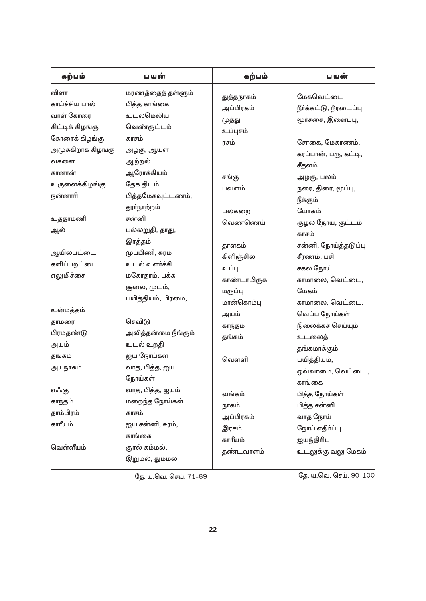| கற்பம்              | பயன்                | கற்பம்      | பயன்                   |
|---------------------|---------------------|-------------|------------------------|
| விளா                | மரணத்தைத் தள்ளும்   | துத்தநாகம்  | மேகவெட்டை              |
| காய்ச்சிய பால்      | பித்த காங்கை        | அப்பிரகம்   | நீர்க்கட்டு, நீரடைப்பு |
| வாள் கோரை           | உடல்மெலிய           | முத்து      | மூர்ச்சை, இளைப்பு,     |
| கிட்டிக் கிழங்கு    | வெண்குட்டம்         | உப்புசம்    |                        |
| கோரைக் கிழங்கு      | காசம்               | ரசம்        | சோகை, மேகரணம்,         |
| அமுக்கிறாக் கிழங்கு | அழகு, ஆயுள்         |             | கரப்பான், பரு, கட்டி,  |
| வசளை                | ஆற்றல்              |             | சீதளம்                 |
| கானான்              | ஆரோக்கியம்          | சங்கு       | அழகு, பலம்             |
| உருளைக்கிழங்கு      | தேக திடம்           | பவளம்       | நரை, திரை, மூப்பு,     |
| நன்னாரி             | பித்தமேகவுட்டணம்,   |             | நீக்கும்               |
|                     | தூா்நாற்றம்         | பலகறை       | யோகம்                  |
| உத்தாமணி            | சன்னி               | வெண்ணெய்    | குழல் நோய், குட்டம்    |
| ஆல்                 | பல்லறுதி, தாது,     |             | காசம்                  |
|                     | இரத்தம்             | தாளகம்      | சன்னி, நோய்த்தடுப்பு   |
| ஆயில்பட்டை          | முப்பிணி, சுரம்     | கிளிஞ்சில்  | சீரணம், பசி            |
| களிப்பறட்டை         | உடல் வளர்ச்சி       | உப்பு       | சகல நோய்               |
| எலுமிச்சை           | மகோதரம், பக்க       | காண்டாமிருக | காமாலை, வெட்டை,        |
|                     | சூலை, முடம்,        | மருப்பு     | மேகம்                  |
|                     | பயித்தியம், பிரமை,  | மான்கொம்பு  | காமாலை, வெட்டை,        |
| உன்மத்தம்           |                     | அயம்        | வெப்ப நோய்கள்          |
| தாமரை               | செவிடு              | காந்தம்     | நிலைக்கச் செய்யும்     |
| பிரமதண்டு           | அலித்தன்மை நீங்கும் | தங்கம்      | உடலைத்                 |
| அயம்                | உடல் உறதி           |             | தங்கமாக்கும்           |
| தங்கம்              | ஐய நோய்கள்          | வெள்ளி      | பயித்தியம்,            |
| அயநாகம்             | வாத, பித்த, ஐய      |             | ஒவ்வாமை, வெட்டை,       |
|                     | நோய்கள்             |             | காங்கை                 |
| ௭ஂஂ௹                | வாத, பித்த, ஐயம்    | வங்கம்      | பித்த நோய்கள்          |
| காந்தம்             | மறைந்த நோய்கள்      | நாகம்       | பித்த சன்னி            |
| தாம்பிரம்           | காசம்               | அப்பிரகம்   | வாத நோய்               |
| காரீயம்             | ஐய சன்னி, சுரம்,    | இரசம்       | நோய் எதிா்ப்பு         |
|                     | காங்கை              | காரீயம்     | ஐயந்திரிபு             |
| வெள்ளீயம்           | குரல் கம்மல்,       | தண்டவாளம்   | உடலுக்கு வலு மேகம்     |
|                     | இறுமல், தும்மல்     |             |                        |

தே. ய.வெ. செய். 71-89

தே. ய.வெ. செய். 90-100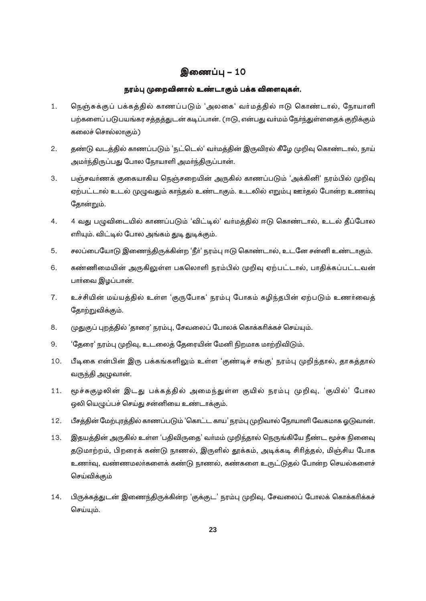### நரம்பு முறைவினால் உண்டாகும் பக்க விளைவுகள்.

- நெஞ்சுக்குப் பக்கத்தில் காணப்படும் 'அலகை' வர்மத்தில் ஈடு கொண்டால், நோயாளி  $1.$ பற்களைப் படுபயங்கர சத்தத்துடன் கடிப்பான். (ஈடு, என்பது வா்மம் நோ்ந்துள்ளதைக் குறிக்கும் கலைச் சொல்லாகும்)
- $2.$ தண்டு வடத்தில் காணப்படும் 'நட்டெல்' வா்மத்தின் இருவிரல் கீழே முறிவு கொண்டால், நாய் அமா்ந்திருப்பது போல நோயாளி அமா்ந்திருப்பான்.
- 3. பஞ்சவாணக் குகையாகிய நெஞ்சறையின் அருகில் காணப்படும் 'அக்கினி' நரம்பில் முறிவு ஏற்பட்டால் உடல் முழுவதும் காந்தல் உண்டாகும். உடலில் எறும்பு ஊர்தல் போன்ற உணர்வு தோன்றும்.
- $\overline{4}$ . 4 வகு புமவிடையில் காணப்படும் 'விட்டில்' வர்மக்கில் ஈடு கொண்டால். உடல் கீப்போல எரியம். விட்டில் போல அங்கம் துடி துடிக்கும்.
- 5. சலப்பையோடு இணைந்திருக்கின்ற 'நீா்' நரம்பு ஈடு கொண்டால், உடனே சன்னி உண்டாகும்.
- 6. கண்ணிமையின் அருகிலுள்ள பகலொளி நரம்பில் முறிவு ஏற்பட்டால், பாதிக்கப்பட்டவன் பார்வை இழப்பான்.
- $7.$ உச்சியின் மய்யத்தில் உள்ள 'குருபோக' நரம்பு போகம் கழிந்தபின் ஏற்படும் உணர்வைத் தோற்றுவிக்கும்.
- 8. முதுகுப் புறத்தில் 'தாரை' நரம்பு, சேவலைப் போலக் கொக்கரிக்கச் செய்யும்.
- 'கேரை' நரம்பு முறிவு, உடலைத் கேரையின் மேனி நிறமாக மாற்றிவிடும். 9.
- பீடிகை என்பின் இரு பக்கங்களிலும் உள்ள 'குண்டிச் சங்கு' நரம்பு முறிந்தால், தாகத்தால் 10. வருந்தி அழுவான்.
- $11.$ மூச்சுகுழலின் இடது பக்கத்தில் அமைந்துள்ள குயில் நரம்பு முறிவு, 'குயில்' போல ஒலி யெழுப்பச் செய்து சன்னியை உண்டாக்கும்.
- 12. பீசத்தின் மேற்புரத்தில் காணப்படும் 'கொட்ட காய' நரம்பு முறிவால் நோயாளி வேகமாக ஓடுவான்.
- 13. இதயத்தின் அருகில் உள்ள 'பதிவிருதை' வா்மம் முறிந்தால் நெருங்கியே நீண்ட மூச்சு நினைவு தடுமாற்றம், பிறரைக் கண்டு நாணல், இருளில் தூக்கம், அடிக்கடி சிரித்தல், மிஞ்சிய போக உணா்வு, வண்ணமலா்களைக் கண்டு நாணல், கண்களை உருட்டுதல் போன்ற செயல்களைச் செய்விக்கும்
- பிருக்கத்துடன் இணைந்திருக்கின்ற 'குக்குட' நரம்பு முறிவு, சேவலைப் போலக் கொக்கரிக்கச் 14. செய்யும்.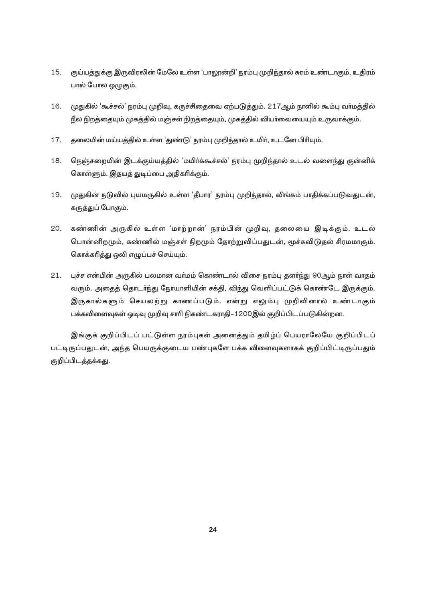- 15. குய்யத்துக்கு இருவிரலின் மேலே உள்ள 'பாலூன்றி' நரம்பு முறிந்தால் சுரம் உண்டாகும். உதிரம் பால் போல ஒழுகும்.
- 16. முதுகில் 'கூச்சல்' நரம்பு முறிவு, கருச்சிதைவை ஏற்படுத்தும். 217ஆம் நாளில் கூம்பு வா்மத்தில் நீல நிறத்தையும் முகத்தில் மஞ்சள் நிறத்தையும், முகத்தில் வியா்வையையும் உருவாக்கும்.
- 17. தலையின் மய்யத்தில் உள்ள 'துண்டு' நரம்பு முறிந்தால் உயிா், உடனே பிாியும்.
- 18. நெஞ்சறையின் இடக்குய்யத்தில் 'மயிர்க்கூச்சல்' நரம்பு முறிந்தால் உடல் வளைந்து குன்னிக் கொள்ளும். இதயத் துடிப்பை அதிகரிக்கும்.
- 19. முதுகின் நடுவில் புயமருகில் உள்ள 'தீபார' நரம்பு முறிந்தால், லிங்கம் பாதிக்கப்படுவதுடன், கருத்துப் போகும்.
- கண்ணின் அருகில் உள்ள 'மாற்றான்' நரம்பின் முறிவு, தலையை இடிக்கும். உடல் 20. பொன்னிறமும், கண்ணில் மஞ்சள் நிறமும் தோற்றுவிப்பதுடன், மூச்சுவிடுதல் சிரமமாகும். கொக்கரித்து ஒலி எழுப்பச் செய்யும்.
- 21. புச்ச என்பின் அருகில் பலமான வா்மம் கொண்டால் விசை நரம்பு தளா்ந்து 90ஆம் நாள் வாதம் வரும். அதைத் தொடா்ந்து நோயாளியின் சக்தி, விந்து வெளிப்பட்டுக் கொண்டே இருக்கும். இருகால்களும் செயலற்று காணப்படும். என்று எலும்பு முறிவினால் உண்டாகும் பக்கவிளைவுகள் ஒடிவு முறிவு சாரி நிகண்டகராதி–1200இல் குறிப்பிடப்படுகின்றன.

இங்குக் குறிப்பிடப் பட்டுள்ள நரம்புகள் அனைத்தும் தமிழ்ப் பெயராலேயே குறிப்பிடப் பட்டிருப்பதுடன், அந்த பெயருக்குடைய பண்புகளே பக்க விளைவுகளாகக் குறிப்பிட்டிருப்பதும் குறிப்பிடத்தக்கது.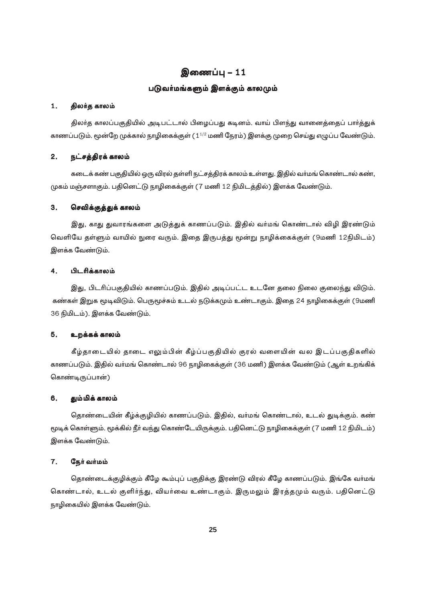### படுவா்மங்களும் இளக்கும் காலமும்

#### திலர்த காலம்  $1.$

திலாத காலப்பகுதியில் அடிபட்டால் பிழைப்பது கடினம். வாய் பிளந்து வானைத்தைப் பாா்த்துக் காணப்படும். மூன்றே முக்கால் நாழிகைக்குள் (11/2 மணி நேரம்) இளக்கு முறை செய்து எழுப்ப வேண்டும்.

#### நட்சத்திரக் காலம்  $2.$

்கடைக் கண் பகுதியில் ஒரு விரல் தள்ளி நட்சத்திரக் காலம் உள்ளது. இதில் வா்மங் கொண்டால் கண், முகம் மஞ்சளாகும். பதினெட்டு நாழிகைக்குள் (7 மணி 12 நிமிடத்தில்) இளக்க வேண்டும்.

#### $3<sub>1</sub>$ செவிக்குத்துக் காலம்

இது, காது துவாரங்களை அடுத்துக் காணப்படும். இதில் வா்மங் கொண்டால் விழி இரண்டும் வெளியே தள்ளும் வாயில் நுரை வரும். இதை இருபத்து மூன்று நாழிக்கைக்குள் (9மணி 12நிமிடம்) இளக்க வேண்டும்.

#### பிடரிக்காலம் 4.

இது, பிடரிப்பகுதியில் காணப்படும். இதில் அடிப்பட்ட உடனே தலை நிலை குலைந்து விடும். கண்கள் இறுக மூடிவிடும். பெருமூச்சும் உடல் நடுக்கமும் உண்டாகும். இதை 24 நாழிகைக்குள் (9மணி 36 நிமிடம்). இளக்க வேண்டும்.

#### 5. உறக்கக் காலம்

கீழ்தாடையில் தாடை எலும்பின் கீழ்ப்பகுதியில் குரல் வளையின் வல இடப்பகுதிகளில் காணப்படும். இதில் வா்மங் கொண்டால் 96 நாழிகைக்குள் (36 மணி) இளக்க வேண்டும் (ஆள் உறங்கிக் கொண்டிருப்பான்)

#### தும்மிக் காலம் 6.

தொண்டையின் கீழ்க்குழியில் காணப்படும். இதில், வா்மங் கொண்டால், உடல் துடிக்கும். கண் மூடிக் கொள்ளும். மூக்கில் நீா் வந்து கொண்டேயிருக்கும். பதினெட்டு நாழிகைக்குள் (7 மணி 12 நிமிடம்) இளக்க வேண்டும்.

#### $\overline{7}$ . நேர் வர்மம்

தொண்டைக்குழிக்கும் கீழே கூம்புப் பகுதிக்கு இரண்டு விரல் கீழே காணப்படும். இங்கே வா்மங் கொண்டால், உடல் குளிர்ந்து, வியர்வை உண்டாகும். இருமலும் இரத்தமும் வரும். பதினெட்டு நாழிகையில் இளக்க வேண்டும்.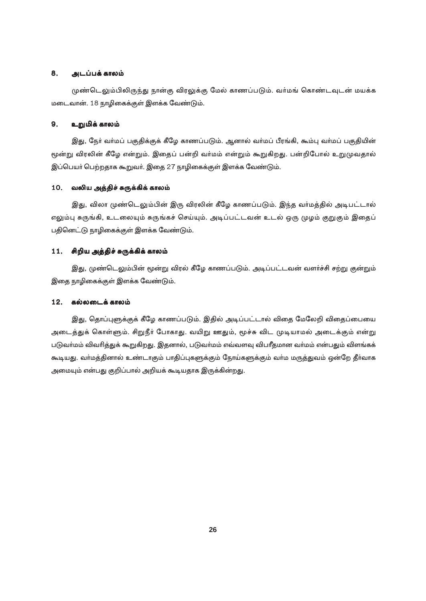#### 8. அடப்பக் காலம்

முண்டெலும்பிலிருந்து நான்கு விரலுக்கு மேல் காணப்படும். வா்மங் கொண்டவுடன் மயக்க மடைவான். 18 நாழிகைக்குள் இளக்க வேண்டும்.

#### உறுமிக் காலம் 9.

இது, நோ் வா்மப் பகுதிக்குக் கீழே காணப்படும். ஆனால் வா்மப் பீரங்கி, கூம்பு வா்மப் பகுதியின் மூன்று விரலின் கீழே என்றும். இதைப் பன்றி வர்மம் என்றும் கூறுகிறது. பன்றிபோல் உறுமுவதால் இப்பெயா் பெற்றதாக கூறுவா். இதை 27 நாழிகைக்குள் இளக்க வேண்டும்.

#### வலிய அத்திச் சுருக்கிக் காலம் 10.

இது, விலா முண்டெலும்பின் இரு விரலின் கீழே காணப்படும். இந்த வர்மத்தில் அடிபட்டால் எலும்பு சுருங்கி, உடலையும் சுருங்கச் செய்யும். அடிப்பட்டவன் உடல் ஒரு முழம் குறுகும் இதைப் பதினெட்டு நாழிகைக்குள் இளக்க வேண்டும்.

### 11. சிறிய அத்திச் சுருக்கிக் காலம்

இது, முண்டெலும்பின் மூன்று விரல் கீழே காணப்படும். அடிப்பட்டவன் வளர்ச்சி சற்று குன்றும் இதை நாழிகைக்குள் இளக்க வேண்டும்.

#### 12. கல்லடைக் காலம்

இது, தொப்புளுக்குக் கீழே காணப்படும். இதில் அடிப்பட்டால் விதை மேலேறி விதைப்பையை அடைத்துக் கொள்ளும். சிறுநீர் போகாது. வயிறு ஊதும், மூச்சு விட முடியாமல் அடைக்கும் என்று படுவாமம் விவாித்துக் கூறுகிறது. இதனால், படுவாமம் எவ்வளவு விபாீதமான வாமம் என்பதும் விளங்கக் கூடியது. வா்மத்தினால் உண்டாகும் பாதிப்புகளுக்கும் நோய்களுக்கும் வா்ம மருத்துவம் ஒன்றே தீா்வாக அமையும் என்பது குறிப்பால் அறியக் கூடியதாக இருக்கின்றது.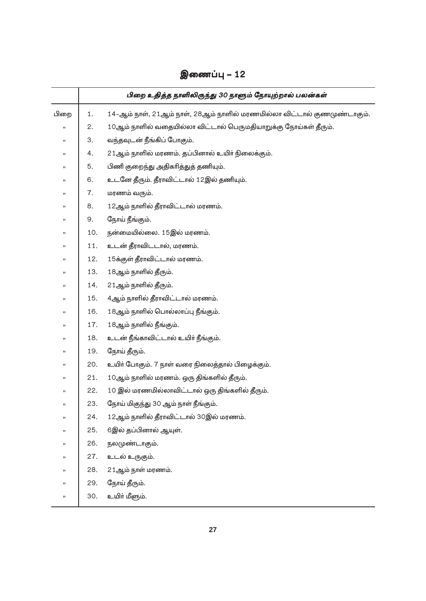|      |     | பிறை உதித்த நாளிலிருந்து 30 நாளும் நோயுற்றால் பலன்கள்                   |
|------|-----|-------------------------------------------------------------------------|
| பிறை | 1.  | 14–ஆம் நாள், 21ஆம் நாள், 28ஆம் நாளில் மரணமில்லா விட்டால் குணமுண்டாகும். |
| ,,   | 2.  | 10ஆம் நாளில் வதையில்லா விட்டால் பெருமதியாறுக்கு நோய்கள் தீரும்.         |
| ,,   | З.  | வந்தவுடன் நீங்கிப் போகும்.                                              |
| ,,   | 4.  | 21ஆம் நாளில் மரணம். தப்பினால் உயிா் நிலைக்கும்.                         |
| ,,   | 5.  | பிணி குறைந்து அதிகரித்துத் தணியும்.                                     |
| ,,   | 6.  | உடனே தீரும். தீராவிட்டால் 12இல் தணியும்.                                |
| ,,   | 7.  | மரணம் வரும்.                                                            |
| ,,   | 8.  | 12ஆம் நாளில் தீராவிட்டால் மரணம்.                                        |
| ,,   | 9.  | நோய் நீங்கும்.                                                          |
| ,,   | 10. | நன்மையில்லை. 15இல் மரணம்.                                               |
| ,,   | 11. | உடன் தீராவிடடால், மரணம்.                                                |
| ,,   | 12. | 15க்குள் தீராவிட்டால் மரணம்.                                            |
| ,,   | 13. | 18ஆம் நாளில் தீரும்.                                                    |
| ,,   | 14. | 21ஆம் நாளில் தீரும்.                                                    |
| ,,   | 15. | 4ஆம் நாளில் தீராவிட்டால் மரணம்.                                         |
| ,,   | 16. | 18ஆம் நாளில் பொல்லாப்பு நீங்கும்.                                       |
| ,,   | 17. | 18ஆம் நாளில் நீங்கும்.                                                  |
| ,,   | 18. | உடன் நீங்காவிட்டால் உயிா் நீங்கும்.                                     |
| ,,   | 19. | நோய் தீரும்.                                                            |
| ,,   | 20. | உயிா் போகும். 7 நாள் வரை நிலைத்தால் பிழைக்கும்.                         |
| ,,   | 21. | 10ஆம் நாளில் மரணம். ஒரு திங்களில் தீரும்.                               |
| ,,   | 22. | 10 இல் மரணமில்லாவிட்டால் ஒரு திங்களில் தீரும்.                          |
| ,,   | 23. | நோய் மிகுந்து 30 ஆம் நாள் நீங்கும்.                                     |
| ,,   | 24. | 12ஆம் நாளில் தீராவிட்டால் 30இல் மரணம்.                                  |
| ,,   | 25. | 6இல் தப்பினால் ஆயுள்.                                                   |
| ,,   | 26. | நலமுண்டாகும்.                                                           |
| ,,   | 27. | உடல் உருகும்.                                                           |
| ,,   | 28. | 21ஆம் நாள் மரணம்.                                                       |
| ,,   | 29. | நோய் தீரும்.                                                            |
| ,,   | 30. | உயிா் மீளும்.                                                           |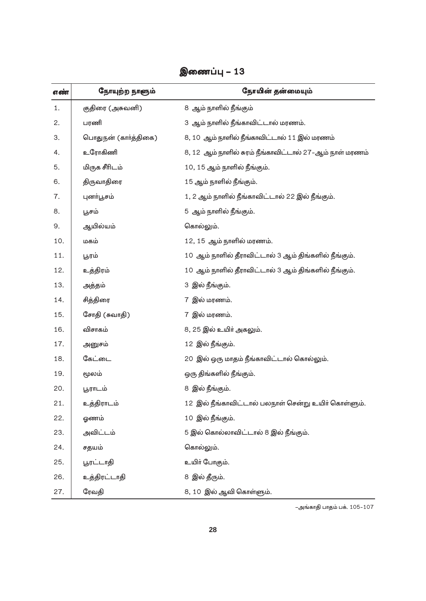| எண் | நோயுற்ற நாளும்       | நோயின் தன்மையும்                                        |
|-----|----------------------|---------------------------------------------------------|
| 1.  | குதிரை (அசுவனி)      | 8 ஆம் நாளில் நீங்கும்                                   |
| 2.  | பரணி                 | 3 ஆம் நாளில் நீங்காவிட்டால் மரணம்.                      |
| З.  | பொதுநன் (கார்த்திகை) | 8, 10 ஆம் நாளில் நீங்காவிட்டால் 11 இல் மரணம்            |
| 4.  | உரோகிணி              | 8, 12 ஆம் நாளில் சுரம் நீங்காவிட்டால் 27–ஆம் நாள் மரணம் |
| 5.  | மிருக சீரிடம்        | 10, 15 ஆம் நாளில் நீங்கும்.                             |
| 6.  | திருவாதிரை           | 15 ஆம் நாளில் நீங்கும்.                                 |
| 7.  | புனா்பூசம்           | 1, 2 ஆம் நாளில் நீங்காவிட்டால் 22 இல் நீங்கும்.         |
| 8.  | பூசம்                | 5 ஆம் நாளில் நீங்கும்.                                  |
| 9.  | ஆயில்யம்             | கொல்லும்.                                               |
| 10. | மகம்                 | $12, 15$ ஆம் நாளில் மரணம்.                              |
| 11. | பூரம்                | 10 ஆம் நாளில் தீராவிட்டால் 3 ஆம் திங்களில் நீங்கும்.    |
| 12. | உத்திரம்             | 10 ஆம் நாளில் தீராவிட்டால் 3 ஆம் திங்களில் நீங்கும்.    |
| 13. | அத்தம்               | 3 இல் நீங்கும்.                                         |
| 14. | சித்திரை             | 7 இல் மரணம்.                                            |
| 15. | சோதி (சுவாதி)        | 7 இல் மரணம்.                                            |
| 16. | விசாகம்              | 8, 25 இல் உயிர் அகலும்.                                 |
| 17. | அனுசம்               | 12 இல் நீங்கும்.                                        |
| 18. | கேட்டை               | 20 இல் ஒரு மாதம் நீங்காவிட்டால் கொல்லும்.               |
| 19. | மூலம்                | ஒரு திங்களில் நீங்கும்.                                 |
| 20. | பூராடம்              | 8 இல் நீங்கும்.                                         |
| 21. | உத்திராடம்           | 12 இல் நீங்காவிட்டால் பலநாள் சென்று உயிா் கொள்ளும்.     |
| 22. | ஓணம்                 | 10 இல் நீங்கும்.                                        |
| 23. | அவிட்டம்             | 5 இல் கொல்லாவிட்டால் 8 இல் நீங்கும்.                    |
| 24. | சதயம்                | கொல்லும்.                                               |
| 25. | பூரட்டாதி            | உயிர் போகும்.                                           |
| 26. | உத்திரட்டாதி         | 8 இல் தீரும்.                                           |
| 27. | ரேவதி                | 8, 10 இல் ஆவி கொள்ளும்.                                 |

இணைப்பு – 13

–அங்காதி பாதம் பக். 105–107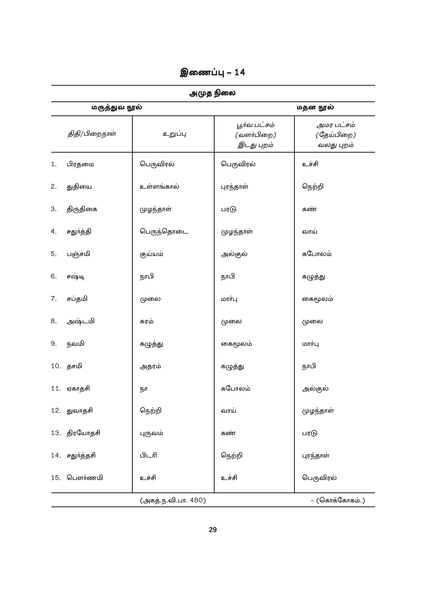|    | அமுத நிலை                             |            |                                          |                                        |  |  |  |
|----|---------------------------------------|------------|------------------------------------------|----------------------------------------|--|--|--|
|    | மருத்துவ நூல்                         |            | மதன நூல்                                 |                                        |  |  |  |
|    | திதி/பிறைநாள்                         | உறுப்பு    | பூர்வ பட்சம்<br>(வளர்பிறை)<br>இடது புறம் | அமர பட்சம்<br>(தேய்பிறை)<br>வலது புறம் |  |  |  |
| 1. | பிரதமை                                | பெருவிரல்  | பெருவிரல்                                | உச்சி                                  |  |  |  |
| 2. | துதியை                                | உள்ளங்கால் | புரந்தாள்                                | நெற்றி                                 |  |  |  |
| 3. | திருதிகை                              | முழந்தாள்  | பரடு                                     | கண்                                    |  |  |  |
| 4. | சதுா்த்தி                             | பெருந்தொடை | முழந்தாள்                                | வாய்                                   |  |  |  |
| 5. | பஞ்சமி                                | குய்யம்    | அல்குல்                                  | கபோலம்                                 |  |  |  |
| 6. | சஷ்டி                                 | நாபி       | நாபி                                     | கழுத்து                                |  |  |  |
| 7. | சப்தமி                                | முலை       | மார்பு                                   | கைமூலம்                                |  |  |  |
| 8. | அஷ்டமி                                | கரம்       | முலை                                     | முலை                                   |  |  |  |
| 9. | நவமி                                  | கழுத்து    | கைமூலம்                                  | மார்பு                                 |  |  |  |
|    | 10. தசமி                              | அதரம்      | கழுத்து                                  | நாபி                                   |  |  |  |
|    | 11. ஏகாதசி                            | நா         | கபோலம்                                   | அல்குல்                                |  |  |  |
|    | 12. துவாதசி                           | நெற்றி     | வாய்                                     | முழந்தாள்                              |  |  |  |
|    | 13. திரயோதசி                          | புருவம்    | கண்                                      | பரடு                                   |  |  |  |
|    | 14. சதுர்த்தசி                        | பிடரி      | நெற்றி                                   | புரந்தாள்                              |  |  |  |
|    | 15. பௌர்ணமி                           | உச்சி      | உச்சி                                    | பெருவிரல்                              |  |  |  |
|    | – (கொக்கோகம்.)<br>(அகத்.ந.வி.பா. 480) |            |                                          |                                        |  |  |  |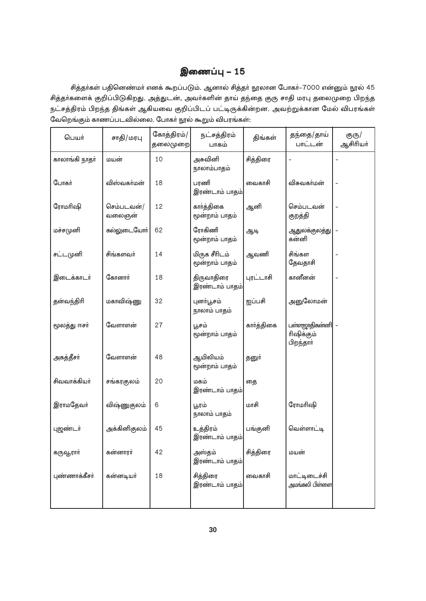சித்தா்கள் பதினெண்மா் எனக் கூறப்படும். ஆனால் சித்தா் நூலான போகா்–7000 என்னும் நூல் 45 சித்தா்களைக் குறிப்பிடுகிறது. அத்துடன், அவா்களின் தாய் தந்தை குரு சாதி மரபு தலைமுறை பிறந்த நட்சத்திரம் பிறந்த திங்கள் ஆகியவை குறிப்பிடப் பட்டிருக்கின்றன. அவற்றுக்கான மேல் விபரங்கள் வேறெங்கும் காணப்படவில்லை. போகா் நூல் கூறும் விபரங்கள்:

| பெயர்          | சாதி/மரபு            | கோத்திரம்/<br>தலைமுறை | நட்சத்திரம்<br>பாகம்            | திங்கள்    | தந்தை/தாய்<br>பாட்டன்                       | குரு/<br>ஆசிரியா் |
|----------------|----------------------|-----------------------|---------------------------------|------------|---------------------------------------------|-------------------|
| காலாங்கி நாதா் | மயன்                 | 10                    | அசுவினி<br>நாலாம்பாதம்          | சித்திரை   |                                             |                   |
| போகர்          | விஸ்வகா்மன்          | 18                    | பரணி<br>இரண்டாம் பாதம்          | வைகாசி     | விசுவகா்மன்                                 |                   |
| ரோமரிஷி        | செம்படவன்/<br>வலைஞன் | 12                    | கார்த்திகை<br>மூன்றாம் பாதம்    | ஆனி        | செம்படவன்<br>குறத்தி                        |                   |
| மச்சமுனி       | கல்லுடையோர்          | 62                    | ரோகிணி<br>மூன்றாம் பாதம்        | ஆடி        | ஆதுலக்குலத்து <br>கன்னி                     |                   |
| சட்டமுனி       | சிங்களவா்            | 14                    | மிருக சீரிடம்<br>மூன்றாம் பாதம் | ஆவணி       | சிங்கள<br>தேவதாசி                           |                   |
| இடைக்காடர்     | கோனார்               | 18                    | திருவாதிரை<br>இரண்டாம் பாதம்    | புரட்டாசி  | கானீனன்                                     |                   |
| தன்வந்திரி     | மகாவிஷ்ணு            | 32                    | புனா்பூசம்<br>நாலாம் பாதம்      | ஐப்பசி     | அனுலோமன்                                    |                   |
| மூலத்து ஈசா்   | வேளாளன்              | 27                    | பூசம்<br>மூன்றாம் பாதம்         | கார்த்திகை | பள்ளஜாதிகன்னி  –<br>ரிஷிக்கும்<br>பிறந்தாா் |                   |
| அகத்தீசா்      | வேளாளன்              | 48                    | ஆயிலியம்<br>மூன்றாம் பாதம்      | தனுா்      |                                             |                   |
| சிவவாக்கியா்   | சங்கரகுலம்           | 20                    | மகம்<br>இரண்டாம் பாதம்          | தை         |                                             |                   |
| இராமதேவா்      | விஷ்ணுகுலம்          | 6                     | பூரம்<br>நாலாம் பாதம்           | மாசி       | ரோமரிஷி                                     |                   |
| புஜண்டர்       | அக்கினிகுலம்         | 45                    | உத்திரம்<br>இரண்டாம் பாதம்      | பங்குனி    | வெள்ளாட்டி                                  |                   |
| கருவூராா்      | கன்னாரர்             | 42                    | அஸ்தம்<br>இரண்டாம் பாதம்        | சித்திரை   | மயன்                                        |                   |
| புண்ணாக்கீசா்  | கன்னடியா்            | 18                    | சித்திரை<br>இரண்டாம் பாதம்      | வைகாசி     | மாட்டிடைச்சி<br>அமங்கலி பிள்ளை              |                   |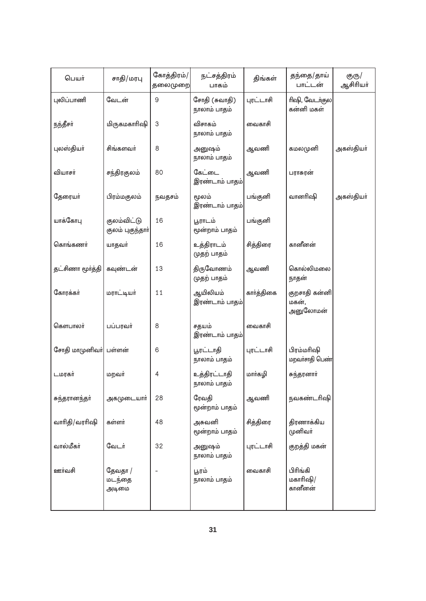| பெயர்                  | சாதி/மரபு                       | கோத்திரம்/<br>தலைமுறை | நட்சத்திரம்<br>பாகம்          | திங்கள்    | தந்தை/தாய்<br>பாட்டன்              | குரு/<br>ஆசிரியா் |
|------------------------|---------------------------------|-----------------------|-------------------------------|------------|------------------------------------|-------------------|
| புலிப்பாணி             | வேடன்                           | $\Theta$              | சோதி (சுவாதி)<br>நாலாம் பாதம் | புரட்டாசி  | ரிஷி, வேடர்குல<br>கன்னி மகள்       |                   |
| நந்தீசா்               | மிருகமகாரிஷி                    | 3                     | விசாகம்<br>நாலாம் பாதம்       | வைகாசி     |                                    |                   |
| புலஸ்தியா்             | சிங்களவா்                       | 8                     | அனுஷம்<br>நாலாம் பாதம்        | ஆவணி       | கமலமுனி                            | அகஸ்தியா்         |
| வியாசா்                | சந்திரகுலம்                     | 80                    | கேட்டை<br>இரண்டாம் பாதம்      | ஆவணி       | பராசுரன்                           |                   |
| தேரையா்                | பிரம்மகுலம்                     | நவதசம்                | மூலம்<br>இரண்டாம் பாதம்       | பங்குனி    | வானரிஷி                            | அகஸ்தியா்         |
| யாக்கோபு               | குலம்விட்டு<br>குலம் புகுந்தாா் | 16                    | பூராடம்<br>மூன்றாம் பாதம்     | பங்குனி    |                                    |                   |
| கொங்கணா்               | யாதவா்                          | 16                    | உத்திராடம்<br>முதற் பாதம்     | சித்திரை   | கானீனன்                            |                   |
| தட்சிணா மூர்த்தி       | கவுண்டன்                        | 13                    | திருவோணம்<br>முதற் பாதம்      | ஆவணி       | கொல்லிமலை<br>நாதன்                 |                   |
| கோரக்கர்               | மராட்டியர்                      | 11                    | ஆயிலியம்<br>இரண்டாம் பாதம்    | கார்த்திகை | குறசாதி கன்னி<br>மகன்,<br>அனுலோமன் |                   |
| கௌபாலா்                | பப்பரவர்                        | 8                     | சதயம்<br>இரண்டாம் பாதம்       | வைகாசி     |                                    |                   |
| சோதி மாமுனிவா்  பள்ளன் |                                 | 6                     | பூரட்டாதி<br>நாலாம் பாதம்     | புரட்டாசி  | பிரம்மாிஷி<br>மறவாசாதி பெண்        |                   |
| டமரகர்                 | மறவர்                           | 4                     | உத்திரட்டாதி<br>நாலாம் பாதம்  | மார்கழி    | சுந்தரனாா்                         |                   |
| சுந்தரானந்தா்          | அகமுடையார்                      | 28                    | ரேவதி<br>மூன்றாம் பாதம்       | ஆவணி       | நவகண்டரிஷி                         |                   |
| வாரிதி/வரரிஷி          | கள்ளர்                          | 48                    | அசுவனி<br>மூன்றாம் பாதம்      | சித்திரை   | திரணாக்கிய<br>முனிவா்              |                   |
| வால்மீகா்              | வேடர்                           | 32                    | அனுஷம்<br>நாலாம் பாதம்        | புரட்டாசி  | குறத்தி மகன்                       |                   |
| ஊர்வசி                 | தேவதா /<br>மடந்தை<br>அடிமை      |                       | பூரம்<br>நாலாம் பாதம்         | வைகாசி     | பிரிங்கி<br>மகாரிஷி/<br>கானீனன்    |                   |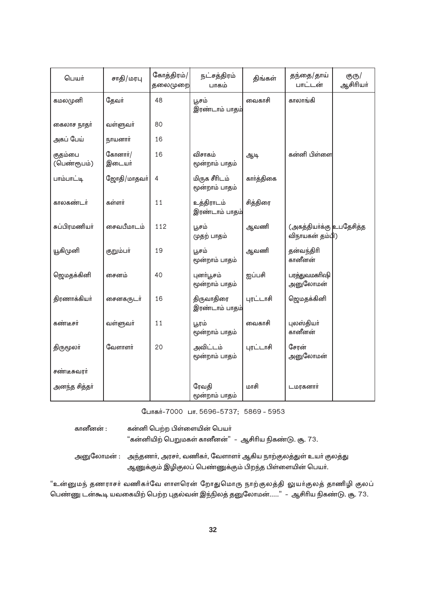| பெயர்                  | சாதி/மரபு         | கோத்திரம்/<br>தலைமுறை | நட்சத்திரம்<br>பாகம்            | திங்கள்    | தந்தை/தாய்<br>பாட்டன்                       | குரு/<br>ஆசிரியா் |
|------------------------|-------------------|-----------------------|---------------------------------|------------|---------------------------------------------|-------------------|
| கமலமுனி                | தேவர்             | 48                    | பூசம்<br>இரண்டாம் பாதம்         | வைகாசி     | காலாங்கி                                    |                   |
| கைலாச நாதர்            | வள்ளுவா்          | 80                    |                                 |            |                                             |                   |
| அகப் பேய்              | நாயனார்           | 16                    |                                 |            |                                             |                   |
| குதம்பை<br>(பெண்ரூபம்) | கோனார்/<br>இடையா் | 16                    | விசாகம்<br>மூன்றாம் பாதம்       | ஆடி        | கன்னி பிள்ளை                                |                   |
| பாம்பாட்டி             | ஜோதி/மாதவா்       | 4                     | மிருக சீரிடம்<br>மூன்றாம் பாதம் | கார்த்திகை |                                             |                   |
| காலகண்டர்              | கள்ளர்            | 11                    | உத்திராடம்<br>இரண்டாம் பாதம்    | சித்திரை   |                                             |                   |
| சுப்பிரமணியா்          | சைவபீமாடம்        | 112                   | பூசம்<br>முதற் பாதம்            | ஆவணி       | (அகத்தியா்க்கு உபதேசித்த<br>விநாயகன் தம்பி) |                   |
| யூகிமுனி               | குறும்பா்         | 19                    | பூசம்<br>மூன்றாம் பாதம்         | ஆவணி       | தன்வந்திரி<br>கானீனன்                       |                   |
| ஜெமதக்கினி             | சைனம்             | 40                    | புனா்பூசம்<br>மூன்றாம் பாதம்    | ஐப்பசி     | பரத்துவமகாிஷி<br>அனுலோமன்                   |                   |
| திரணாக்கியா்           | சைனகருடர்         | 16                    | திருவாதிரை<br>இரண்டாம் பாதம்    | புரட்டாசி  | ஜெமதக்கினி                                  |                   |
| கண்டீசர்               | வள்ளுவா்          | 11                    | பூரம்<br>மூன்றாம் பாதம்         | வைகாசி     | புலஸ்தியா்<br>கானீனன்                       |                   |
| திருமூலா்              | வேளாளா்           | 20                    | அவிட்டம்<br>மூன்றாம் பாதம்      | புரட்டாசி  | சேரன்<br>அனுலோமன்                           |                   |
| சண்டீசுவரா்            |                   |                       |                                 |            |                                             |                   |
| அனந்த சித்தா்          |                   |                       | ரேவதி<br>மூன்றாம் பாதம்         | மாசி       | டமரகனார்                                    |                   |

போகர்-7000 பா. 5696-5737; 5869 - 5953

| கானீனன் : | கன்னி பெற்ற பிள்ளையின் பெயர்<br>"கன்னியிற் பெறுமகள் கானீனன்" –  ஆசிரிய நிகண்டு. சூ. 73.                                                    |
|-----------|--------------------------------------------------------------------------------------------------------------------------------------------|
|           | அனுலோமன் :     அந்தணா், அரசா், வணிகா், வேளாளா் ஆகிய நாற்குலத்துள் உயா் குலத்து<br>ஆணுக்கும் இழிகுலப் பெண்ணுக்கும் பிறந்த பிள்ளையின் பெயா். |

"உன்னுமந் தணராசர் வணிகர்வே ளாளரென் றோதுமொரு நாற்குலத்தி லுயர்குலத் தாணிழி குலப் பெண்ணு டன்கூடி யவகையிற் பெற்ற புதல்வன் இந்நிலத் தனுலோமன்....." – ஆசிரிய நிகண்டு. சூ. 73.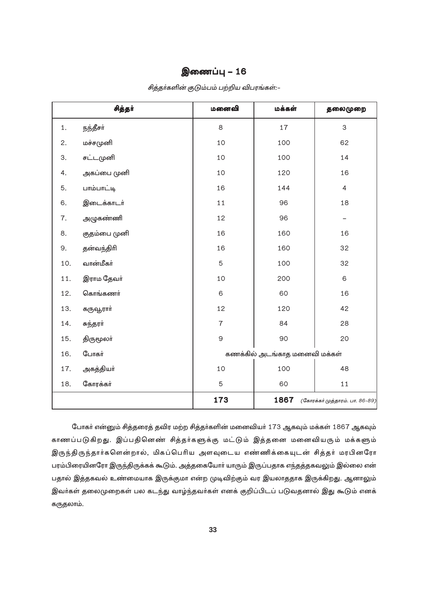|     | சித்தர்      | மனைவி          | மக்கள்                        | தலைமுறை                         |
|-----|--------------|----------------|-------------------------------|---------------------------------|
| 1.  | நந்தீசா்     | 8              | 17                            | 3                               |
| 2.  | மச்சமுனி     | 10             | 100                           | 62                              |
| 3.  | சட்டமுனி     | 10             | 100                           | 14                              |
| 4.  | அகப்பை முனி  | 10             | 120                           | 16                              |
| 5.  | பாம்பாட்டி   | 16             | 144                           | $\overline{4}$                  |
| 6.  | இடைக்காடர்   | 11             | 96                            | 18                              |
| 7.  | அழுகண்ணி     | 12             | 96                            | $\overline{\phantom{0}}$        |
| 8.  | குதம்பை முனி | 16             | 160                           | 16                              |
| 9.  | தன்வந்திரி   | 16             | 160                           | 32                              |
| 10. | வான்மீகா்    | 5              | 100                           | 32                              |
| 11. | இராம தேவா்   | 10             | 200                           | 6                               |
| 12. | கொங்கணா்     | 6              | 60                            | 16                              |
| 13. | கருவூராா்    | 12             | 120                           | 42                              |
| 14. | சுந்தரா்     | $\overline{I}$ | 84                            | 28                              |
| 15. | திருமூலா்    | 9              | 90                            | 20                              |
| 16. | போகர்        |                | கணக்கில் அடங்காத மனைவி மக்கள் |                                 |
| 17. | அகத்தியா்    | 10             | 100                           | 48                              |
| 18. | கோரக்கர்     | 5              | 60                            | 11                              |
|     |              | 173            | 1867                          | (கோரக்கர் முத்தாரம். பா. 86-89) |

சித்தர்களின் குடும்பம் பற்றிய விபரங்கள்:-

போகா் என்னும் சித்தரைத் தவிர மற்ற சித்தா்களின் மனைவியா் 173 ஆகவும் மக்கள் 1867 ஆகவும் காணப்படுகிறது. இப்பதினெண் சித்தர்களுக்கு மட்டும் இத்தனை மனைவியரும் மக்களும் இருந்திருந்தார்களென்றால், மிகப்பெரிய அளவுடைய எண்ணிக்கையுடன் சித்தர் மரபினரோ பரம்பிரையினரோ இருந்திருக்கக் கூடும். அத்தகையோா் யாரும் இருப்பதாக எந்தத்தகவலும் இல்லை என் பதால் இத்தகவல் உண்மையாக இருக்குமா என்ற முடிவிற்கும் வர இயலாததாக இருக்கிறது. ஆனாலும் இவர்கள் தலைமுறைகள் பல கடந்து வாழ்ந்தவர்கள் எனக் குறிப்பிடப் படுவதனால் இது கூடும் எனக் கருதலாம்.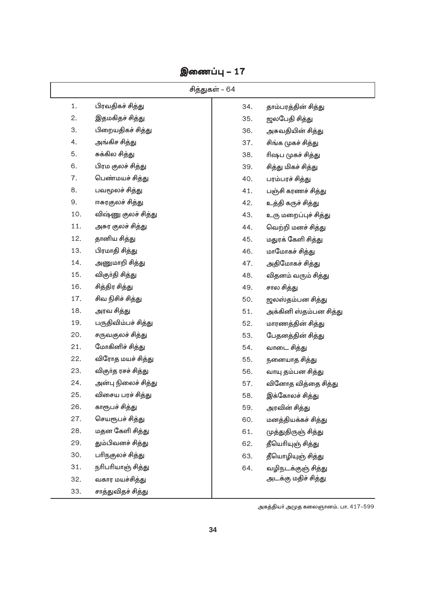|     | சித்துகள் – 64      |     |                        |  |  |  |
|-----|---------------------|-----|------------------------|--|--|--|
| 1.  | பிரவதிகச் சித்து    | 34. | தாம்பரத்தின் சித்து    |  |  |  |
| 2.  | இதமகிதச் சித்து     | 35. | ஜலபேதி சித்து          |  |  |  |
| З.  | பிறையதிகச் சித்து   | 36. | அசுவதியின் சித்து      |  |  |  |
| 4.  | அங்கிச சித்து       | 37. | சிங்க முகச் சித்து     |  |  |  |
| 5.  | சுக்கில சித்து      | 38. | ரிஷப முகச் சித்து      |  |  |  |
| 6.  | பிரம குலச் சித்து   | 39. | சித்து மிகச் சித்து    |  |  |  |
| 7.  | பெண்மயச் சித்து     | 40. | பரம்பரச் சித்து        |  |  |  |
| 8.  | பவமூலச் சித்து      | 41. | பஞ்சி கரணச் சித்து     |  |  |  |
| 9.  | ஈசுரகுலச் சித்து    | 42. | உத்தி கருச் சித்து     |  |  |  |
| 10. | விஷ்ணு குலச் சித்து | 43. | உரு மறைப்புச் சித்து   |  |  |  |
| 11. | அசுர குலச் சித்து   | 44. | வெற்றி மனச் சித்து     |  |  |  |
| 12. | தானிய சித்து        | 45. | மதுரக் கேளி சித்து     |  |  |  |
| 13. | பிரமாதி சித்து      | 46. | மாமோகச் சித்து         |  |  |  |
| 14. | அணுமாறி சித்து      | 47. | அதிமோகச் சித்து        |  |  |  |
| 15. | விகுா்தி சித்து     | 48. | விதனம் வரும் சித்து    |  |  |  |
| 16. | சித்திர சித்து      | 49. | சால சித்து             |  |  |  |
| 17. | சிவ நிசிச் சித்து   | 50. | ஜலஸ்தம்பன சித்து       |  |  |  |
| 18. | அரவ சித்து          | 51. | அக்கினி ஸ்தம்பன சித்து |  |  |  |
| 19. | பருதிவிம்பச் சித்து | 52. | மாரணத்தின் சித்து      |  |  |  |
| 20. | சருவகுலச் சித்து    | 53. | பேதனத்தின் சித்து      |  |  |  |
| 21. | மோகினிச் சித்து     | 54. | வாடை சித்து            |  |  |  |
| 22. | விரோத மயச் சித்து   | 55. | நனையாத சித்து          |  |  |  |
| 23. | விகுா்த ரசச் சித்து | 56. | வாயு தம்பன சித்து      |  |  |  |
| 24. | அன்பு நிலைச் சித்து | 57. | வினோத வித்தை சித்து    |  |  |  |
| 25. | விசைய பரச் சித்து   | 58. | இக்கோலச் சித்து        |  |  |  |
| 26. | காரூபச் சித்து      | 59. | அரவின் சித்து          |  |  |  |
| 27. | செயரூபச் சித்து     | 60. | மனத்தியக்கச் சித்து    |  |  |  |
| 28. | மதன கேளி சித்து     | 61. | முத்துதிருஞ் சித்து    |  |  |  |
| 29. | தும்பிவனச் சித்து   | 62. | தீயெரியுஞ் சித்து      |  |  |  |
| 30. | பரிநகுலச் சித்து    | 63. | தீயொழியுஞ் சித்து      |  |  |  |
| 31. | நரிபரியாஞ் சித்து   | 64. | வழிநடக்குஞ் சித்து     |  |  |  |
| 32. | வகார மயச்சித்து     |     | அடக்கு மதிச் சித்து    |  |  |  |
| 33. | சாத்துவிதச் சித்து  |     |                        |  |  |  |

இணைப்பு –  $17$ 

அகத்தியா் அமுத கலைஞானம். பா. 417–599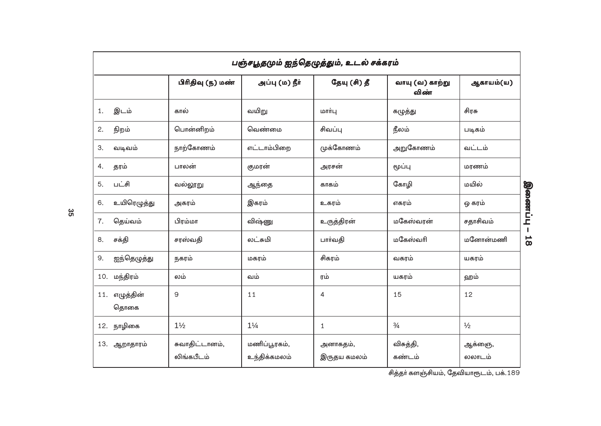|    |                       | பிரிதிவு (ந) மண்             | அப்பு (ம) நீர்               | தேயு (சி) தீ            | வாயு (வ) காற்று<br>விண் | ஆகாயம்(ய)        |
|----|-----------------------|------------------------------|------------------------------|-------------------------|-------------------------|------------------|
| 1. | இடம்                  | கால்                         | வயிறு                        | மார்பு                  | கழுத்து                 | சிரசு            |
| 2. | நிறம்                 | பொன்னிறம்                    | வெண்மை                       | சிவப்பு                 | நீலம்                   | படிகம்           |
| 3. | வடிவம்                | நாற்கோணம்                    | எட்டாம்பிறை                  | முக்கோணம்               | அறுகோணம்                | வட்டம்           |
| 4. | தரம்                  | பாலன்                        | குமரன்                       | அரசன்                   | மூப்பு                  | மரணம்            |
| 5. | பட்சி                 | வல்லூறு                      | ஆந்தை                        | காகம்                   | கோழி                    | மயில்            |
| 6. | உயிரெழுத்து           | அகரம்                        | இகரம்                        | உகரம்                   | எகரம்                   | ஒ கரம்           |
| 7. | தெய்வம்               | பிரம்மா                      | விஷ்ணு                       | உருத்திரன்              | மகேஸ்வரன்               | சதாசிவம்         |
| 8. | சக்தி                 | சரஸ்வதி                      | லட்சுமி                      | பார்வதி                 | மகேஸ்வரி                | மனோன்மணி         |
| 9. | ஐந்தெழுத்து           | நகரம்                        | மகரம்                        | சிகரம்                  | வகரம்                   | யகரம்            |
|    | 10. மந்திரம்          | லம்                          | வம்                          | ரம்                     | யகரம்                   | ஹம்              |
|    | 11. எழுத்தின்<br>தொகை | 9                            | 11                           | 4                       | 15                      | 12               |
|    | 12. நாழிகை            | $1\frac{1}{2}$               | $1\frac{1}{4}$               | $\mathbf 1$             | $\frac{3}{4}$           | $\frac{1}{2}$    |
|    | 13. ஆறாதாரம்          | சுவாதிட்டானம்,<br>லிங்கபீடம் | மணிப்பூரகம்,<br>உந்திக்கமலம் | அனாகதம்,<br>இருதய கமலம் | விசுத்தி,<br>கண்டம்     | ஆக்ஞை,<br>லலாடம் |

-<br>்சித்தா் களஞ்சியம், தேவியாரூடம், பக்.189

**35**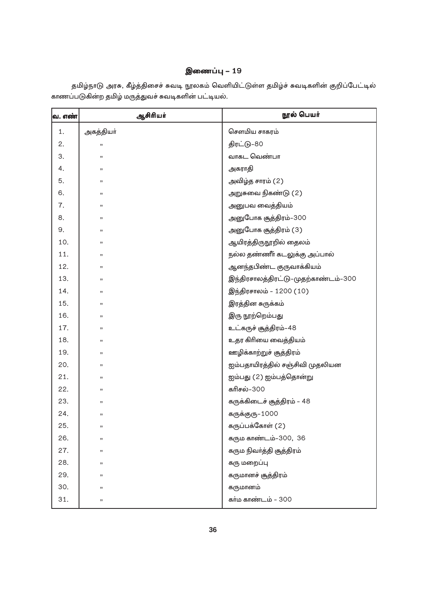தமிழ்நாடு அரசு, கீழ்த்திசைச் சுவடி நூலகம் வெளியிட்டுள்ள தமிழ்ச் சுவடிகளின் குறிப்பேட்டில் .<br>காணப்படுகின்ற தமிழ் மருத்துவச் சுவடிகளின் பட்டியல்.

| வ. எண் | ஆசிரியர்  | நூல் பெயர்                          |
|--------|-----------|-------------------------------------|
| 1.     | அகத்தியா் | சௌமிய சாகரம்                        |
| 2.     | ,,        | திரட்டு-80                          |
| 3.     | 33        | வாகட வெண்பா                         |
| 4.     | ,,        | அகராதி                              |
| 5.     | ,,        | அவிழ்த சாரம் (2)                    |
| 6.     | ,,        | அறுசுவை நிகண்டு (2)                 |
| 7.     | ,,        | அனுபவ வைத்தியம்                     |
| 8.     | ,,        | அனுபோக சூத்திரம்–300                |
| 9.     | ,,        | அனுபோக சூத்திரம் (3)                |
| 10.    | ,,        | ஆயிரத்திருநூறில் தைலம்              |
| 11.    | 33        | நல்ல தண்ணீா் கடலுக்கு அப்பால்       |
| 12.    | ,,        | ஆனந்தபிண்ட குருவாக்கியம்            |
| 13.    | ,,        | இந்திரசாலத்திரட்டு–முதற்காண்டம்–300 |
| 14.    | ,,        | இந்திரசாலம் - 1200 (10)             |
| 15.    | ,,        | இரத்தின சுருக்கம்                   |
| 16.    | ,,        | இரு நூற்றெம்பது                     |
| 17.    | ,,        | உட்கருச் சூத்திரம்–48               |
| 18.    | 33        | உதர கிரியை வைத்தியம்                |
| 19.    | ,,        | ஊழிக்காற்றுச் சூத்திரம்             |
| 20.    | ,,        | ஐம்பதாயிரத்தில் சஞ்சிவி முதலியன     |
| 21.    | ,,        | ஐம்பது (2) ஐம்பத்தொன்று             |
| 22.    | ,,        | கரிசல்–300                          |
| 23.    | ,,        | கருக்கிடைச் சூத்திரம் – 48          |
| 24.    | ,,        | கருக்குரு–1000                      |
| 25.    |           | கருப்பக்கோள் (2)                    |
| 26.    | ,,        | கரும காண்டம்-300, 36                |
| 27.    | ,,        | கரும நிவா்த்தி சூத்திரம்            |
| 28.    | ,,        | கரு மறைப்பு                         |
| 29.    | ,,        | கருமானச் சூத்திரம்                  |
| 30.    | ,,        | கருமானம்                            |
| 31.    | ,,        | கா்ம காண்டம் - 300                  |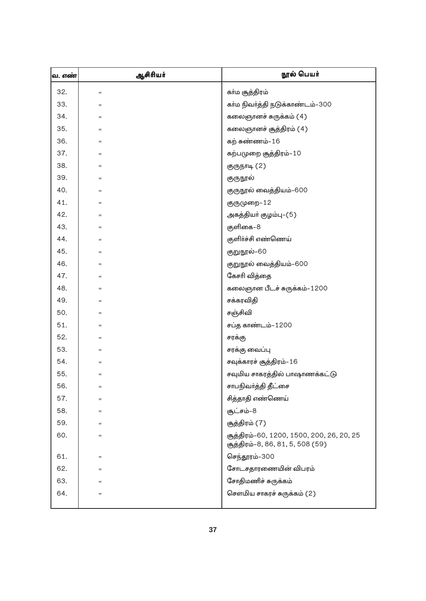| வ. எண் | ஆசிரியர் | நூல் பெயர்                                                                    |
|--------|----------|-------------------------------------------------------------------------------|
| 32.    | ,,       | கா்ம சூத்திரம்                                                                |
| 33.    | ,,       | கா்ம நிவா்த்தி நடுக்காண்டம்–300                                               |
| 34.    | ,,       | கலைஞானச் சுருக்கம் (4)                                                        |
| 35.    | ,,       | கலைஞானச் சூத்திரம் (4)                                                        |
| 36.    | ,,       | கற் சுண்ணம்–16                                                                |
| 37.    | ,,       | கற்பமுறை சூத்திரம்–10                                                         |
| 38.    | ,,       | குருநாடி (2)                                                                  |
| 39.    | ,,       | குருநூல்                                                                      |
| 40.    | ,,       | குருநூல் வைத்தியம்–600                                                        |
| 41.    | ,,       | குருமுறை-12                                                                   |
| 42.    | ,,       | அகத்தியா் குழம்பு–(5)                                                         |
| 43.    | ,,       | குளிகை–8                                                                      |
| 44.    | ,,       | குளிா்ச்சி எண்ணெய்                                                            |
| 45.    | ,,       | குறுநூல்–60                                                                   |
| 46.    | ,,       | குறுநூல் வைத்தியம்–600                                                        |
| 47.    | ,,       | கேசரி வித்தை                                                                  |
| 48.    | ,,       | கலைஞான பீடச் சுருக்கம்–1200                                                   |
| 49.    | ,,       | சக்கரவிதி                                                                     |
| 50.    | ,,       | சஞ்சிவி                                                                       |
| 51.    | ,,       | சப்த காண்டம்-1200                                                             |
| 52.    | ,,       | சரக்கு                                                                        |
| 53.    | ,,       | சரக்கு வைப்பு                                                                 |
| 54.    | ,,       | சவுக்காரச் சூத்திரம்–16                                                       |
| 55.    | ,,       | சவுமிய சாகரத்தில் பாஷாணக்கட்டு                                                |
| 56.    |          | சாபநிவா்த்தி தீட்சை                                                           |
| 57.    | ,,       | சித்தாதி எண்ணெய்                                                              |
| 58.    | ,,       | சூட்சம்–8                                                                     |
| 59.    | ,,       | சூத்திரம் (7)                                                                 |
| 60.    | ,,       | சூத்திரம்-60, 1200, 1500, 200, 26, 20, 25<br>சூத்திரம்-8, 86, 81, 5, 508 (59) |
| 61.    | ,,       | செந்தூரம்–300                                                                 |
| 62.    | ,,       | சோடசதாரணையின் விபரம்                                                          |
| 63.    | ,,       | சோதிமணிச் சுருக்கம்                                                           |
| 64.    | ,,       | சௌமிய சாகரச் சுருக்கம் (2)                                                    |
|        |          |                                                                               |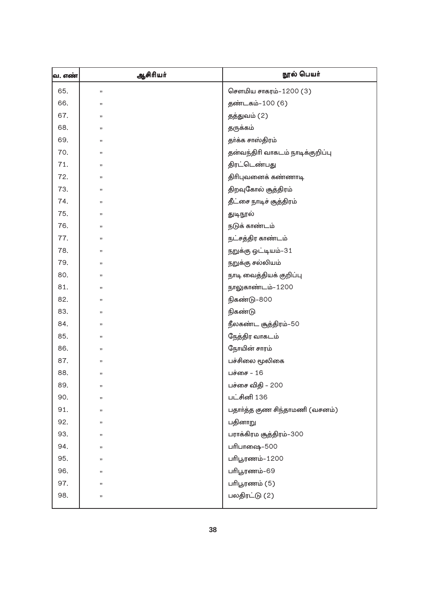| வ. எண் | ஆசிரியர் | நூல் பெயர்                       |
|--------|----------|----------------------------------|
| 65.    | ,,       | சௌமிய சாகரம்–1200 (3)            |
| 66.    | ,,       | தண்டகம்-100 (6)                  |
| 67.    | ,,       | தத்துவம் (2)                     |
| 68.    | ,,       | தருக்கம்                         |
| 69.    | ,,       | தா்க்க சாஸ்திரம்                 |
| 70.    | ,,       | தன்வந்திரி வாகடம் நாடிக்குறிப்பு |
| 71.    | ,,       | திரட்டெண்பது                     |
| 72.    | ,,       | திரிபுவனைக் கண்ணாடி              |
| 73.    | ,,       | திறவுகோல் சூத்திரம்              |
| 74.    | ,,       | தீட்சை நாடிச் சூத்திரம்          |
| 75.    | ,,       | துடிநூல்                         |
| 76.    | ,,       | நடுக் காண்டம்                    |
| 77.    | ,,       | நட்சத்திர காண்டம்                |
| 78.    | ,,       | நறுக்கு ஒட்டியம்-31              |
| 79.    | ,,       | நறுக்கு சல்லியம்                 |
| 80.    | ,,       | நாடி வைத்தியக் குறிப்பு          |
| 81.    | ,,       | நாலுகாண்டம்–1200                 |
| 82.    | ,,       | நிகண்டு–800                      |
| 83.    | ,,       | நிகண்டு                          |
| 84.    | ,,       | நீலகண்ட சூத்திரம்–50             |
| 85.    | ,,       | நேத்திர வாகடம்                   |
| 86.    | ,,       | நோயின் சாரம்                     |
| 87.    | ,,       | பச்சிலை மூலிகை                   |
| 88.    | ,,       | பச்சை - 16                       |
| 89.    | ,,       | பச்சை விதி – 200                 |
| 90.    | ,,       | பட்சினி 136                      |
| 91.    | ,,       | பதாா்த்த குண சிந்தாமணி (வசனம்)   |
| 92.    | ,,       | பதினாறு                          |
| 93.    | ,,       | பராக்கிரம சூத்திரம்–300          |
| 94.    | ,,       | பரிபாஷை–500                      |
| 95.    | ,,       | பரிபூரணம்–1200                   |
| 96.    | ,,       | பரிபூரணம்–69                     |
| 97.    | ,,       | பரிபூரணம் (5)                    |
| 98.    | ,,       | பலதிரட்டு (2)                    |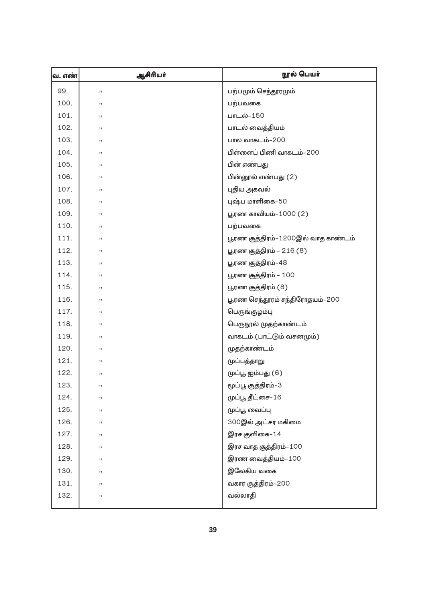| வ. எண் | ஆசிரியர் | நூல் பெயர்                         |
|--------|----------|------------------------------------|
| 99.    | ,,       | பற்பமும் செந்தூரமும்               |
| 100.   | ,,       | பற்பவகை                            |
| 101.   | ,,       | பாடல்-150                          |
| 102.   | ,,       | பாடல் வைத்தியம்                    |
| 103.   | ,,       | பால வாகடம்-200                     |
| 104.   | ,,       | பிள்ளைப் பிணி வாகடம்–200           |
| 105.   | ,,       | பின் எண்பது                        |
| 106.   | ,,       | பின்னூல் எண்பது (2)                |
| 107.   | ,,       | புதிய அகவல்                        |
| 108.   | ,,       | புஷ்ப மாளிகை–50                    |
| 109.   | ,,       | பூரண காவியம்–1000 (2)              |
| 110.   | ,,       | பற்பவகை                            |
| 111.   | ,,       | பூரண சூத்திரம்–1200இல் வாத காண்டம் |
| 112.   | ,,       | பூரண சூத்திரம் – 216 (8)           |
| 113.   | ,,       | பூரண சூத்திரம்–48                  |
| 114.   | ,,       | பூரண சூத்திரம் – 100               |
| 115.   | ,,       | பூரண சூத்திரம் (8)                 |
| 116.   | ,,       | பூரண செந்தூரம் சந்திரோதயம்–200     |
| 117.   | ,,       | பெருங்குழம்பு                      |
| 118.   | ,,       | பெருநூல் முதற்காண்டம்              |
| 119.   | ,,       | வாகடம் (பாட்டும் வசனமும்)          |
| 120.   | ,,       | முதற்காண்டம்                       |
| 121.   | ,,       | முப்பத்தாறு                        |
| 122.   | ,,       | முப்பூ ஐம்பது (6)                  |
| 123.   | ,,       | மூப்பூ சூத்திரம்–3                 |
| 124.   | ,,       | முப்பூ தீட்சை–16                   |
| 125.   | ,,       | முப்பூ வைப்பு                      |
| 126.   | ,,       | 300இல் அட்சர மகிமை                 |
| 127.   | ,,       | இரச குளிகை–14                      |
| 128.   | ,,       | இரச வாத சூத்திரம்–100              |
| 129.   | ,,       | இரண வைத்தியம்–100                  |
| 130.   | ,,       | இலேகிய வகை                         |
| 131.   | ,,       | வகார சூத்திரம்–200                 |
| 132.   | ,,       | வல்லாதி                            |
|        |          |                                    |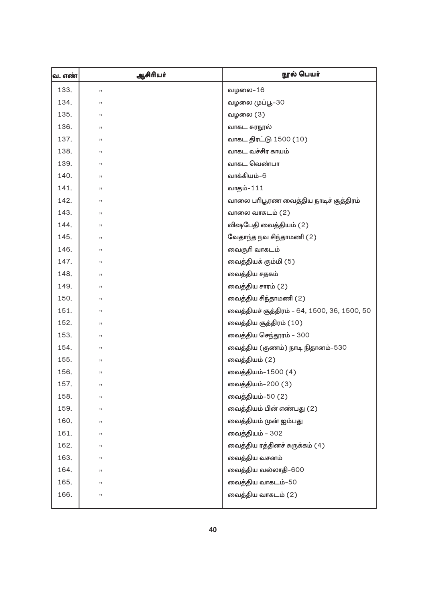| வ. எண் | ஆசிரியர் | நூல் பெயர்                                   |
|--------|----------|----------------------------------------------|
| 133.   | ,,       | வழலை–16                                      |
| 134.   | ,,       | வழலை முப்பூ–30                               |
| 135.   | ,,       | வழலை (3)                                     |
| 136.   | ,,       | வாகட சுரநூல்                                 |
| 137.   | ,,       | வாகட திரட்டு 1500 (10)                       |
| 138.   | ,,       | வாகட வச்சிர காயம்                            |
| 139.   | 33       | வாகட வெண்பா                                  |
| 140.   | ,,       | வாக்கியம்–6                                  |
| 141.   | ,,       | வாதம்-111                                    |
| 142.   | ,,       | வாலை பாிபூரண வைத்திய நாடிச் சூத்திரம்        |
| 143.   | ,,       | வாலை வாகடம் (2)                              |
| 144.   | ,,       | விஷபேதி வைத்தியம் (2)                        |
| 145.   | ,,       | வேதாந்த நவ சிந்தாமணி (2)                     |
| 146.   | 33       | வைசூரி வாகடம்                                |
| 147.   | 33       | வைத்தியக் கும்மி (5)                         |
| 148.   | ,,       | வைத்திய சதகம்                                |
| 149.   | ,,       | வைத்திய சாரம் (2)                            |
| 150.   | ,,       | வைத்திய சிந்தாமணி (2)                        |
| 151.   | ,,       | வைத்தியச் சூத்திரம் – 64, 1500, 36, 1500, 50 |
| 152.   | ,,       | வைத்திய சூத்திரம் (10)                       |
| 153.   | ,,       | வைத்திய செந்தூரம் – 300                      |
| 154.   | ,,       | வைத்திய (குணம்) நாடி நிதானம்–530             |
| 155.   | ,,       | வைத்தியம் (2)                                |
| 156.   | ,,       | வைத்தியம்–1500 (4)                           |
| 157.   | ,,       | வைத்தியம்-200 (3)                            |
| 158.   | ,,       | வைத்தியம்-50 (2)                             |
| 159.   | ,,       | வைத்தியம் பின் எண்பது (2)                    |
| 160.   | ,,       | வைத்தியம் முன் ஐம்பது                        |
| 161.   | ,,       | வைத்தியம் – 302                              |
| 162.   | ,,       | வைத்திய ரத்தினச் சுருக்கம் (4)               |
| 163.   | ,,       | வைத்திய வசனம்                                |
| 164.   | ,,       | வைத்திய வல்லாதி-600                          |
| 165.   | ,,       | வைத்திய வாகடம்-50                            |
| 166.   | ,,       | வைத்திய வாகடம் (2)                           |
|        |          |                                              |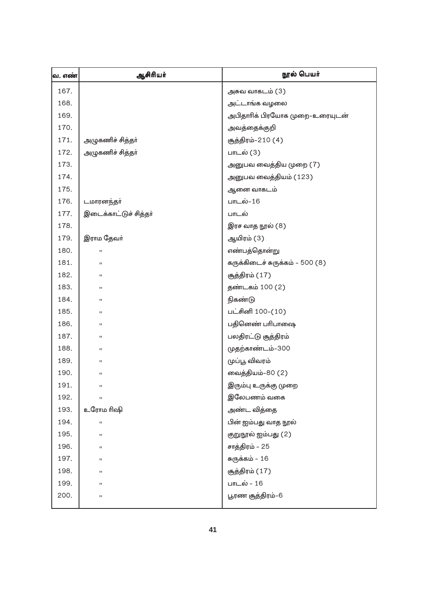| <mark>வ. எண்</mark> | ஆசிரியர்              | நூல் பெயர்                      |
|---------------------|-----------------------|---------------------------------|
| 167.                |                       | அசுவ வாகடம் (3)                 |
| 168.                |                       | அட்டாங்க வழலை                   |
| 169.                |                       | அபிதாரிக் பிரயோக முறை–உரையுடன்  |
| 170.                |                       | அவத்தைக்குறி                    |
| 171.                | அழுகணிச் சித்தா்      | சூத்திரம்-210 (4)               |
| 172.                | அழுகணிச் சித்தா்      | பாடல் (3)                       |
| 173.                |                       | அனுபவ வைத்திய முறை (7)          |
| 174.                |                       | அனுபவ வைத்தியம் (123)           |
| 175.                |                       | ஆனை வாகடம்                      |
| 176.                | டமாரனந்தா்            | பாடல்-16                        |
| 177.                | இடைக்காட்டுச் சித்தர் | பாடல்                           |
| 178.                |                       | இரச வாத நூல் (8)                |
| 179.                | இராம தேவா்            | ஆயிரம் (3)                      |
| 180.                | ,,                    | எண்பத்தொன்று                    |
| 181.                | 33                    | கருக்கிடைச் சுருக்கம் – 500 (8) |
| 182.                | ,,                    | சூத்திரம் (17)                  |
| 183.                | ,,                    | தண்டகம் 100 (2)                 |
| 184.                | ,,                    | நிகண்டு                         |
| 185.                | ,,                    | பட்சினி 100-(10)                |
| 186.                | ,,                    | பதினெண் பரிபாஷை                 |
| 187.                | ,,                    | பலதிரட்டு சூத்திரம்             |
| 188.                | ,,                    | முதற்காண்டம்–300                |
| 189.                | ,,                    | முப்பூ விவரம்                   |
| 190.                | ,,                    | வைத்தியம்-80 (2)                |
| 191.                | ,,                    | இரும்பு உருக்கு முறை            |
| 192.                | 33                    | இலேபணம் வகை                     |
| 193.                | உரோம ரிஷி             | அண்ட வித்தை                     |
| 194.                | ,,                    | பின் ஐம்பது வாத நூல்            |
| 195.                | ,,                    | குறுநூல் ஐம்பது (2)             |
| 196.                | ,,                    | சாத்திரம் – 25                  |
| 197.                | ,,                    | சுருக்கம் – 16                  |
| 198.                | ,,                    | சூத்திரம் (17)                  |
| 199.                | ,,                    | பாடல் - 16                      |
| 200.                | ,,                    | பூரண சூத்திரம்–6                |
|                     |                       |                                 |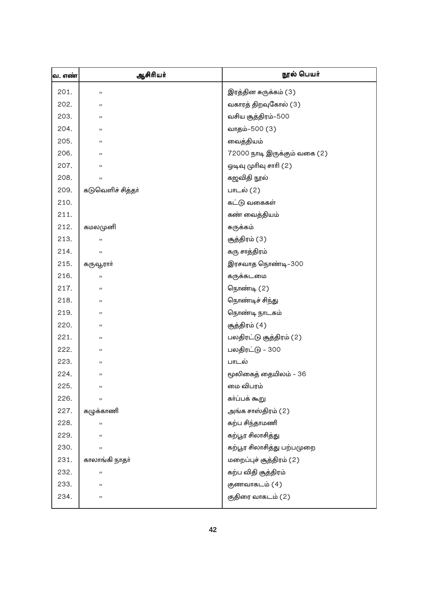| வ. எண் | ஆசிரியர்          | நூல் பெயர்                   |
|--------|-------------------|------------------------------|
| 201.   | ,,                | இரத்தின சுருக்கம் (3)        |
| 202.   | ,,                | வகாரத் திறவுகோல் (3)         |
| 203.   | ,,                | வசிய சூத்திரம்–500           |
| 204.   | ,,                | வாதம்-500 (3)                |
| 205.   | ,,                | வைத்தியம்                    |
| 206.   | ,,                | 72000 நாடி இருக்கும் வகை (2) |
| 207.   | ,,                | ஒடிவு முரிவு சாரி (2)        |
| 208.   | ,,                | கஜவிதி நூல்                  |
| 209.   | கடுவெளிச் சித்தா் | பாடல் (2)                    |
| 210.   |                   | கட்டு வகைகள்                 |
| 211.   |                   | கண் வைத்தியம்                |
| 212.   | கமலமுனி           | சுருக்கம்                    |
| 213.   | ,,                | சூத்திரம் (3)                |
| 214.   | 33                | கரு சாத்திரம்                |
| 215.   | கருவூராா்         | இரசவாத நொண்டி–300            |
| 216.   | ,,                | கருக்கடமை                    |
| 217.   | ,,                | நொண்டி (2)                   |
| 218.   | ,,                | நொண்டிச் சிந்து              |
| 219.   | ,,                | நொண்டி நாடகம்                |
| 220.   | ,,                | சூத்திரம் (4)                |
| 221.   | ,,                | பலதிரட்டு சூத்திரம் (2)      |
| 222.   | ,,                | பலதிரட்டு – 300              |
| 223.   | ,,                | பாடல்                        |
| 224.   | ,,                | மூலிகைத் தையிலம் – 36        |
| 225.   | ,,                | மை விபரம்                    |
| 226.   | ,,                | கா்ப்பக் கூறு                |
| 227.   | கழுக்காணி         | அங்க சாஸ்திரம் (2)           |
| 228.   | ,,                | கற்ப சிந்தாமணி               |
| 229.   | ,,                | கற்பூர சிலாசித்து            |
| 230.   | ,,                | கற்பூர சிலாசித்து பற்பமுறை   |
| 231.   | காலாங்கி நாதா்    | மறைப்புச் சூத்திரம் (2)      |
| 232.   | ,,                | கற்ப விதி சூத்திரம்          |
| 233.   | ,,                | குணவாகடம் (4)                |
| 234.   | ,,                | குதிரை வாகடம் (2)            |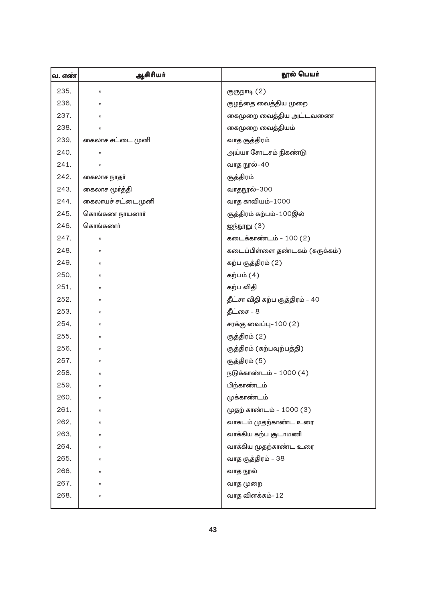| வ. எண் | ஆசிரியர்          | நூல் பெயர்                      |
|--------|-------------------|---------------------------------|
| 235.   | ,,                | குருநாடி (2)                    |
| 236.   | ,,                | குழந்தை வைத்திய முறை            |
| 237.   | ,,                | கைமுறை வைத்திய அட்டவணை          |
| 238.   | ,,                | கைமுறை வைத்தியம்                |
| 239.   | கைலாச சட்டை முனி  | வாத சூத்திரம்                   |
| 240.   | ,,                | அய்யா சோடசம் நிகண்டு            |
| 241.   | ,,                | வாத நூல்–40                     |
| 242.   | கைலாச நாதா்       | சூத்திரம்                       |
| 243.   | கைலாச மூர்த்தி    | வாதநூல்–300                     |
| 244.   | கைலாயச் சட்டைமுனி | வாத காவியம்–1000                |
| 245.   | கொங்கண நாயனாா்    | சூத்திரம் கற்பம்–100இல்         |
| 246.   | கொங்கணா்          | ஐந்நூறு (3)                     |
| 247.   | ,,                | கடைக்காண்டம் - 100 (2)          |
| 248.   | ,,                | கடைப்பிள்ளை தண்டகம் (சுருக்கம்) |
| 249.   | 33                | கற்ப சூத்திரம் (2)              |
| 250.   | ,,                | கற்பம் (4)                      |
| 251.   | ,,                | கற்ப விதி                       |
| 252.   | ,,                | தீட்சா விதி கற்ப சூத்திரம் – 40 |
| 253.   | ,,                | தீட்சை – 8                      |
| 254.   | ,,                | சரக்கு வைப்பு-100 (2)           |
| 255.   | ,,                | சூத்திரம் (2)                   |
| 256.   | ,,                | சூத்திரம் (கற்பவுற்பத்தி)       |
| 257.   | ,,                | சூத்திரம் (5)                   |
| 258.   | ,,                | நடுக்காண்டம் - 1000 (4)         |
| 259.   | ,,                | பிற்காண்டம்                     |
| 260.   | ,,                | முக்காண்டம்                     |
| 261.   | ,,                | (முதற் காண்டம் – 1000 (3)       |
| 262.   | ,,                | வாகடம் முதற்காண்ட உரை           |
| 263.   | ,,                | வாக்கிய கற்ப சூடாமணி            |
| 264.   | ,,                | வாக்கிய முதற்காண்ட உரை          |
| 265.   | ,,                | வாத சூத்திரம் – 38              |
| 266.   | ,,                | வாத நூல்                        |
| 267.   | ,,                | வாத முறை                        |
| 268.   | ,,                | வாத விளக்கம்–12                 |
|        |                   |                                 |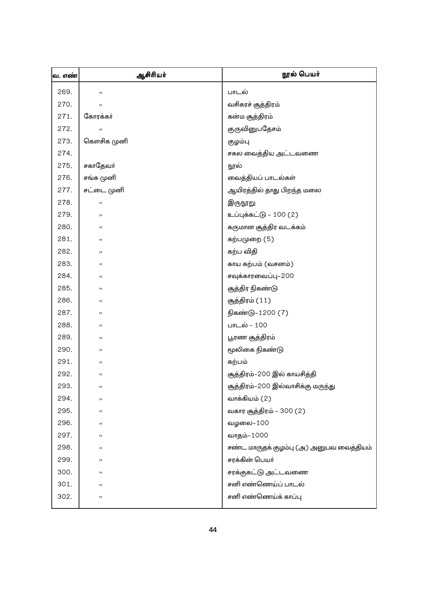| வ. எண் | ஆசிரியர்   | நூல் பெயர்                               |
|--------|------------|------------------------------------------|
| 269.   | ,,         | பாடல்                                    |
| 270.   | 33         | வசிகரச் சூத்திரம்                        |
| 271.   | கோரக்கர்   | கன்ம சூத்திரம்                           |
| 272.   | ,,         | குருவினுபதேசம்                           |
| 273.   | கௌசிக முனி | குழம்பு                                  |
| 274.   |            | சகல வைத்திய அட்டவணை                      |
| 275.   | சகாதேவா்   | நூல்                                     |
| 276.   | சங்க முனி  | வைத்தியப் பாடல்கள்                       |
| 277.   | சட்டை முனி | ஆயிரத்தில் தாது பிறந்த மலை               |
| 278.   | 33         | இருநூறு                                  |
| 279.   | ,,         | உப்புக்கட்டு - 100 (2)                   |
| 280.   | ,,         | கருமான சூத்திர வடக்கம்                   |
| 281.   | ,,         | கற்பமுறை (5)                             |
| 282.   | ,,         | கற்ப விதி                                |
| 283.   | ,,         | காய கற்பம் (வசனம்)                       |
| 284.   | ,,         | சவுக்காரவைப்பு–200                       |
| 285.   | ,,         | சூத்திர நிகண்டு                          |
| 286.   | ,,         | சூத்திரம் (11)                           |
| 287.   | ,,         | நிகண்டு-1200 (7)                         |
| 288.   | ,,         | பாடல் - 100                              |
| 289.   | ,,         | பூரண சூத்திரம்                           |
| 290.   | ,,         | மூலிகை நிகண்டு                           |
| 291.   | ,,         | கற்பம்                                   |
| 292.   | ,,         | சூத்திரம்–200 இல் காயசித்தி              |
| 293.   | ,,         | சூத்திரம்–200 இல்வாசிக்கு மருந்து        |
| 294.   | ,,         | வாக்கியம் (2)                            |
| 295.   | ,,         | வகார சூத்திரம் – 300 (2)                 |
| 296.   | ,,         | வழலை-100                                 |
| 297.   | ,,         | வாதம்–1000                               |
| 298.   | ,,         | சண்ட மாருதக் குழம்பு (அ) அனுபவ வைத்தியம் |
| 299.   | ,,         | சரக்கின் பெயர்                           |
| 300.   | ,,         | சரக்குகட்டு அட்டவணை                      |
| 301.   | ,,         | சனி எண்ணெய்ப் பாடல்                      |
| 302.   | ,,         | சனி எண்ணெய்க் காப்பு                     |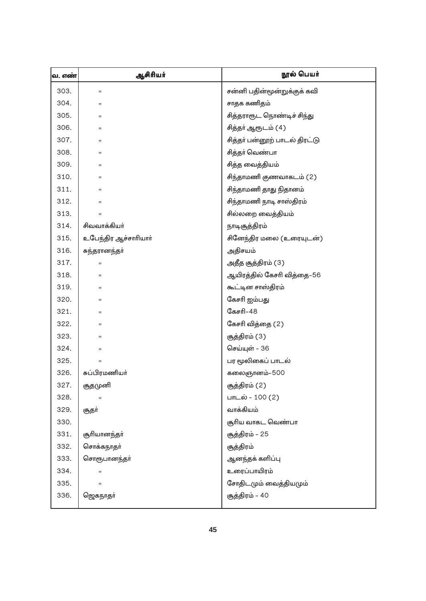| வ. எண் | ஆசிரியர்             | நூல் பெயர்                    |
|--------|----------------------|-------------------------------|
| 303.   | ,,                   | சன்னி பதின்மூன்றுக்குக் கவி   |
| 304.   | 33                   | சாதக கணிதம்                   |
| 305.   | ,,                   | சித்தராரூட நொண்டிச் சிந்து    |
| 306.   | ,,                   | சித்தா் ஆரூடம் (4)            |
| 307.   | ,,                   | சித்தா் பன்னூற் பாடல் திரட்டு |
| 308.   | 33                   | சித்தா் வெண்பா                |
| 309.   | ,,                   | சித்த வைத்தியம்               |
| 310.   | ,,                   | சிந்தாமணி குணவாகடம் (2)       |
| 311.   | 33                   | சிந்தாமணி தாது நிதானம்        |
| 312.   | ,,                   | சிந்தாமணி நாடி சாஸ்திரம்      |
| 313.   | ,,                   | சில்லறை வைத்தியம்             |
| 314.   | சிவவாக்கியா்         | நாடிசூத்திரம்                 |
| 315.   | உபேந்திர ஆச்சாரியாா் | சினேந்திர மலை (உரையுடன்)      |
| 316.   | சுந்தரானந்தா்        | அதிசயம்                       |
| 317.   | ,,                   | அதீத சூத்திரம் (3)            |
| 318.   | 33                   | ஆயிரத்தில் கேசரி வித்தை–56    |
| 319.   | ,,                   | கூட்டின சாஸ்திரம்             |
| 320.   | ,,                   | கேசரி ஐம்பது                  |
| 321.   | ,,                   | கேசரி–48                      |
| 322.   | ,,                   | கேசரி வித்தை (2)              |
| 323.   | ,,                   | சூத்திரம் (3)                 |
| 324.   | ,,                   | செய்யுள் – 36                 |
| 325.   | ,,                   | பர மூலிகைப் பாடல்             |
| 326.   | சுப்பிரமணியா்        | கலைஞானம்–500                  |
| 327.   | சூதமுனி              | சூத்திரம் (2)                 |
| 328.   | ,,                   | பாடல் - 100 (2)               |
| 329.   | சூதா்                | வாக்கியம்                     |
| 330.   |                      | சூரிய வாகட வெண்பா             |
| 331.   | சூரியானந்தா்         | சூத்திரம் – 25                |
| 332.   | சொக்கநாதா்           | சூத்திரம்                     |
| 333.   | சொரூபானந்தா்         | ஆனந்தக் களிப்பு               |
| 334.   | ,,                   | உரைப்பாயிரம்                  |
| 335.   | ,,                   | சோதிடமும் வைத்தியமும்         |
| 336.   | ஜெகநாதா்             | சூத்திரம் – 40                |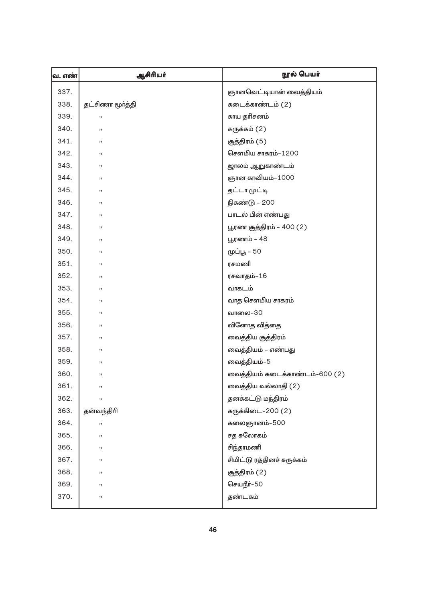| வ. எண் | ஆசிரியர்         | நூல் பெயர்                     |
|--------|------------------|--------------------------------|
| 337.   |                  | ஞானவெட்டியான் வைத்தியம்        |
| 338.   | தட்சிணா மூர்த்தி | கடைக்காண்டம் (2)               |
| 339.   | ,,               | காய தரிசனம்                    |
| 340.   | ,,               | சுருக்கம் (2)                  |
| 341.   | ,,               | சூத்திரம் (5)                  |
| 342.   | ,,               | சௌமிய சாகரம்–1200              |
| 343.   | ,,               | ஜாலம் ஆறுகாண்டம்               |
| 344.   | ,,               | ஞான காவியம்–1000               |
| 345.   | ,,               | தட்டா முட்டி                   |
| 346.   | ,,               | நிகண்டு – 200                  |
| 347.   | ,,               | பாடல் பின் எண்பது              |
| 348.   | ,,               | பூரண சூத்திரம் – 400 (2)       |
| 349.   | ,,               | பூரணம் – 48                    |
| 350.   | ,,               | முப்பூ – 50                    |
| 351.   | ,,               | ரசமணி                          |
| 352.   | ,,               | ரசவாதம்–16                     |
| 353.   | ,,               | வாகடம்                         |
| 354.   | ,,               | வாத சௌமிய சாகரம்               |
| 355.   | ,,               | வாலை-30                        |
| 356.   | ,,               | வினோத வித்தை                   |
| 357.   | ,,               | வைத்திய சூத்திரம்              |
| 358.   | ,,               | வைத்தியம் – எண்பது             |
| 359.   | ,,               | வைத்தியம்–5                    |
| 360.   | ,,               | வைத்தியம் கடைக்காண்டம்–600 (2) |
| 361    | ,,               | வைத்திய வல்லாதி (2)            |
| 362.   | ,,               | தனக்கட்டு மந்திரம்             |
| 363.   | தன்வந்திரி       | கருக்கிடை–200 (2)              |
| 364.   | ,,               | கலைஞானம்–500                   |
| 365.   | ,,               | சத சுலோகம்                     |
| 366.   | ,,               | சிந்தாமணி                      |
| 367.   | ,,               | சிமிட்டு ரத்தினச் சுருக்கம்    |
| 368.   | ,,               | சூத்திரம் (2)                  |
| 369.   | ,,               | செயநீர்–50                     |
| 370.   | ,,               | தண்டகம்                        |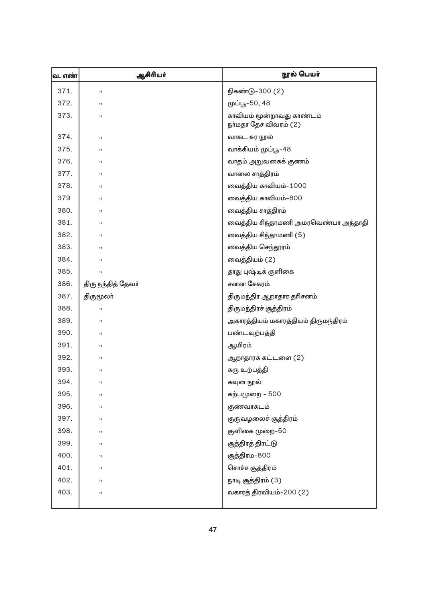| <mark>வ. எண்</mark> | ஆசிரியர்           | நூல் பெயர்                                         |
|---------------------|--------------------|----------------------------------------------------|
| 371.                | $\mathbf{y}$       | நிகண்டு-300 (2)                                    |
| 372.                | ,,                 | முப்பூ–50, 48                                      |
| 373.                | 33                 | காவியம் மூன்றாவது காண்டம்<br>நா்மதா தேச விவரம் (2) |
| 374.                | ,,                 | வாகட சுர நூல்                                      |
| 375.                | $\mathbf{y}$       | வாக்கியம் முப்பூ–48                                |
| 376.                | ,,                 | வாதம் அறுவகைக் குணம்                               |
| 377.                | ,,                 | வாலை சாத்திரம்                                     |
| 378.                | ,,                 | வைத்திய காவியம்–1000                               |
| 379                 | $\mathbf{y}$       | வைத்திய காவியம்–800                                |
| 380.                | 33                 | வைத்திய சாத்திரம்                                  |
| 381.                | ,,                 | வைத்திய சிந்தாமணி அமரவெண்பா அந்தாதி                |
| 382.                | ,,                 | வைத்திய சிந்தாமணி (5)                              |
| 383.                | ,,                 | வைத்திய செந்தூரம்                                  |
| 384.                | ,,                 | வைத்தியம் (2)                                      |
| 385.                | ,,                 | தாது புஷ்டிக் குளிகை                               |
| 386.                | திரு நந்தித் தேவா் | சனன சேகரம்                                         |
| 387.                | திருமூலா்          | திருமந்திர ஆறாதார தாிசனம்                          |
| 388.                | ,,                 | திருமந்திரச் சூத்திரம்                             |
| 389.                | $\mathbf{y}$       | அகாரத்தியம் மகாரத்தியம் திருமந்திரம்               |
| 390.                | ,,                 | பண்டவுற்பத்தி                                      |
| 391.                | $\mathbf{y}$       | ஆயிரம்                                             |
| 392.                | ,,                 | ஆறாதாரக் கட்டளை (2)                                |
| 393.                | $\mathbf{y}$       | கரு உற்பத்தி                                       |
| 394.                | ,,                 | கவுன நூல்                                          |
| 395.                | ,,                 | கற்பமுறை – 500                                     |
| 396.                | ,,                 | குணவாகடம்                                          |
| 397.                | ,,                 | குருவழலைச் சூத்திரம்                               |
| 398.                | ,,                 | குளிகை முறை–50                                     |
| 399.                | ,,                 | சூத்திரத் திரட்டு                                  |
| 400.                | ,,                 | சூத்திரம–800                                       |
| 401.                | ,,                 | சொச்ச சூத்திரம்                                    |
| 402.                | ,,                 | நாடி சூத்திரம் (3)                                 |
| 403.                | ,,                 | வகாரத் திரவியம்–200 (2)                            |
|                     |                    |                                                    |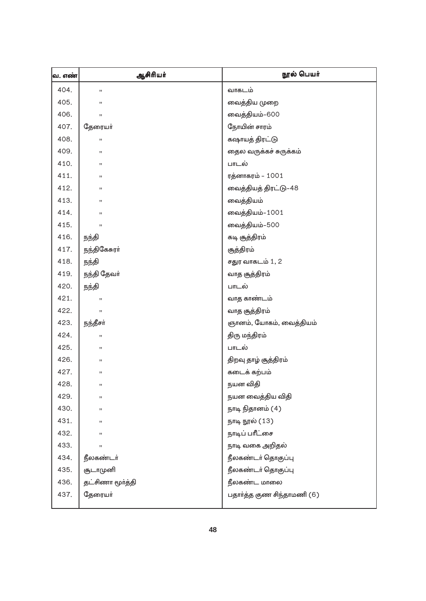| வ. எண் | ஆசிரியர்         | நூல் பெயர்                 |
|--------|------------------|----------------------------|
| 404.   | ,,               | வாகடம்                     |
| 405.   | ,,               | வைத்திய முறை               |
| 406.   | ,,               | வைத்தியம்–600              |
| 407.   | தேரையா்          | நோயின் சாரம்               |
| 408.   | ,,               | கஷாயத் திரட்டு             |
| 409.   | ,,               | தைல வருக்கச் சுருக்கம்     |
| 410.   | ,,               | பாடல்                      |
| 411.   | ,,               | ரத்னாகரம் – 1001           |
| 412.   | ,,               | வைத்தியத் திரட்டு–48       |
| 413.   | ,,               | வைத்தியம்                  |
| 414.   | ,,               | வைத்தியம்–1001             |
| 415.   | ,,               | வைத்தியம்–500              |
| 416.   | நந்தி            | கடி சூத்திரம்              |
| 417.   | நந்திகேசுரா்     | சூத்திரம்                  |
| 418.   | நந்தி            | சதுர வாகடம் 1, 2           |
| 419.   | நந்தி தேவா்      | வாத சூத்திரம்              |
| 420.   | நந்தி            | பாடல்                      |
| 421.   | ,,               | வாத காண்டம்                |
| 422.   | ,,               | வாத சூத்திரம்              |
| 423.   | நந்தீசா்         | ஞானம், யோகம், வைத்தியம்    |
| 424.   | ,,               | திரு மந்திரம்              |
| 425.   | ,,               | பாடல்                      |
| 426.   | ,,               | திறவு தாழ் சூத்திரம்       |
| 427.   | ,,               | கடைக் கற்பம்               |
| 428.   | ,,               | நயன விதி                   |
| 429.   | ,,               | நயன வைத்திய விதி           |
| 430.   | ,,               | நாடி நிதானம் (4)           |
| 431.   | ,,               | நாடி நூல் (13)             |
| 432.   | ,,               | நாடிப் பரீட்சை             |
| 433.   | ,,               | நாடி வகை அறிதல்            |
| 434.   | நீலகண்டர்        | நீலகண்டா் தொகுப்பு         |
| 435.   | சூடாமுனி         | நீலகண்டா் தொகுப்பு         |
| 436.   | தட்சிணா மூா்த்தி | நீலகண்ட மாலை               |
| 437.   | தேரையா்          | பதாா்த்த குண சிந்தாமணி (6) |
|        |                  |                            |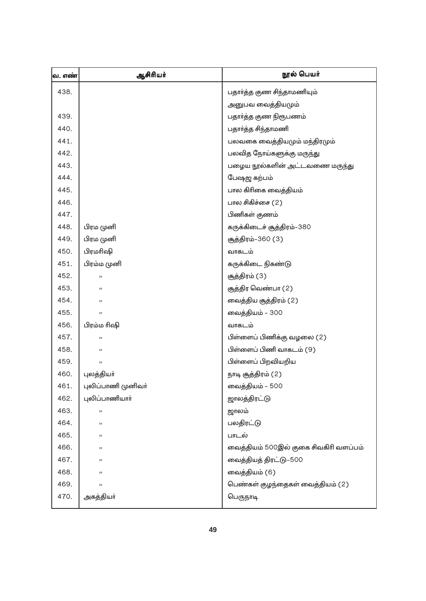| வ. எண் | ஆசிரியர்           | நூல் பெயர்                            |
|--------|--------------------|---------------------------------------|
| 438.   |                    | பதாா்த்த குண சிந்தாமணியும்            |
|        |                    | அனுபவ வைத்தியமும்                     |
| 439.   |                    | பதாா்த்த குண நிரூபணம்                 |
| 440.   |                    | பதார்த்த சிந்தாமணி                    |
| 441.   |                    | பலவகை வைத்தியமும் மந்திரமும்          |
| 442.   |                    | பலவித நோய்களுக்கு மருந்து             |
| 443.   |                    | பழைய நூல்களின் அட்டவணை மருந்து        |
| 444.   |                    | பேஷஜ கற்பம்                           |
| 445.   |                    | பால கிரிகை வைத்தியம்                  |
| 446.   |                    | பால சிகிச்சை (2)                      |
| 447.   |                    | பிணிகள் குணம்                         |
| 448.   | பிரம முனி          | கருக்கிடைச் சூத்திரம்–380             |
| 449.   | பிரம முனி          | சூத்திரம்–360 (3)                     |
| 450.   | பிரமாிஷி           | வாகடம்                                |
| 451.   | பிரம்ம முனி        | கருக்கிடை நிகண்டு                     |
| 452.   | ,,                 | சூத்திரம் (3)                         |
| 453.   | ,,                 | சூத்திர வெண்பா (2)                    |
| 454.   | 33                 | வைத்திய சூத்திரம் (2)                 |
| 455.   | 33                 | வைத்தியம் – 300                       |
| 456.   | பிரம்ம ரிஷி        | வாகடம்                                |
| 457.   | ,,                 | பிள்ளைப் பிணிக்கு வழலை (2)            |
| 458.   | ,,                 | பிள்ளைப் பிணி வாகடம் (9)              |
| 459.   | ,,                 | பிள்ளைப் பிறவியறிய                    |
| 460.   | புலத்தியா்         | நாடி சூத்திரம் (2)                    |
| 461.   | புலிப்பாணி முனிவா் | வைத்தியம் – 500                       |
| 462.   | புலிப்பாணியாா்     | ஜாலத்திரட்டு                          |
| 463.   | ,,                 | ஜாலம்                                 |
| 464.   | ,,                 | பலதிரட்டு                             |
| 465.   | ,,                 | பாடல்                                 |
| 466.   | ,,                 | வைத்தியம் 500இல் குகை சிவகிரி வளப்பம் |
| 467.   | ,,                 | வைத்தியத் திரட்டு–500                 |
| 468.   | ,,                 | வைத்தியம் (6)                         |
| 469.   | ,,                 | பெண்கள் குழந்தைகள் வைத்தியம் (2)      |
| 470.   | அகத்தியா்          | பெருநாடி                              |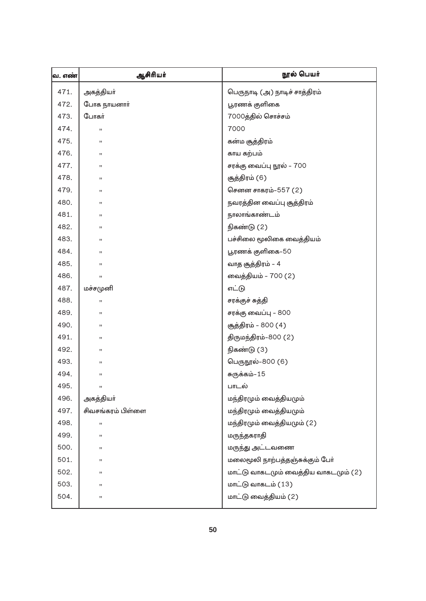| வ. எண் | ஆசிரியர்          | நூல் பெயர்                           |
|--------|-------------------|--------------------------------------|
| 471.   | அகத்தியா்         | பெருநாடி (அ) நாடிச் சாத்திரம்        |
| 472.   | போக நாயனாா்       | பூரணக் குளிகை                        |
| 473.   | போகர்             | 7000த்தில் சொச்சம்                   |
| 474.   | ,,                | 7000                                 |
| 475.   | ,,                | கன்ம சூத்திரம்                       |
| 476.   | ,,                | காய கற்பம்                           |
| 477.   | ,,                | சரக்கு வைப்பு நூல் – 700             |
| 478.   | ,,                | சூத்திரம் (6)                        |
| 479.   | ,,                | செனன சாகரம்-557 (2)                  |
| 480.   | 33                | நவரத்தின வைப்பு சூத்திரம்            |
| 481.   | ,,                | நாலாங்காண்டம்                        |
| 482.   | ,,                | நிகண்டு (2)                          |
| 483.   | ,,                | பச்சிலை மூலிகை வைத்தியம்             |
| 484.   | ,,                | பூரணக் குளிகை–50                     |
| 485.   | ,,                | வாத சூத்திரம் – 4                    |
| 486.   | ,,                | வைத்தியம் – 700 (2)                  |
| 487.   | மச்சமுனி          | எட்டு                                |
| 488.   | ,,                | சரக்குச் சுத்தி                      |
| 489.   | ,,                | சரக்கு வைப்பு – 800                  |
| 490.   | ,,                | சூத்திரம் – 800 (4)                  |
| 491.   | ,,                | திருமந்திரம்–800 (2)                 |
| 492.   | ,,                | நிகண்டு (3)                          |
| 493.   | ,,                | பெருநூல்-800 (6)                     |
| 494.   | 33                | சுருக்கம்–15                         |
| 495    | ,,                | பாடல்                                |
| 496.   | அகத்தியா்         | மந்திரமும் வைத்தியமும்               |
| 497.   | சிவசங்கரம் பிள்ளை | மந்திரமும் வைத்தியமும்               |
| 498.   | ,,                | மந்திரமும் வைத்தியமும் (2)           |
| 499.   | 33                | மருந்தகராதி                          |
| 500.   | ,,                | மருந்து அட்டவணை                      |
| 501.   | ,,                | மலைமூலி நாற்பத்தஞ்சுக்கும் போ்       |
| 502.   | ,,                | மாட்டு வாகடமும் வைத்திய வாகடமும் (2) |
| 503.   | ,,                | மாட்டு வாகடம் (13)                   |
| 504.   | ,,                | மாட்டு வைத்தியம் (2)                 |
|        |                   |                                      |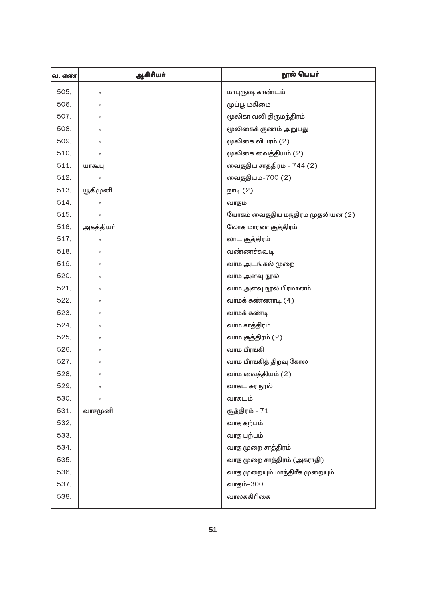| வ. எண் | ஆசிரியர்  | நூல் பெயர்                         |
|--------|-----------|------------------------------------|
| 505.   | ,,        | மாபுருஷ காண்டம்                    |
| 506.   | 33        | முப்பூ மகிமை                       |
| 507.   | ,,        | மூலிகா வலி திருமந்திரம்            |
| 508.   | ,,        | மூலிகைக் குணம் அறுபது              |
| 509.   | ,,        | மூலிகை விபரம் (2)                  |
| 510.   | ,,        | மூலிகை வைத்தியம் (2)               |
| 511.   | யாகூபு    | வைத்திய சாத்திரம் – 744 (2)        |
| 512.   | ,,        | வைத்தியம்–700 (2)                  |
| 513.   | யூகிமுனி  | நாடி (2)                           |
| 514.   | ,,        | வாதம்                              |
| 515.   | 99        | யோகம் வைத்திய மந்திரம் முதலியன (2) |
| 516.   | அகத்தியா் | லோக மாரண சூத்திரம்                 |
| 517.   | ,,        | லாட சூத்திரம்                      |
| 518.   | ,,        | வண்ணச்சுவடி                        |
| 519.   | ,,        | வா்ம அடங்கல் முறை                  |
| 520.   | ,,        | வா்ம அளவு நூல்                     |
| 521.   | ,,        | வா்ம அளவு நூல் பிரமானம்            |
| 522.   | ,,        | வா்மக் கண்ணாடி (4)                 |
| 523.   | ,,        | வா்மக் கண்டி                       |
| 524.   | ,,        | வா்ம சாத்திரம்                     |
| 525.   | ,,        | வா்ம சூத்திரம் (2)                 |
| 526.   | ,,        | வா்ம பீரங்கி                       |
| 527.   | ,,        | வா்ம பீரங்கித் திறவு கோல்          |
| 528.   | ,,        | வா்ம வைத்தியம் (2)                 |
| 529.   | 11        | வாகட சுர நூல்                      |
| 530.   | 99        | வாகடம்                             |
| 531.   | வாசமுனி   | சூத்திரம் – 71                     |
| 532.   |           | வாத கற்பம்                         |
| 533.   |           | வாத பற்பம்                         |
| 534.   |           | வாத முறை சாத்திரம்                 |
| 535.   |           | வாத முறை சாத்திரம் (அகராதி)        |
| 536.   |           | வாத முறையும் மாந்திரீக முறையும்    |
| 537.   |           | வாதம்–300                          |
| 538.   |           | வாலக்கிரிகை                        |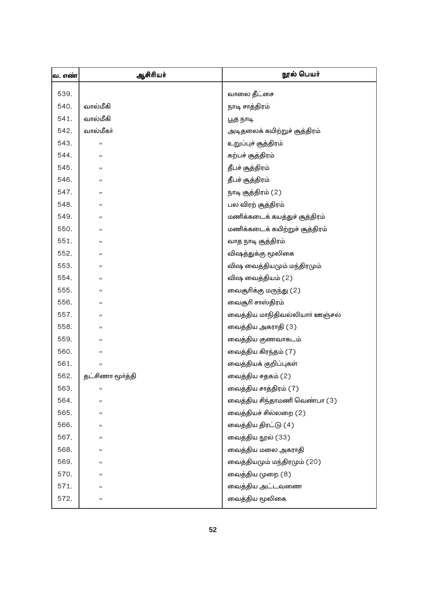| வ. எண் | ஆசிரியர்         | நூல் பெயர்                     |
|--------|------------------|--------------------------------|
| 539.   |                  | வாலை தீட்சை                    |
| 540.   | வால்மீகி         | நாடி சாத்திரம்                 |
| 541.   | வால்மீகி         | பூத நாடி                       |
| 542.   | வால்மீகா்        | அடிதலைக் கயிற்றுச் சூத்திரம்   |
| 543.   | 33               | உறுப்புச் சூத்திரம்            |
| 544.   | ,,               | கற்பச் சூத்திரம்               |
| 545.   | ,,               | தீபச் சூத்திரம்                |
| 546.   | ,,               | தீபச் சூத்திரம்                |
| 547.   | ,,               | நாடி சூத்திரம் (2)             |
| 548.   | ,,               | பல விரற் சூத்திரம்             |
| 549.   | ,,               | மணிக்கடைக் கயத்துச் சூத்திரம்  |
| 550.   | 33               | மணிக்கடைக் கயிற்றுச் சூத்திரம் |
| 551.   | ,,               | வாத நாடி சூத்திரம்             |
| 552.   | ,,               | விஷத்துக்கு மூலிகை             |
| 553.   | ,,               | விஷ வைத்தியமும் மந்திரமும்     |
| 554.   | ,,               | விஷ வைத்தியம் (2)              |
| 555.   | ,,               | வைசூரிக்கு மருந்து (2)         |
| 556.   | ,,               | வைசூரி சாஸ்திரம்               |
| 557.   | ,,               | வைத்திய மாநிதிவல்லியாா் ஊஞ்சல் |
| 558.   | ,,               | வைத்திய அகராதி (3)             |
| 559.   | ,,               | வைத்திய குணவாகடம்              |
| 560.   | ,,               | வைத்திய கிரந்தம் (7)           |
| 561.   | 33               | வைத்தியக் குறிப்புகள்          |
| 562.   | தட்சிணா மூர்த்தி | வைத்திய சதகம் (2)              |
| 563.   | ,,               | வைத்திய சாத்திரம் (7)          |
| 564.   | ,,               | வைத்திய சிந்தாமணி வெண்பா (3)   |
| 565.   | ,,               | வைத்தியச் சில்லறை (2)          |
| 566.   | ,,               | வைத்திய திரட்டு (4)            |
| 567.   | ,,               | வைத்திய நூல் (33)              |
| 568.   | ,,               | வைத்திய மலை அகராதி             |
| 569.   | ,,               | வைத்தியமும் மந்திரமும் (20)    |
| 570.   | ,,               | வைத்திய முறை (8)               |
| 571.   | ,,               | வைத்திய அட்டவணை                |
| 572.   | ,,               | வைத்திய மூலிகை                 |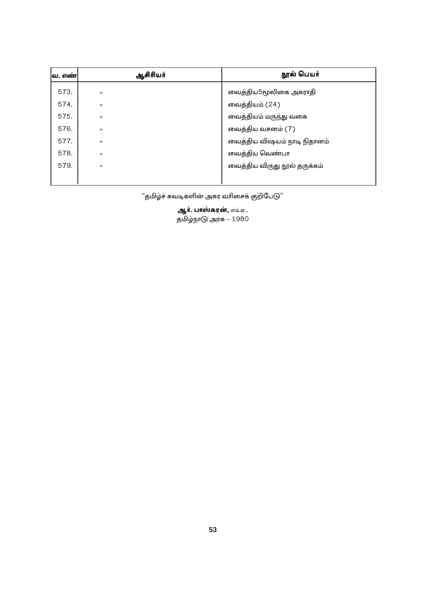| வ. எண் | ஆசிரியர்       | நூல் பெயர்                   |
|--------|----------------|------------------------------|
| 573.   | , 1, 1         | வைத்திய5மூலிகை அகராதி        |
| 574.   | , 1, 1         | வைத்தியம் (24)               |
| 575.   | $\overline{1}$ | வைத்தியம் மருந்து வகை        |
| 576.   | , 1, 1         | வைத்திய வசனம் (7)            |
| 577.   | , 1, 1         | வைத்திய விஷயம் நாடி நிதானம்  |
| 578.   | , 1, 1         | வைத்திய வெண்பா               |
| 579.   | 11             | வைத்திய விருது நூல் தருக்கம் |
|        |                |                              |

"தமிழ்ச் சுவடிகளின் அகர வரிசைக் குறிபேடு"

ஆர். பாஸ்கரன், எம்.ஏ.,

தமிழ்நாடு அரசு – 1980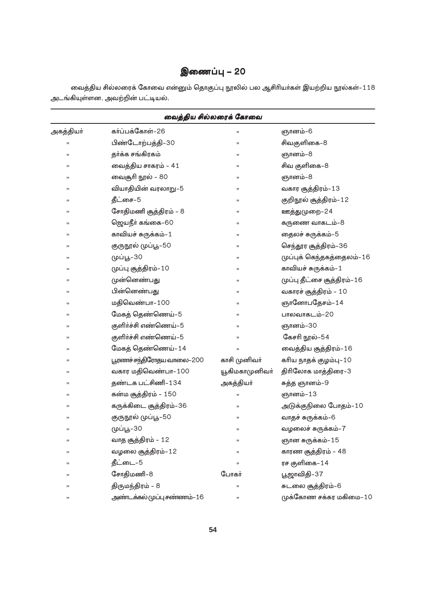வைத்திய சில்லரைக் கோவை என்னும் தொகுப்பு நூலில் பல ஆசிரியா்கள் இயற்றிய நூல்கள்– $118\,$ அடங்கியுள்ளன. அவற்றின் பட்டியல்.

| வைத்திய சில்லரைக் கோவை |                            |                |                            |
|------------------------|----------------------------|----------------|----------------------------|
| அகத்தியா்              | கா்ப்பக்கோள்-26            | ,,             | ஞானம்–6                    |
| ,,                     | பிண்டோற்பத்தி–30           | ,,             | சிவகுளிகை–8                |
| ,,                     | தர்க்க சங்கிரகம்           | ,,             | ஞானம்–8                    |
| ,,                     | வைத்திய சாகரம் – 41        | ,,             | சிவ குளிகை–8               |
| ,,                     | வைசூரி நூல் – 80           | ,,             | ஞானம்–8                    |
| ,,                     | வியாதியின் வரலாறு–5        | ,,             | வகார சூத்திரம்–13          |
| ,,                     | தீட்சை-5                   | ,,             | குறிநூல் சூத்திரம்–12      |
| ,,                     | சோதிமணி சூத்திரம் – 8      | ,,             | ஊத்துமுறை–24               |
| ,,                     | ஜெயநீா் கங்கை-60           | ,,             | கருணை வாகடம்–8             |
| ,,                     | காவியச் சுருக்கம்–1        | ,,             | தைலச் சுருக்கம்–5          |
| ,,                     | குருநூல் முப்பூ–50         | ,,             | செந்தூர சூத்திரம்–36       |
| ,,                     | முப்பூ–30                  | ,,             | முப்புக் கெந்தகத்தைலம்–16  |
| ,,                     | முப்பு சூத்திரம்–10        | ,,             | காவியச் சுருக்கம்–1        |
| ,,                     | முன்னெண்பது                | ,,             | முப்பு தீட்சை சூத்திரம்–16 |
| ,,                     | பின்னெண்பது                | ,,             | வகாரச் சூத்திரம் – 10      |
| ,,                     | மதிவெண்பா–100              | ,,             | ஞானோபதேசம்–14              |
| ,,                     | மேகத் தெண்ணெய்–5           | ,,             | பாலவாகடம்-20               |
| ,,                     | குளிா்ச்சி எண்ணெய்–5       | ,,             | ஞானம்–30                   |
| ,,                     | குளிா்ச்சி எண்ணெய்–5       | ,,             | கேசரி நூல்–54              |
| ,,                     | மேகத் தெண்ணெய்–14          | ,,             | வைத்திய சூத்திரம்–16       |
| ,,                     | பூரணச் சந்திரோதய வாலை–200  | காசி முனிவா்   | கரிய நாதக் குழம்பு–10      |
| ,,                     | வகார மதிவெண்பா–100         | யூகிமகாமுனிவா் | திரிலோக மாத்திரை–3         |
| ,,                     | தண்டக பட்சிணி-134          | அகத்தியா்      | சுத்த ஞானம்–9              |
| ,,                     | கன்ம சூத்திரம் – 150       | ,,             | ஞானம்–13                   |
| ,,                     | கருக்கிடை சூத்திரம்–36     | ,,             | அடுக்குநிலை போதம்–10       |
| ,,                     | குருநூல் முப்பூ–50         | ,,             | வாதச் சுருக்கம்–6          |
| ,,                     | முப்பூ–30                  | ,,             | வழலைச் சுருக்கம்–7         |
| ,,                     | வாத சூத்திரம் – 12         | ,,             | ஞான சுருக்கம்–15           |
| ,,                     | வழலை சூத்திரம்–12          | ,,             | காரண சூத்திரம் – 48        |
| ,,                     | தீட்டை-5                   | ,,             | ரச குளிகை–14               |
| ,,                     | சோதிமணி–8                  | போகர்          | பூஜாவிதி–37                |
| ,,                     | திருமந்திரம் – 8           | ,,             | சுடலை சூத்திரம்–6          |
| ,,                     | அண்டக்கல் முப்பு சண்ணம்–16 | ,,             | முக்கோண சக்கர மகிமை–10     |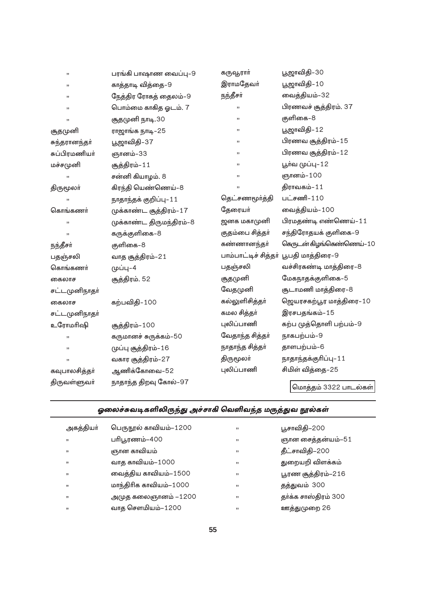| ,,            | பரங்கி பாஷாண வைப்பு–9    | கருவூராா்       | பூஜாவிதி–30                           |
|---------------|--------------------------|-----------------|---------------------------------------|
| ,,            | காத்தாடி வித்தை–9        | இராமதேவா்       | பூஜாவிதி–10                           |
| ,,            | நேத்திர ரோகத் தைலம்–9    | நந்தீசா்        | வைத்தியம்–32                          |
| 33            | பொம்மை காகித ஓடம். 7     | $\mathbf{y}$    | பிரணவச் சூத்திரம். 37                 |
| ,,            | சூதமுனி நாடி.30          | $\mathbf{y}$    | குளிகை–8                              |
| சூதமுனி       | ராஜாங்க நாடி–25          | $\mathbf{y}$    | பூஜாவிதி–12                           |
| சுந்தரானந்தா் | பூஜாவிதி–37              | ,,              | பிரணவ சூத்திரம்–15                    |
| சுப்பிரமணியா் | ஞானம்–33                 | ,,              | பிரணவ சூத்திரம்–12                    |
| மச்சமுனி      | சூத்திரம்–11             | $\mathbf{y}$    | பூர்வ முப்பு–12                       |
| ,,            | சன்னி கியாழம். 8         | ,,              | ஞானம்–100                             |
| திருமூலா்     | கிரந்தி யெண்ணெய்–8       | $\mathbf{y}$    | திராவகம்–11                           |
| ,,            | நாதாந்தக் குறிப்பு–11    | தெட்சணமூர்த்தி  | பட்சணி-110                            |
| கொங்கணா்      | முக்காண்ட சூத்திரம்–17   | தேரையா்         | வைத்தியம்-100                         |
| ,,            | முக்காண்ட திருமந்திரம்–8 | ஜனக மகாமுனி     | பிரமதண்டி எண்ணெய்–11                  |
| ,,            | கருக்குளிகை–8            | குதம்பை சித்தா் | சந்திரோதயக் குளிகை–9                  |
| நந்தீசா்      | குளிகை–8                 | கண்ணானந்தா்     | கெருடன் கிழங்கெண்ணெய்–10              |
| பதஞ்சலி       | வாத சூத்திரம்–21         |                 | பாம்பாட்டிச் சித்தா் பூபதி மாத்திரை–9 |
| கொங்கணா்      | முப்பு–4                 | பதஞ்சலி         | வச்சிரகண்டி மாத்திரை–8                |
| கைலாச         | சூத்திரம். 52            | சூதமுனி         | மேகநாதக்குளிகை–5                      |
| சட்டமுனிநாதா் |                          | வேதமுனி         | சூடாமணி மாத்திரை–8                    |
| கைலாச         | கற்பவிதி-100             | கல்லுளிசித்தா்  | ஜெயரசகற்பூர மாத்திரை–10               |
| சட்டமுனிநாதா் |                          | கமல சித்தா்     | இரசபதங்கம்-15                         |
| உரோமரிஷி      | சூத்திரம்–100            | புலிப்பாணி      | கற்ப முத்தொளி பற்பம்–9                |
| ,,            | கருமானச் சுருக்கம்–50    | வேதாந்த சித்தா் | நாகபற்பம்–9                           |
| $\mathbf{y}$  | முப்பு சூத்திரம்–16      | நாதாந்த சித்தா் | தாளபற்பம்–6                           |
| ,,            | வகார சூத்திரம்–27        | திருமூலா்       | நாதாந்தக்குரிப்பு–11                  |
| கவுபாலசித்தா் | ஆணிக்கோவை–52             | புலிப்பாணி      | சிமிள் வித்தை–25                      |
| திருவள்ளுவா்  | நாதாந்த திறவு கோல்–97    |                 | Q                                     |

மொத்தம் 3322 பாடல்கள்

# ஓலைச்சுவடிகளிலிருந்து அச்சாகி வெளிவந்த மருத்துவ நூல்கள்

| அகத்தியா் | பெருநூல் காவியம்–1200  | ,,             | பூசாவிதி–200         |
|-----------|------------------------|----------------|----------------------|
| ,,        | பரிபூரணம்–400          | ,,             | ஞான சைத்தன்யம்–51    |
| ,,        | ஞான காவியம்            | , 1            | தீட்சாவிதி–200       |
| ,,        | வாத காவியம்–1000       | ,,             | துறையறி விளக்கம்     |
| ,,        | வைத்திய காவியம்–1500   | ,,             | பூரண சூத்திரம்–216   |
| 33        | மாந்திரிக காவியம்–1000 | $\overline{1}$ | தத்துவம் 300         |
| 77        | அமுத கலைஞானம் –1200    | , 1            | தா்க்க சாஸ்திரம் 300 |
| ,,        | வாத சௌமியம்–1200       | ,,             | ஊத்துமுறை 26         |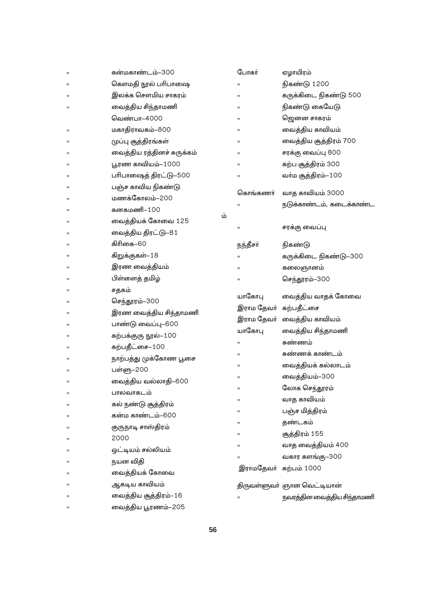| ,, | கன்மகாண்டம்–300            |    | போகர்                | ஏழாயிரம்                      |
|----|----------------------------|----|----------------------|-------------------------------|
| ,, | கௌமதி நூல் பரிபாஷை         |    | ,,                   | நிகண்டு 1200                  |
| ,, | இலக்க சௌமிய சாகரம்         |    | ,,                   | கருக்கிடை நிகண்டு 500         |
| ,, | வைத்திய சிந்தாமணி          |    | ,,                   | நிகண்டு க <mark>ையே</mark> டு |
|    | வெண்பா–4000                |    | ,,                   | ஜெனன சாகரம்                   |
| ,, | மகாதிராவகம்–800            |    | ,,                   | வைத்திய காவியம்               |
| ,, | முப்பு சூத்திரங்கள்        |    | ,,                   | வைத்திய சூத்திரம் 700         |
| ,, | வைத்திய ரத்தினச் சுருக்கம் |    | ,,                   | சரக்கு வைப்பு 800             |
| ,, | பூரண காவியம்–1000          |    | ,,                   | கற்ப சூத்திரம் 300            |
| ,, | பரிபாஷைத் திரட்டு–500      |    | ,,                   | வா்ம சூத்திரம்–100            |
| ,, | பஞ்ச காவிய நிகண்டு         |    |                      | வாத காவியம் 3000              |
| ,, | மணக்கோலம்–200              |    | கொங்கணா்             |                               |
| ,, | கனகமணி–100                 |    | ,,                   | நடுக்காண்டம், கடைக்காண்ட      |
| ,, | வைத்தியக் கோவை 125         | ம் |                      |                               |
| ,, | வைத்திய திரட்டு–81         |    | ,,                   | சரக்கு வைப்பு                 |
| ,, | கிரிகை–60                  |    | நந்தீசா்             | நிகண்டு                       |
| ,, | கிறுக்குகள்–18             |    | ,,                   | கருக்கிடை நிகண்டு–300         |
| ,, | இரண வைத்தியம்              |    | ,,                   | கலைஞானம்                      |
| ,, | பிள்ளைத் தமிழ்             |    | ,,                   | செந்தூரம்–300                 |
| ,, | சதகம்                      |    |                      |                               |
| ,, | செந்தூரம்–300              |    | யாகோபு               | வைத்திய வாதக் கோவை            |
| ,, | இரண வைத்திய சிந்தாமணி      |    | இராம தேவா்கற்பதீட்சை |                               |
| ,, | பாண்டு வைப்பு–600          |    |                      | இராம தேவா் வைத்திய காவியம்    |
| ,, | கற்பக்குரு நூல்–100        |    | யாகோபு               | வைத்திய சிந்தாமணி             |
| ,, | கற்பதீட்சை–100             |    | ,,                   | சுண்ணம்                       |
| ,, | நாற்பத்து முக்கோண பூசை     |    | ,,                   | சுண்ணக் காண்டம்               |
| ,, | பள்ளு–200                  |    | ,,                   | வைத்தியக் கல்லாடம்            |
| ,, | வைத்திய வல்லாதி–600        |    | ,,                   | வைத்தியம்–300                 |
| ,, | பாலவாகடம                   |    | ,,                   | லோக செந்தூரம்                 |
| ,, | கல் நண்டு சூத்திரம்        |    | ,,                   | வாத காவியம்                   |
| ,, | கன்ம காண்டம்–600           |    | ,,                   | பஞ்ச மித்திரம்                |
| ,, | குருநாடி சாஸ்திரம்         |    | ,,                   | தண்டகம்                       |
| ,, | 2000                       |    | ,,                   | சூத்திரம் 155                 |
| ,, | ஒட்டியம் சல்லியம்          |    | ,,                   | வாத வைத்தியம் 400             |
| ,, | நயன விதி                   |    | ,,                   | வகார களங்கு–300               |
| ,, | வைத்தியக் கோவை             |    | இராமதேவா்கற்பம் 1000 |                               |
| ,, | ஆகடிய காவியம்              |    |                      | திருவள்ளுவா் ஞான வெட்டியான்   |
| ,, | வைத்திய சூத்திரம்–16       |    | ,,                   | நவரத்தின வைத்திய சிந்தாமணி    |
| ,, | வைத்திய பூரணம்–205         |    |                      |                               |
|    |                            |    |                      |                               |